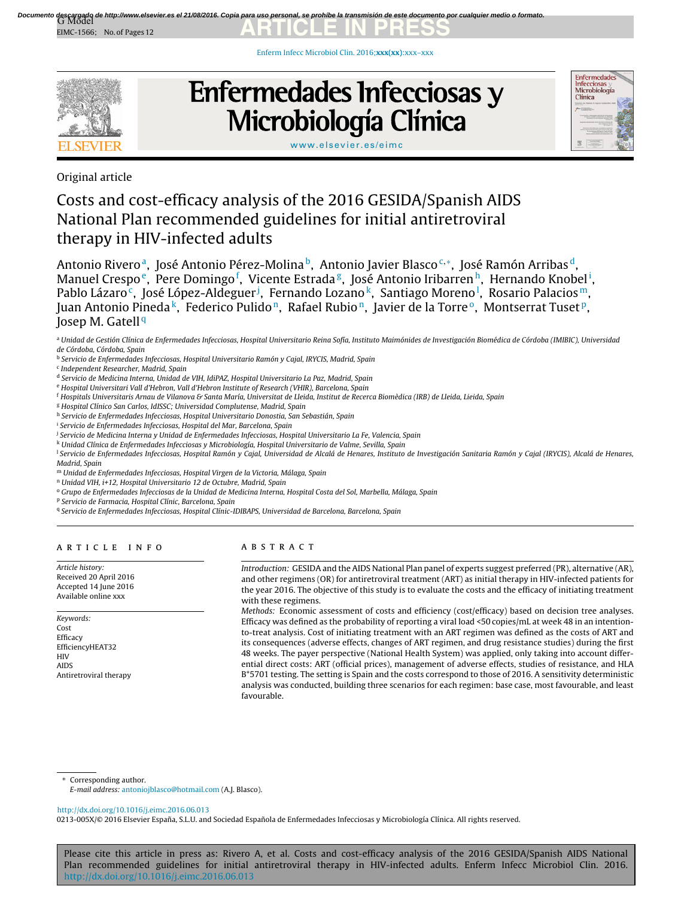Enferm Infecc [Microbiol](dx.doi.org/10.1016/j.eimc.2016.06.013) Clin. 2016;xxx(xx):xxx–xxx



# Enfermedades Infecciosas y Microbiología Clínica

Enfermedades

Microbiología Clínica

<www.elsevier.es/eimc>

Original article

## Costs and cost-efficacy analysis of the 2016 GESIDA/Spanish AIDS National Plan recommended guidelines for initial antiretroviral therapy in HIV-infected adults

Antonio Riveroª, José Antonio Pérez-Molina<sup>b</sup>, Antonio Javier Blasco<sup>c,</sup>\*, José Ramón Arribas<sup>d</sup>, Manuel Crespo<sup>e</sup>, Pere Domingo<sup>f</sup>, Vicente Estrada<sup>g</sup>, José Antonio Iribarren<sup>h</sup>, Hernando Knobel<sup>i</sup>, Pablo Lázaro<sup>c</sup>, José López-Aldeguer<sup>j</sup>, Fernando Lozano<sup>k</sup>, Santiago Moreno<sup>l</sup>, Rosario Palacios<sup>m</sup>, Juan Antonio Pineda<sup>k</sup>, Federico Pulido<sup>n</sup>, Rafael Rubio<sup>n</sup>, Javier de la Torreº, Montserrat Tuset<sup>p</sup>, Josep M. Gatell<sup>q</sup>

a Unidad de Gestión Clínica de Enfermedades Infecciosas, Hospital Universitario Reina Sofía, Instituto Maimónides de Investigación Biomédica de Córdoba (IMIBIC), Universidad de Córdoba, Córdoba, Spain

 $^{\rm b}$  Servicio de Enfermedades Infecciosas, Hospital Universitario Ramón y Cajal, IRYCIS, Madrid, Spain

<sup>c</sup> Independent Researcher, Madrid, Spain

<sup>d</sup> Servicio de Medicina Interna, Unidad de VIH, IdiPAZ, Hospital Universitario La Paz, Madrid, Spain

<sup>e</sup> Hospital Universitari Vall d'Hebron, Vall d'Hebron Institute of Research (VHIR), Barcelona, Spain

- f Hospitals Universitaris Arnau de Vilanova & Santa María, Universitat de Lleida, Institut de Recerca Biomèdica (IRB) de Lleida, Lieida, Spain
- <sup>g</sup> Hospital Clínico San Carlos, IdISSC; Universidad Complutense, Madrid, Spain

h Servicio de Enfermedades Infecciosas, Hospital Universitario Donostia, San Sebastián, Spain

<sup>i</sup> Servicio de Enfermedades Infecciosas, Hospital del Mar, Barcelona, Spain

<sup>j</sup> Servicio de Medicina Interna y Unidad de Enfermedades Infecciosas, Hospital Universitario La Fe, Valencia, Spain

 $^{\rm k}$ Unidad Clínica de Enfermedades Infecciosas y Microbiología, Hospital Universitario de Valme, Sevilla, Spain

<sup>1</sup> Servicio de Enfermedades Infecciosas, Hospital Ramón y Cajal, Universidad de Alcalá de Henares, Instituto de Investigación Sanitaria Ramón y Cajal (IRYCIS), Alcalá de Henares, Madrid, Spain

<sup>m</sup> Unidad de Enfermedades Infecciosas, Hospital Virgen de la Victoria, Málaga, Spain

<sup>n</sup> Unidad VIH, i+12, Hospital Universitario 12 de Octubre, Madrid, Spain

<sup>o</sup> Grupo de Enfermedades Infecciosas de la Unidad de Medicina Interna, Hospital Costa del Sol, Marbella, Málaga, Spain

<sup>p</sup> Servicio de Farmacia, Hospital Clínic, Barcelona, Spain

<sup>q</sup> Servicio de Enfermedades Infecciosas, Hospital Clínic-IDIBAPS, Universidad de Barcelona, Barcelona, Spain

#### a r t i c l e i n f o

Article history: Received 20 April 2016 Accepted 14 June 2016 Available online xxx

Keywords: Cost **Efficacy** EfficiencyHEAT32 HIV AIDS Antiretroviral therapy

#### A B S T R A C T

Introduction: GESIDA and the AIDS National Plan panel of experts suggest preferred (PR), alternative (AR), and other regimens (OR) for antiretroviral treatment (ART) as initial therapy in HIV-infected patients for the year 2016. The objective of this study is to evaluate the costs and the efficacy of initiating treatment with these regimens.

Methods: Economic assessment of costs and efficiency (cost/efficacy) based on decision tree analyses. Efficacy was defined as the probability of reporting a viral load <50 copies/mL at week 48 in an intentionto-treat analysis. Cost of initiating treatment with an ART regimen was defined as the costs of ART and its consequences (adverse effects, changes of ART regimen, and drug resistance studies) during the first 48 weeks. The payer perspective (National Health System) was applied, only taking into account differential direct costs: ART (official prices), management of adverse effects, studies of resistance, and HLA B\*5701 testing. The setting is Spain and the costs correspond to those of 2016. A sensitivity deterministic analysis was conducted, building three scenarios for each regimen: base case, most favourable, and least favourable.

Corresponding author.

E-mail address: [antoniojblasco@hotmail.com](mailto:antoniojblasco@hotmail.com) (A.J. Blasco).

[http://dx.doi.org/10.1016/j.eimc.2016.06.013](dx.doi.org/10.1016/j.eimc.2016.06.013)

0213-005X/© 2016 Elsevier España, S.L.U. and Sociedad Española de Enfermedades Infecciosas y Microbiología Clínica. All rights reserved.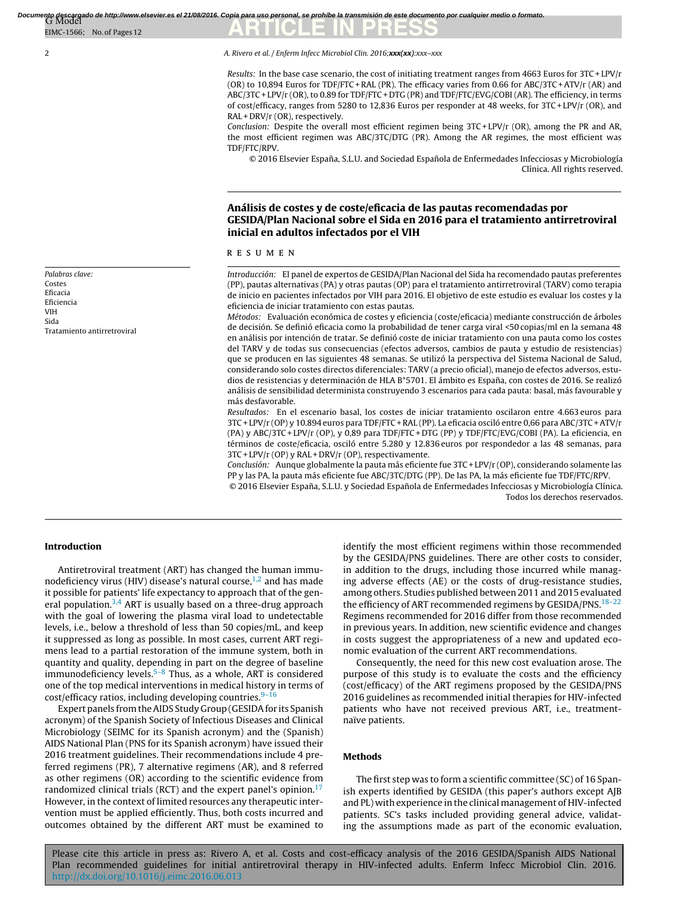2 A. Rivero et al. / Enferm Infecc Microbiol Clin. 2016; xxx(xx): xxx–xxx

Results: In the base case scenario, the cost of initiating treatment ranges from 4663 Euros for 3TC + LPV/r (OR) to 10,894 Euros for TDF/FTC + RAL (PR). The efficacy varies from 0.66 for ABC/3TC +ATV/r (AR) and ABC/3TC + LPV/r (OR), to 0.89 for TDF/FTC + DTG (PR) and TDF/FTC/EVG/COBI (AR). The efficiency, in terms of cost/efficacy, ranges from 5280 to 12,836 Euros per responder at 48 weeks, for 3TC + LPV/r (OR), and RAL + DRV/r (OR), respectively.

Conclusion: Despite the overall most efficient regimen being 3TC + LPV/r (OR), among the PR and AR, the most efficient regimen was ABC/3TC/DTG (PR). Among the AR regimes, the most efficient was TDF/FTC/RPV.

© 2016 Elsevier España, S.L.U. and Sociedad Española de Enfermedades Infecciosas y Microbiología Clínica. All rights reserved.

#### Análisis de costes y de coste/eficacia de las pautas recomendadas por GESIDA/Plan Nacional sobre el Sida en 2016 para el tratamiento antirretroviral inicial en adultos infectados por el VIH

#### r e s u m e n

Introducción: El panel de expertos de GESIDA/Plan Nacional del Sida ha recomendado pautas preferentes (PP), pautas alternativas (PA) y otras pautas (OP) para el tratamiento antirretroviral (TARV) como terapia de inicio en pacientes infectados por VIH para 2016. El objetivo de este estudio es evaluar los costes y la eficiencia de iniciar tratamiento con estas pautas.

Métodos: Evaluación económica de costes y eficiencia (coste/eficacia) mediante construcción de árboles de decisión. Se definió eficacia como la probabilidad de tener carga viral <50 copias/ml en la semana 48 en análisis por intención de tratar. Se definió coste de iniciar tratamiento con una pauta como los costes del TARV y de todas sus consecuencias (efectos adversos, cambios de pauta y estudio de resistencias) que se producen en las siguientes 48 semanas. Se utilizó la perspectiva del Sistema Nacional de Salud, considerando solo costes directos diferenciales: TARV (a precio oficial), manejo de efectos adversos, estudios de resistencias y determinación de HLA B\*5701. El ámbito es España, con costes de 2016. Se realizó análisis de sensibilidad determinista construyendo 3 escenarios para cada pauta: basal, más favourable y más desfavorable.

Resultados: En el escenario basal, los costes de iniciar tratamiento oscilaron entre 4.663 euros para 3TC + LPV/r (OP) y 10.894 euros para TDF/FTC + RAL (PP). La eficacia osciló entre 0,66 para ABC/3TC +ATV/r (PA) y ABC/3TC + LPV/r (OP), y 0,89 para TDF/FTC + DTG (PP) y TDF/FTC/EVG/COBI (PA). La eficiencia, en términos de coste/eficacia, osciló entre 5.280 y 12.836 euros por respondedor a las 48 semanas, para 3TC + LPV/r (OP) y RAL + DRV/r (OP), respectivamente.

Conclusión: Aunque globalmente la pauta más eficiente fue 3TC + LPV/r (OP), considerando solamente las PP y las PA, la pauta más eficiente fue ABC/3TC/DTG (PP). De las PA, la más eficiente fue TDF/FTC/RPV. © 2016 Elsevier España, S.L.U. y Sociedad Española de Enfermedades Infecciosas y Microbiología Clínica.

Todos los derechos reservados.

#### Eficacia Eficiencia VIH Sida Tratamiento antirretroviral

Palabras clave: Costes

#### Introduction

Antiretroviral treatment (ART) has changed the human immunodeficiency virus (HIV) disease's natural course, $1,2$  and has made it possible for patients' life expectancy to approach that of the gen-eral population.<sup>[3,4](#page-9-0)</sup> ART is usually based on a three-drug approach with the goal of lowering the plasma viral load to undetectable levels, i.e., below a threshold of less than 50 copies/mL, and keep it suppressed as long as possible. In most cases, current ART regimens lead to a partial restoration of the immune system, both in quantity and quality, depending in part on the degree of baseline immunodeficiency levels. $5-8$  Thus, as a whole, ART is considered one of the top medical interventions in medical history in terms of cost/efficacy ratios, including developing countries. $9-16$ 

Expert panels from the AIDS Study Group (GESIDA for its Spanish acronym) of the Spanish Society of Infectious Diseases and Clinical Microbiology (SEIMC for its Spanish acronym) and the (Spanish) AIDS National Plan (PNS for its Spanish acronym) have issued their 2016 treatment guidelines. Their recommendations include 4 preferred regimens (PR), 7 alternative regimens (AR), and 8 referred as other regimens (OR) according to the scientific evidence from randomized clinical trials (RCT) and the expert panel's opinion.<sup>[17](#page-10-0)</sup> However, in the context of limited resources any therapeutic intervention must be applied efficiently. Thus, both costs incurred and outcomes obtained by the different ART must be examined to

identify the most efficient regimens within those recommended by the GESIDA/PNS guidelines. There are other costs to consider, in addition to the drugs, including those incurred while managing adverse effects (AE) or the costs of drug-resistance studies, among others. Studies published between 2011 and 2015 evaluated the efficiency of ART recommended regimens by GESIDA/PNS. $18-22$ Regimens recommended for 2016 differ from those recommended in previous years. In addition, new scientific evidence and changes in costs suggest the appropriateness of a new and updated economic evaluation of the current ART recommendations.

Consequently, the need for this new cost evaluation arose. The purpose of this study is to evaluate the costs and the efficiency (cost/efficacy) of the ART regimens proposed by the GESIDA/PNS 2016 guidelines as recommended initial therapies for HIV-infected patients who have not received previous ART, i.e., treatmentnaïve patients.

#### Methods

The first step was to form a scientific committee (SC) of 16 Spanish experts identified by GESIDA (this paper's authors except AJB and PL) with experience in the clinical management of HIV-infected patients. SC's tasks included providing general advice, validating the assumptions made as part of the economic evaluation,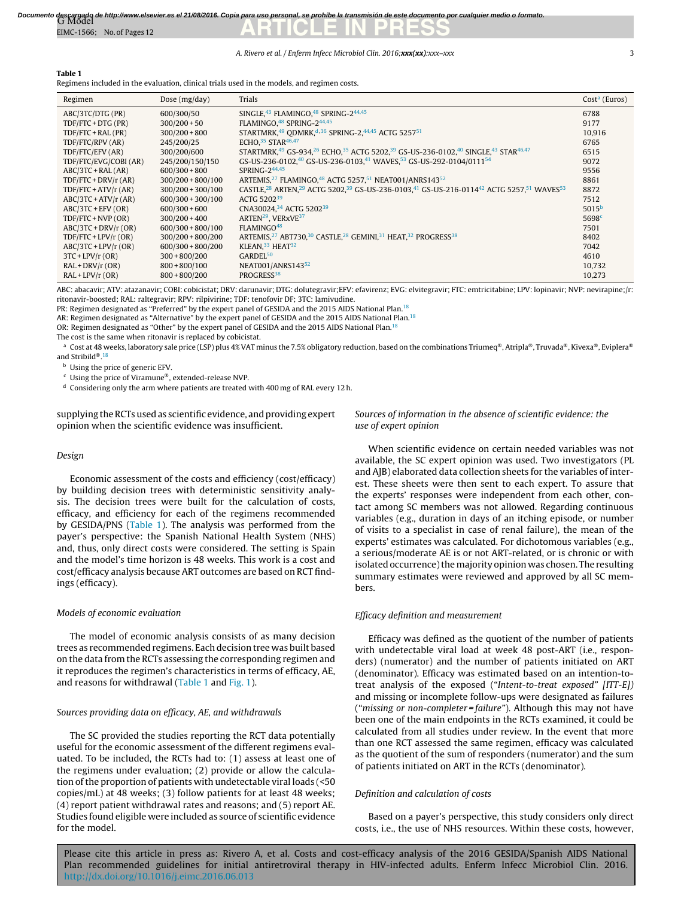#### A. Rivero et al. / Enferm Infecc Microbiol Clin. 2016;xxx(xx):xxx–xxx

#### <span id="page-2-0"></span>Table 1

Regimens included in the evaluation, clinical trials used in the models, and regimen costs.

| Regimen                | Dose $(mg/day)$     | Trials                                                                                                                                                                      | $Costa$ (Euros)   |
|------------------------|---------------------|-----------------------------------------------------------------------------------------------------------------------------------------------------------------------------|-------------------|
| ABC/3TC/DTG (PR)       | 600/300/50          | SINGLE, 43 FLAMINGO, 48 SPRING-244,45                                                                                                                                       | 6788              |
| TDF/FTC + DTG (PR)     | $300/200 + 50$      | FLAMINGO. <sup>48</sup> SPRING-2 <sup>44,45</sup>                                                                                                                           | 9177              |
| TDF/FTC + RAL (PR)     | $300/200 + 800$     | STARTMRK, <sup>49</sup> QDMRK, <sup>d,36</sup> SPRING-2, <sup>44,45</sup> ACTG 5257 <sup>51</sup>                                                                           | 10.916            |
| TDF/FTC/RPV (AR)       | 245/200/25          | ECHO. $35$ STAR $46,47$                                                                                                                                                     | 6765              |
| TDF/FTC/EFV (AR)       | 300/200/600         | STARTMRK, <sup>49</sup> GS-934, <sup>26</sup> ECHO, <sup>35</sup> ACTG 5202, <sup>39</sup> GS-US-236-0102, <sup>40</sup> SINGLE, <sup>43</sup> STAR <sup>46,47</sup>        | 6515              |
| TDF/FTC/EVG/COBI (AR)  | 245/200/150/150     | GS-US-236-0102,40 GS-US-236-0103,41 WAVES,53 GS-US-292-0104/011154                                                                                                          | 9072              |
| $ABC/3TC + RAL(AR)$    | $600/300 + 800$     | SPRING-244,45                                                                                                                                                               | 9556              |
| $TDF/FTC + DRV/r (AR)$ | $300/200 + 800/100$ | ARTEMIS, <sup>27</sup> FLAMINGO, <sup>48</sup> ACTG 5257, <sup>51</sup> NEAT001/ANRS143 <sup>52</sup>                                                                       | 8861              |
| $TDF/FTC + ATV/r (AR)$ | $300/200 + 300/100$ | CASTLE, <sup>28</sup> ARTEN, <sup>29</sup> ACTG 5202, <sup>39</sup> GS-US-236-0103, <sup>41</sup> GS-US-216-0114 <sup>42</sup> ACTG 5257, <sup>51</sup> WAVES <sup>53</sup> | 8872              |
| $ABC/3TC + ATV/r (AR)$ | $600/300 + 300/100$ | ACTG 520239                                                                                                                                                                 | 7512              |
| $ABC/3TC + EFV (OR)$   | $600/300 + 600$     | CNA30024. <sup>34</sup> ACTG 5202 <sup>39</sup>                                                                                                                             | 5015 <sup>b</sup> |
| $TDF/FTC + NVP (OR)$   | $300/200 + 400$     | $ARTEN29$ . VERxVE <sup>37</sup>                                                                                                                                            | 5698 <sup>c</sup> |
| $ABC/3TC + DRV/r (OR)$ | $600/300 + 800/100$ | FLAMINGO <sup>48</sup>                                                                                                                                                      | 7501              |
| $TDF/FTC + LPV/r (OR)$ | $300/200 + 800/200$ | ARTEMIS, <sup>27</sup> ABT730, <sup>30</sup> CASTLE, <sup>28</sup> GEMINI, <sup>31</sup> HEAT, <sup>32</sup> PROGRESS <sup>38</sup>                                         | 8402              |
| $ABC/3TC + LPV/r (OR)$ | $600/300 + 800/200$ | KLEAN. <sup>33</sup> HEAT <sup>32</sup>                                                                                                                                     | 7042              |
| $3TC + LPV/r (OR)$     | $300 + 800/200$     | GARDEL <sup>50</sup>                                                                                                                                                        | 4610              |
| $RAL + DRV/r (OR)$     | $800 + 800/100$     | NEAT001/ANRS14352                                                                                                                                                           | 10,732            |
| $RAL + LPV/r (OR)$     | $800 + 800/200$     | PROGRESS <sup>38</sup>                                                                                                                                                      | 10,273            |

ABC: abacavir; ATV: atazanavir; COBI: cobicistat; DRV: darunavir; DTG: dolutegravir;EFV: efavirenz; EVG: elvitegravir; FTC: emtricitabine; LPV: lopinavir; NVP: nevirapine;/r: ritonavir-boosted; RAL: raltegravir; RPV: rilpivirine; TDF: tenofovir DF; 3TC: lamivudine.

PR: Regimen designated as "Preferred" by the expert panel of GESIDA and the 2015 AIDS National Plan.<sup>[18](#page-10-0)</sup>

AR: Regimen designated as "Alternative" by the expert panel of GESIDA and the 2015 AIDS National Plan.[18](#page-10-0)

OR: Regimen designated as "Other" by the expert panel of GESIDA and the 2015 AIDS National Plan.[18](#page-10-0)

The cost is the same when ritonavir is replaced by cobicistat.

a Cost at 48 weeks, laboratory sale price (LSP) plus 4% VAT minus the 7.5% obligatory reduction, based on the combinations Triumeq®, Atripla®, Truvada®, Kivexa®, Eviplera® and Stribild<sup>®</sup>.<sup>[18](#page-10-0)</sup>

<sup>b</sup> Using the price of generic EFV.

<sup>c</sup> Using the price of Viramune®, extended-release NVP.

<sup>d</sup> Considering only the arm where patients are treated with 400 mg of RAL every 12 h.

supplying the RCTs used as scientific evidence, and providing expert opinion when the scientific evidence was insufficient.

#### Design

Economic assessment of the costs and efficiency (cost/efficacy) by building decision trees with deterministic sensitivity analysis. The decision trees were built for the calculation of costs, efficacy, and efficiency for each of the regimens recommended by GESIDA/PNS (Table 1). The analysis was performed from the payer's perspective: the Spanish National Health System (NHS) and, thus, only direct costs were considered. The setting is Spain and the model's time horizon is 48 weeks. This work is a cost and cost/efficacy analysis because ART outcomes are based on RCT findings (efficacy).

#### Models of economic evaluation

The model of economic analysis consists of as many decision trees as recommended regimens. Each decision tree was built based on the data from the RCTs assessing the corresponding regimen and it reproduces the regimen's characteristics in terms of efficacy, AE, and reasons for withdrawal (Table 1 and [Fig.](#page-3-0) 1).

#### Sources providing data on efficacy, AE, and withdrawals

The SC provided the studies reporting the RCT data potentially useful for the economic assessment of the different regimens evaluated. To be included, the RCTs had to: (1) assess at least one of the regimens under evaluation; (2) provide or allow the calculation of the proportion of patients with undetectable viral loads (<50 copies/mL) at 48 weeks; (3) follow patients for at least 48 weeks; (4) report patient withdrawal rates and reasons; and (5) report AE. Studies found eligible were included as source of scientific evidence for the model.

#### Sources of information in the absence of scientific evidence: the use of expert opinion

When scientific evidence on certain needed variables was not available, the SC expert opinion was used. Two investigators (PL and AJB) elaborated data collection sheets for the variables of interest. These sheets were then sent to each expert. To assure that the experts' responses were independent from each other, contact among SC members was not allowed. Regarding continuous variables (e.g., duration in days of an itching episode, or number of visits to a specialist in case of renal failure), the mean of the experts' estimates was calculated. For dichotomous variables (e.g., a serious/moderate AE is or not ART-related, or is chronic or with isolated occurrence) the majority opinion was chosen. The resulting summary estimates were reviewed and approved by all SC members.

#### Efficacy definition and measurement

Efficacy was defined as the quotient of the number of patients with undetectable viral load at week 48 post-ART (i.e., responders) (numerator) and the number of patients initiated on ART (denominator). Efficacy was estimated based on an intention-totreat analysis of the exposed ("Intent-to-treat exposed" [ITT-E]) and missing or incomplete follow-ups were designated as failures ("missing or non-completer = failure"). Although this may not have been one of the main endpoints in the RCTs examined, it could be calculated from all studies under review. In the event that more than one RCT assessed the same regimen, efficacy was calculated as the quotient of the sum of responders (numerator) and the sum of patients initiated on ART in the RCTs (denominator).

#### Definition and calculation of costs

Based on a payer's perspective, this study considers only direct costs, i.e., the use of NHS resources. Within these costs, however,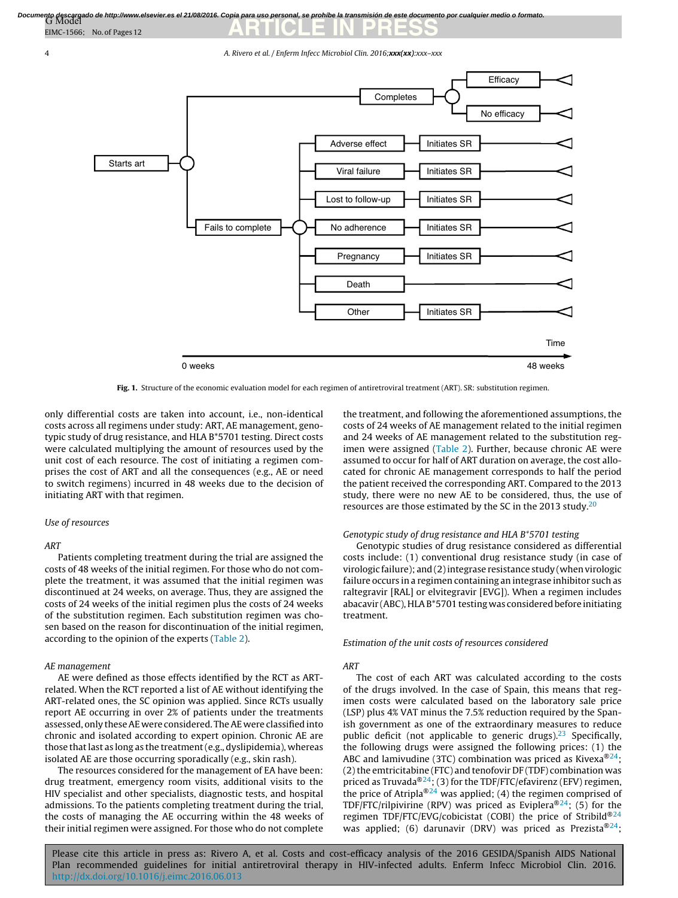<span id="page-3-0"></span>

4 A. Rivero et al. / Enferm Infecc Microbiol Clin. 2016; xxx(xx): xxx–xxx



Fig. 1. Structure of the economic evaluation model for each regimen of antiretroviral treatment (ART). SR: substitution regimen.

only differential costs are taken into account, i.e., non-identical costs across all regimens under study: ART, AE management, genotypic study of drug resistance, and HLA B\*5701 testing. Direct costs were calculated multiplying the amount of resources used by the unit cost of each resource. The cost of initiating a regimen comprises the cost of ART and all the consequences (e.g., AE or need to switch regimens) incurred in 48 weeks due to the decision of initiating ART with that regimen.

#### Use of resources

#### ART

Patients completing treatment during the trial are assigned the costs of 48 weeks of the initial regimen. For those who do not complete the treatment, it was assumed that the initial regimen was discontinued at 24 weeks, on average. Thus, they are assigned the costs of 24 weeks of the initial regimen plus the costs of 24 weeks of the substitution regimen. Each substitution regimen was chosen based on the reason for discontinuation of the initial regimen, according to the opinion of the experts ([Table](#page-4-0) 2).

#### AE management

AE were defined as those effects identified by the RCT as ARTrelated. When the RCT reported a list of AE without identifying the ART-related ones, the SC opinion was applied. Since RCTs usually report AE occurring in over 2% of patients under the treatments assessed, only these AE were considered. The AE were classified into chronic and isolated according to expert opinion. Chronic AE are those that last as long as the treatment (e.g., dyslipidemia), whereas isolated AE are those occurring sporadically (e.g., skin rash).

The resources considered for the management of EA have been: drug treatment, emergency room visits, additional visits to the HIV specialist and other specialists, diagnostic tests, and hospital admissions. To the patients completing treatment during the trial, the costs of managing the AE occurring within the 48 weeks of their initial regimen were assigned. For those who do not complete

the treatment, and following the aforementioned assumptions, the costs of 24 weeks of AE management related to the initial regimen and 24 weeks of AE management related to the substitution regimen were assigned [\(Table](#page-4-0) 2). Further, because chronic AE were assumed to occur for half of ART duration on average, the cost allocated for chronic AE management corresponds to half the period the patient received the corresponding ART. Compared to the 2013 study, there were no new AE to be considered, thus, the use of resources are those estimated by the SC in the [20](#page-10-0)13 study.<sup>20</sup>

#### Genotypic study of drug resistance and HLA B\*5701 testing

Genotypic studies of drug resistance considered as differential costs include: (1) conventional drug resistance study (in case of virologic failure); and(2)integrase resistance study (whenvirologic failure occurs in a regimen containing an integrase inhibitor such as raltegravir [RAL] or elvitegravir [EVG]). When a regimen includes abacavir (ABC), HLAB\*5701 testing was considered before initiating treatment.

#### Estimation of the unit costs of resources considered

#### ART

The cost of each ART was calculated according to the costs of the drugs involved. In the case of Spain, this means that regimen costs were calculated based on the laboratory sale price (LSP) plus 4% VAT minus the 7.5% reduction required by the Spanish government as one of the extraordinary measures to reduce public deficit (not applicable to generic drugs).<sup>[23](#page-10-0)</sup> Specifically, the following drugs were assigned the following prices: (1) the ABC and lamivudine (3TC) combination was priced as Kivexa<sup>®[24](#page-10-0)</sup>; (2) the emtricitabine (FTC) and tenofovir DF (TDF) combination was priced as Truvada®<sup>[24](#page-10-0)</sup>; (3) for the TDF/FTC/efavirenz (EFV) regimen, the price of Atripla<sup>®[24](#page-10-0)</sup> was applied; (4) the regimen comprised of TDF/FTC/rilpivirine (RPV) was priced as Eviplera<sup>®[24](#page-10-0)</sup>; (5) for the regimen TDF/FTC/EVG/cobicistat (COBI) the price of Stribild<sup>®[24](#page-10-0)</sup> was applied; (6) darunavir (DRV) was priced as Prezista<sup>®[24](#page-10-0)</sup>;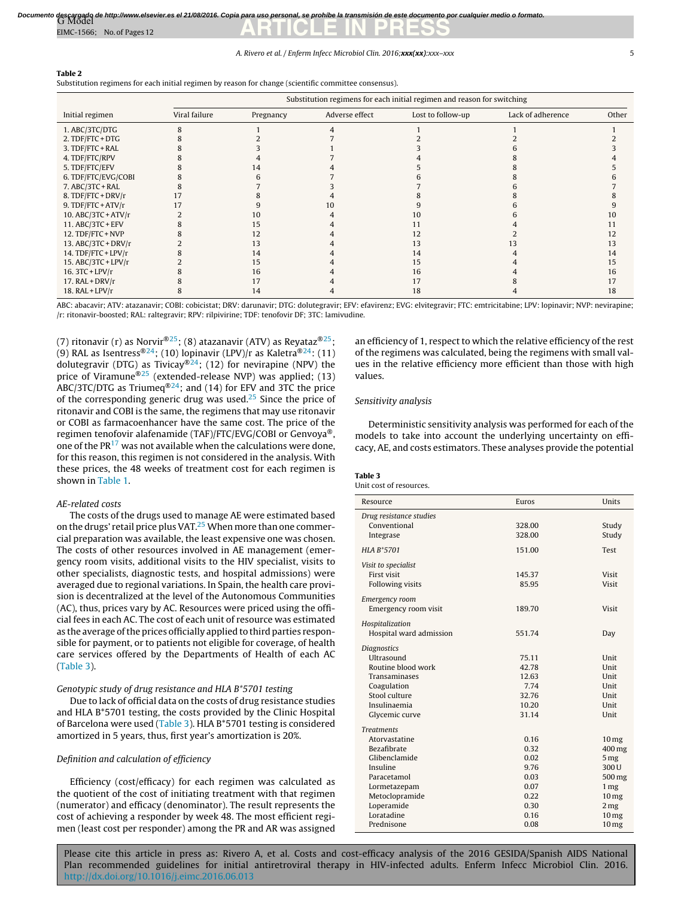#### A. Rivero et al. / Enferm Infecc Microbiol Clin. 2016; xxx(xx): xxx-xxx

| s. |  |
|----|--|
|    |  |

<span id="page-4-0"></span>

| abl<br>ч. |  |
|-----------|--|
|-----------|--|

Substitution regimens for each initial regimen by reason for change (scientific committee consensus).

|                        | Substitution regimens for each initial regimen and reason for switching |           |                |                   |                   |       |  |  |  |  |
|------------------------|-------------------------------------------------------------------------|-----------|----------------|-------------------|-------------------|-------|--|--|--|--|
| Initial regimen        | Viral failure                                                           | Pregnancy | Adverse effect | Lost to follow-up | Lack of adherence | Other |  |  |  |  |
| 1. ABC/3TC/DTG         |                                                                         |           |                |                   |                   |       |  |  |  |  |
| 2. TDF/FTC + DTG       |                                                                         |           |                |                   |                   |       |  |  |  |  |
| 3. TDF/FTC + RAL       |                                                                         |           |                |                   |                   |       |  |  |  |  |
| 4. TDF/FTC/RPV         |                                                                         |           |                |                   |                   |       |  |  |  |  |
| 5. TDF/FTC/EFV         |                                                                         |           |                |                   |                   |       |  |  |  |  |
| 6. TDF/FTC/EVG/COBI    |                                                                         |           |                |                   |                   |       |  |  |  |  |
| 7. ABC/3TC + RAL       |                                                                         |           |                |                   |                   |       |  |  |  |  |
| 8. TDF/FTC + DRV/ $r$  |                                                                         |           |                |                   |                   |       |  |  |  |  |
| 9. TDF/FTC + $ATV/r$   |                                                                         |           |                |                   |                   |       |  |  |  |  |
| 10. ABC/3TC + ATV/ $r$ |                                                                         |           |                |                   |                   |       |  |  |  |  |
| 11. ABC/3TC + EFV      |                                                                         |           |                |                   |                   |       |  |  |  |  |
| 12. TDF/FTC + NVP      |                                                                         |           |                |                   |                   | 12    |  |  |  |  |
| 13. $ABC/3TC + DRV/r$  |                                                                         | 13        |                |                   |                   | 13    |  |  |  |  |
| 14. TDF/FTC + LPV/ $r$ |                                                                         | 14        |                | 14                |                   | 14    |  |  |  |  |
| 15. ABC/3TC + LPV/ $r$ |                                                                         | 15        |                | 15                |                   | 15    |  |  |  |  |
| 16.3TC + $LPV/r$       |                                                                         | 16        |                | 16                |                   | 16    |  |  |  |  |
| 17. $RAL + DRV/r$      |                                                                         |           |                |                   |                   |       |  |  |  |  |
| 18. $RAL + LPV/r$      |                                                                         | 14        |                | 18                |                   | 18    |  |  |  |  |

ABC: abacavir; ATV: atazanavir; COBI: cobicistat; DRV: darunavir; DTG: dolutegravir; EFV: efavirenz; EVG: elvitegravir; FTC: emtricitabine; LPV: lopinavir; NVP: nevirapine; /r: ritonavir-boosted; RAL: raltegravir; RPV: rilpivirine; TDF: tenofovir DF; 3TC: lamivudine.

(7) ritonavir (r) as Norvir ${}^{\circledR25}$  ${}^{\circledR25}$  ${}^{\circledR25}$ ; (8) atazanavir (ATV) as Reyataz ${}^{\circledR25}$ ; (9) RAL as Isentress<sup>®[24](#page-10-0)</sup>; (10) lopinavir (LPV)/r as Kaletra<sup>®24</sup>: (11) dolutegravir (DTG) as Tivicay $^{\circledR\cdot 24}$  $^{\circledR\cdot 24}$  $^{\circledR\cdot 24}$ ; (12) for nevirapine (NPV) the price of Viramune®[25](#page-10-0) (extended-release NVP) was applied; (13) ABC/3TC/DTG as Triumeq ${}^{\circledR24}$  ${}^{\circledR24}$  ${}^{\circledR24}$ ; and (14) for EFV and 3TC the price of the corresponding generic drug was used. $25$  Since the price of ritonavir and COBI is the same, the regimens that may use ritonavir or COBI as farmacoenhancer have the same cost. The price of the regimen tenofovir alafenamide (TAF)/FTC/EVG/COBI or Genvoya®, one of the  $PR<sup>17</sup>$  $PR<sup>17</sup>$  $PR<sup>17</sup>$  was not available when the calculations were done, for this reason, this regimen is not considered in the analysis. With these prices, the 48 weeks of treatment cost for each regimen is shown in [Table](#page-2-0) 1.

#### AE-related costs

The costs of the drugs used to manage AE were estimated based on the drugs' retail price plus VAT.[25](#page-10-0) When more than one commercial preparation was available, the least expensive one was chosen. The costs of other resources involved in AE management (emergency room visits, additional visits to the HIV specialist, visits to other specialists, diagnostic tests, and hospital admissions) were averaged due to regional variations. In Spain, the health care provision is decentralized at the level of the Autonomous Communities (AC), thus, prices vary by AC. Resources were priced using the official fees in each AC. The cost of each unit of resource was estimated as the average of the prices officially applied to third parties responsible for payment, or to patients not eligible for coverage, of health care services offered by the Departments of Health of each AC (Table 3).

#### Genotypic study of drug resistance and HLA B\*5701 testing

Due to lack of official data on the costs of drug resistance studies and HLA B\*5701 testing, the costs provided by the Clinic Hospital of Barcelona were used (Table 3). HLA B\*5701 testing is considered amortized in 5 years, thus, first year's amortization is 20%.

#### Definition and calculation of efficiency

Efficiency (cost/efficacy) for each regimen was calculated as the quotient of the cost of initiating treatment with that regimen (numerator) and efficacy (denominator). The result represents the cost of achieving a responder by week 48. The most efficient regimen (least cost per responder) among the PR and AR was assigned

an efficiency of 1, respect to which the relative efficiency of the rest of the regimens was calculated, being the regimens with small values in the relative efficiency more efficient than those with high values.

#### Sensitivity analysis

Deterministic sensitivity analysis was performed for each of the models to take into account the underlying uncertainty on efficacy, AE, and costs estimators. These analyses provide the potential

#### Table 3

#### Unit cost of resources.

| Resource                | Euros  | Units            |
|-------------------------|--------|------------------|
| Drug resistance studies |        |                  |
| Conventional            | 328.00 | Study            |
| Integrase               | 328.00 | Study            |
| HIA B*5701              | 151.00 | Test             |
| Visit to specialist     |        |                  |
| <b>First visit</b>      | 145.37 | <b>Visit</b>     |
| <b>Following visits</b> | 85.95  | <b>Visit</b>     |
| Emergency room          |        |                  |
| Emergency room visit    | 189.70 | <b>Visit</b>     |
| Hospitalization         |        |                  |
| Hospital ward admission | 551.74 | Day              |
| <b>Diagnostics</b>      |        |                  |
| Ultrasound              | 75.11  | <b>Unit</b>      |
| Routine blood work      | 42.78  | Unit             |
| Transaminases           | 12.63  | Unit             |
| Coagulation             | 7.74   | Unit             |
| Stool culture           | 32.76  | Unit             |
| Insulinaemia            | 10.20  | Unit             |
| Glycemic curve          | 31.14  | Unit             |
| <b>Treatments</b>       |        |                  |
| Atorvastatine           | 0.16   | 10 <sub>mg</sub> |
| <b>Bezafibrate</b>      | 0.32   | 400 mg           |
| Glibenclamide           | 0.02   | 5 <sub>mg</sub>  |
| Insuline                | 9.76   | 300U             |
| Paracetamol             | 0.03   | 500 mg           |
| Lormetazepam            | 0.07   | 1 <sub>mg</sub>  |
| Metoclopramide          | 0.22   | 10 <sub>mg</sub> |
| Loperamide              | 0.30   | 2 <sub>mg</sub>  |
| Loratadine              | 0.16   | 10 <sub>mg</sub> |
| Prednisone              | 0.08   | 10 <sub>mg</sub> |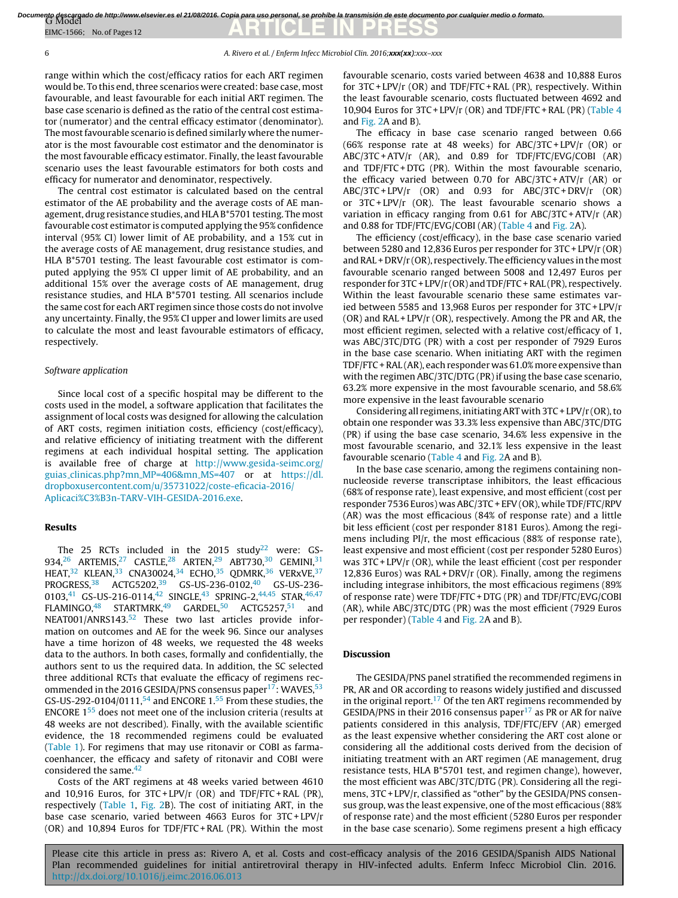range within which the cost/efficacy ratios for each ART regimen would be. To this end, three scenarios were created: base case, most favourable, and least favourable for each initial ART regimen. The base case scenario is defined as the ratio of the central cost estimator (numerator) and the central efficacy estimator (denominator). The most favourable scenario is defined similarly where the numerator is the most favourable cost estimator and the denominator is the most favourable efficacy estimator. Finally, the least favourable scenario uses the least favourable estimators for both costs and efficacy for numerator and denominator, respectively.

The central cost estimator is calculated based on the central estimator of the AE probability and the average costs of AE management, drug resistance studies, and HLAB\*5701 testing. The most favourable cost estimator is computed applying the 95% confidence interval (95% CI) lower limit of AE probability, and a 15% cut in the average costs of AE management, drug resistance studies, and HLA B\*5701 testing. The least favourable cost estimator is computed applying the 95% CI upper limit of AE probability, and an additional 15% over the average costs of AE management, drug resistance studies, and HLA B\*5701 testing. All scenarios include the same cost for each ART regimen since those costs do not involve any uncertainty. Finally, the 95% CI upper and lower limits are used to calculate the most and least favourable estimators of efficacy, respectively.

#### Software application

Since local cost of a specific hospital may be different to the costs used in the model, a software application that facilitates the assignment of local costs was designed for allowing the calculation of ART costs, regimen initiation costs, efficiency (cost/efficacy), and relative efficiency of initiating treatment with the different regimens at each individual hospital setting. The application is available free of charge at [http://www.gesida-seimc.org/](http://www.gesida-seimc.org/guias_clinicas.php?mn_MP=406&mn_MS=407) guias [clinicas.php?mn](http://www.gesida-seimc.org/guias_clinicas.php?mn_MP=406&mn_MS=407) MP=406&mn MS=407 or at [https://dl.](https://dl.dropboxusercontent.com/u/35731022/coste-eficacia-2016/Aplicaci%C3%B3n-TARV-VIH-GESIDA-2016.exe) [dropboxusercontent.com/u/35731022/coste-eficacia-2016/](https://dl.dropboxusercontent.com/u/35731022/coste-eficacia-2016/Aplicaci%C3%B3n-TARV-VIH-GESIDA-2016.exe) [Aplicaci%C3%B3n-TARV-VIH-GESIDA-2016.exe.](https://dl.dropboxusercontent.com/u/35731022/coste-eficacia-2016/Aplicaci%C3%B3n-TARV-VIH-GESIDA-2016.exe)

#### Results

The 25 RCTs included in the 2015 study<sup>[22](#page-10-0)</sup> were: GS-934,<sup>[26](#page-10-0)</sup> ARTEMIS,<sup>[27](#page-10-0)</sup> CASTLE,<sup>[28](#page-10-0)</sup> ARTEN,<sup>[29](#page-10-0)</sup> ABT7[30](#page-10-0),<sup>30</sup> GEMINI,<sup>[31](#page-10-0)</sup> HEAT,<sup>[32](#page-10-0)</sup> KLEAN,<sup>[33](#page-10-0)</sup> CNA30024,<sup>[34](#page-10-0)</sup> ECHO,<sup>[35](#page-10-0)</sup> QDMRK,<sup>[36](#page-10-0)</sup> VERxVE,<sup>[37](#page-10-0)</sup> PROGRESS, [38](#page-10-0) ACTG5202, [39](#page-10-0) GS-US-236-0102, [40](#page-10-0) GS-US-236-0103,<sup>[41](#page-10-0)</sup> GS-US-216-0114,<sup>[42](#page-10-0)</sup> SINGLE,<sup>[43](#page-10-0)</sup> SPRING-2,<sup>[44,45](#page-10-0)</sup> STAR,<sup>[46,47](#page-10-0)</sup> FLAMINGO,<sup>[48](#page-10-0)</sup> STARTMRK,<sup>[49](#page-10-0)</sup> GARDEL,<sup>[50](#page-11-0)</sup> ACTG5257,<sup>[51](#page-11-0)</sup> and NEAT001/ANRS143.<sup>[52](#page-11-0)</sup> These two last articles provide information on outcomes and AE for the week 96. Since our analyses have a time horizon of 48 weeks, we requested the 48 weeks data to the authors. In both cases, formally and confidentially, the authors sent to us the required data. In addition, the SC selected three additional RCTs that evaluate the efficacy of regimens rec-ommended in the 2016 GESIDA/PNS consensus paper<sup>[17](#page-10-0)</sup>: WAVES,<sup>[53](#page-11-0)</sup> GS-US-292-0104/0111,<sup>[54](#page-11-0)</sup> and ENCORE 1.<sup>[55](#page-11-0)</sup> From these studies, the ENCORE 1 [55](#page-11-0) does not meet one of the inclusion criteria (results at 48 weeks are not described). Finally, with the available scientific evidence, the 18 recommended regimens could be evaluated ([Table](#page-2-0) 1). For regimens that may use ritonavir or COBI as farmacoenhancer, the efficacy and safety of ritonavir and COBI were considered the same. $42$ 

Costs of the ART regimens at 48 weeks varied between 4610 and 10,916 Euros, for  $3TC+LPV/r$  (OR) and  $TDF/FTC+RAL$  (PR), respectively ([Table](#page-2-0) 1, [Fig.](#page-6-0) 2B). The cost of initiating ART, in the base case scenario, varied between 4663 Euros for 3TC + LPV/r (OR) and 10,894 Euros for TDF/FTC + RAL (PR). Within the most favourable scenario, costs varied between 4638 and 10,888 Euros for 3TC + LPV/r (OR) and TDF/FTC + RAL (PR), respectively. Within the least favourable scenario, costs fluctuated between 4692 and 10,904 Euros for 3TC + LPV/r (OR) and TDF/FTC + RAL (PR) [\(Table](#page-7-0) 4 and [Fig.](#page-6-0) 2A and B).

The efficacy in base case scenario ranged between 0.66 (66% response rate at 48 weeks) for ABC/3TC + LPV/r (OR) or ABC/3TC +ATV/r (AR), and 0.89 for TDF/FTC/EVG/COBI (AR) and TDF/FTC + DTG (PR). Within the most favourable scenario, the efficacy varied between 0.70 for ABC/3TC +ATV/r (AR) or ABC/3TC + LPV/r (OR) and 0.93 for ABC/3TC + DRV/r (OR) or 3TC + LPV/r (OR). The least favourable scenario shows a variation in efficacy ranging from 0.61 for ABC/3TC +ATV/r (AR) and 0.88 for TDF/FTC/EVG/COBI (AR) ([Table](#page-7-0) 4 and [Fig.](#page-6-0) 2A).

The efficiency (cost/efficacy), in the base case scenario varied between 5280 and 12,836 Euros per responder for 3TC + LPV/r (OR) and RAL +  $DRV/r$  (OR), respectively. The efficiency values in the most favourable scenario ranged between 5008 and 12,497 Euros per responder for 3TC + LPV/r (OR) and TDF/FTC + RAL (PR), respectively. Within the least favourable scenario these same estimates varied between 5585 and 13,968 Euros per responder for 3TC + LPV/r  $(OR)$  and RAL + LPV/r  $(OR)$ , respectively. Among the PR and AR, the most efficient regimen, selected with a relative cost/efficacy of 1, was ABC/3TC/DTG (PR) with a cost per responder of 7929 Euros in the base case scenario. When initiating ART with the regimen TDF/FTC + RAL (AR), each responder was 61.0% more expensive than with the regimen ABC/3TC/DTG (PR) if using the base case scenario, 63.2% more expensive in the most favourable scenario, and 58.6% more expensive in the least favourable scenario

Considering all regimens, initiatingART with 3TC + LPV/r (OR),to obtain one responder was 33.3% less expensive than ABC/3TC/DTG (PR) if using the base case scenario, 34.6% less expensive in the most favourable scenario, and 32.1% less expensive in the least favourable scenario [\(Table](#page-7-0) 4 and [Fig.](#page-6-0) 2A and B).

In the base case scenario, among the regimens containing nonnucleoside reverse transcriptase inhibitors, the least efficacious (68% of response rate), least expensive, and most efficient (cost per responder 7536 Euros) was ABC/3TC + EFV (OR), while TDF/FTC/RPV (AR) was the most efficacious (84% of response rate) and a little bit less efficient (cost per responder 8181 Euros). Among the regimens including PI/r, the most efficacious (88% of response rate), least expensive and most efficient (cost per responder 5280 Euros) was 3TC + LPV/r (OR), while the least efficient (cost per responder 12,836 Euros) was  $RAL + DRV/r$  (OR). Finally, among the regimens including integrase inhibitors, the most efficacious regimens (89% of response rate) were TDF/FTC + DTG (PR) and TDF/FTC/EVG/COBI (AR), while ABC/3TC/DTG (PR) was the most efficient (7929 Euros per responder) [\(Table](#page-7-0) 4 and [Fig.](#page-6-0) 2A and B).

#### **Discussion**

The GESIDA/PNS panel stratified the recommended regimens in PR, AR and OR according to reasons widely justified and discussed in the original report.<sup>[17](#page-10-0)</sup> Of the ten ART regimens recommended by GESIDA/PNS in their 2016 consensus paper<sup>[17](#page-10-0)</sup> as PR or AR for naïve patients considered in this analysis, TDF/FTC/EFV (AR) emerged as the least expensive whether considering the ART cost alone or considering all the additional costs derived from the decision of initiating treatment with an ART regimen (AE management, drug resistance tests, HLA B\*5701 test, and regimen change), however, the most efficient was ABC/3TC/DTG (PR). Considering all the regimens, 3TC + LPV/r, classified as "other" by the GESIDA/PNS consensus group, was the least expensive, one of the most efficacious (88% of response rate) and the most efficient (5280 Euros per responder in the base case scenario). Some regimens present a high efficacy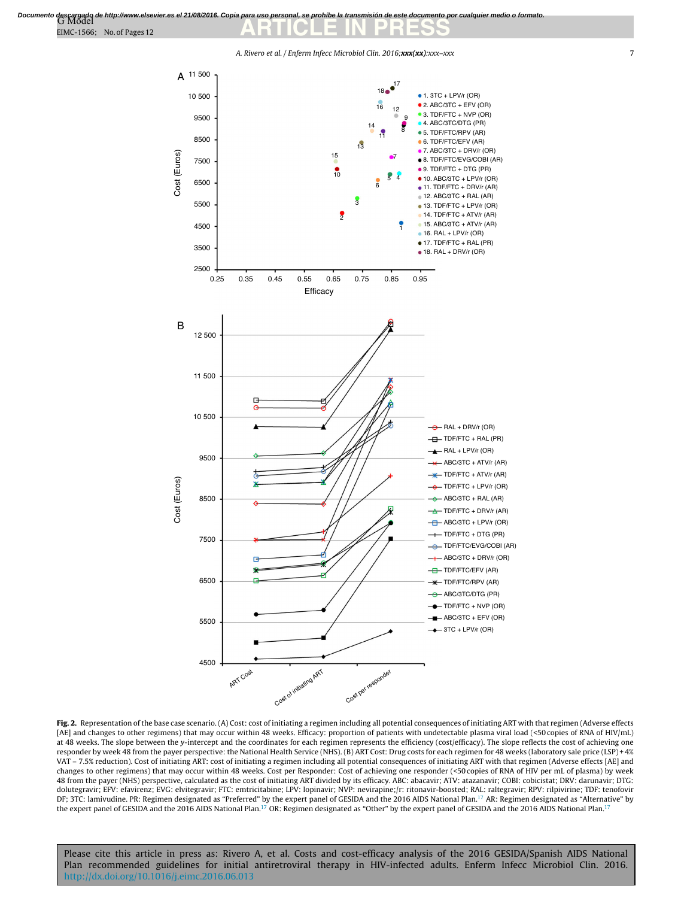A. Rivero et al. / Enferm Infecc Microbiol Clin. 2016;xxx(xx):xxx–xxx 7

<span id="page-6-0"></span>

Fig. 2. Representation of the base case scenario. (A) Cost: cost of initiating a regimen including all potential consequences of initiating ART with that regimen (Adverse effects [AE] and changes to other regimens) that may occur within 48 weeks. Efficacy: proportion of patients with undetectable plasma viral load (<50 copies of RNA of HIV/mL) at 48 weeks. The slope between the y-intercept and the coordinates for each regimen represents the efficiency (cost/efficacy). The slope reflects the cost of achieving one responder by week 48 from the payer perspective: the National Health Service (NHS). (B) ART Cost: Drug costs for each regimen for 48 weeks (laboratory sale price (LSP) + 4% VAT – 7.5% reduction). Cost of initiating ART: cost of initiating a regimen including all potential consequences of initiating ART with that regimen (Adverse effects [AE] and changes to other regimens) that may occur within 48 weeks. Cost per Responder: Cost of achieving one responder (<50 copies of RNA of HIV per mL of plasma) by week 48 from the payer (NHS) perspective, calculated as the cost of initiating ART divided by its efficacy. ABC: abacavir; ATV: atazanavir; COBI: cobicistat; DRV: darunavir; DTG: dolutegravir; EFV: efavirenz; EVG: elvitegravir; FTC: emtricitabine; LPV: lopinavir; NVP: nevirapine;/r: ritonavir-boosted; RAL: raltegravir; RPV: rilpivirine; TDF: tenofovir DF; 3TC: lamivudine. PR: Regimen designated as "Preferred" by the expert panel of GESIDA and the 2016 AIDS National Plan.<sup>[17](#page-10-0)</sup> AR: Regimen designated as "Alternative" by the expert panel of GESIDA and the 2016 AIDS National Plan.<sup>[17](#page-10-0)</sup> OR: Regimen designated as "Other" by the expert panel of GESIDA and the 2016 AIDS National Plan.<sup>17</sup>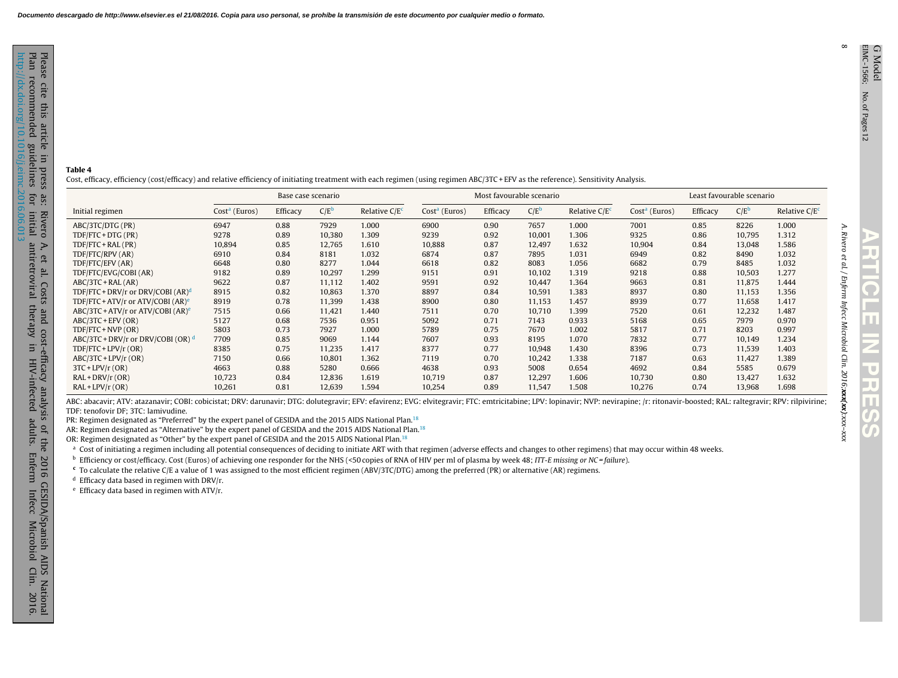$\infty$ 

### Table 4

Please

Plan

<span id="page-7-0"></span>http://dx

[http://dx.doi.org/10.1016/j.eimc.2016.06.013](dx.doi.org/10.1016/j.eimc.2016.06.013)

cite

Cost, efficacy, efficiency (cost/efficacy) and relative efficiency of initiating treatment with each regimen (using regimen ABC/3TC + EFV as the reference). Sensitivity Analysis.

|                                               | Base case scenario |          |         |                 | Most favourable scenario |          |         | Least favourable scenario |                 |          |         |                 |
|-----------------------------------------------|--------------------|----------|---------|-----------------|--------------------------|----------|---------|---------------------------|-----------------|----------|---------|-----------------|
| Initial regimen                               | $Costa$ (Euros)    | Efficacy | $C/E^b$ | Relative $C/Ec$ | $Costa$ (Euros)          | Efficacy | $C/E^b$ | Relative $C/Ec$           | $Costa$ (Euros) | Efficacy | $C/E^b$ | Relative $C/Ec$ |
| ABC/3TC/DTG (PR)                              | 6947               | 0.88     | 7929    | 1.000           | 6900                     | 0.90     | 7657    | 1.000                     | 7001            | 0.85     | 8226    | 1.000           |
| $TDF/FTC + DTG$ (PR)                          | 9278               | 0.89     | 10,380  | 1.309           | 9239                     | 0.92     | 10,001  | 1.306                     | 9325            | 0.86     | 10,795  | 1.312           |
| $TDF/FTC + RAL (PR)$                          | 10,894             | 0.85     | 12,765  | 1.610           | 10,888                   | 0.87     | 12,497  | 1.632                     | 10,904          | 0.84     | 13,048  | 1.586           |
| TDF/FTC/RPV (AR)                              | 6910               | 0.84     | 8181    | 1.032           | 6874                     | 0.87     | 7895    | 1.031                     | 6949            | 0.82     | 8490    | 1.032           |
| TDF/FTC/EFV (AR)                              | 6648               | 0.80     | 8277    | 1.044           | 6618                     | 0.82     | 8083    | 1.056                     | 6682            | 0.79     | 8485    | 1.032           |
| TDF/FTC/EVG/COBI (AR)                         | 9182               | 0.89     | 10,297  | 1.299           | 9151                     | 0.91     | 10,102  | 1.319                     | 9218            | 0.88     | 10,503  | 1.277           |
| $ABC/3TC + RAL(AR)$                           | 9622               | 0.87     | 11,112  | 1.402           | 9591                     | 0.92     | 10,447  | 1.364                     | 9663            | 0.81     | 11,875  | 1.444           |
| TDF/FTC + DRV/r or DRV/COBI (AR) <sup>d</sup> | 8915               | 0.82     | 10,863  | 1.370           | 8897                     | 0.84     | 10,591  | 1.383                     | 8937            | 0.80     | 11,153  | 1.356           |
| TDF/FTC + ATV/r or ATV/COBI $(AR)^e$          | 8919               | 0.78     | 11,399  | 1.438           | 8900                     | 0.80     | 11,153  | 1.457                     | 8939            | 0.77     | 11,658  | 1.417           |
| ABC/3TC + ATV/r or ATV/COBI $(AR)^e$          | 7515               | 0.66     | 11,421  | 1.440           | 7511                     | 0.70     | 10,710  | 1.399                     | 7520            | 0.61     | 12,232  | 1.487           |
| $ABC/3TC + EFV (OR)$                          | 5127               | 0.68     | 7536    | 0.951           | 5092                     | 0.71     | 7143    | 0.933                     | 5168            | 0.65     | 7979    | 0.970           |
| $TDF/FTC + NVP (OR)$                          | 5803               | 0.73     | 7927    | 1.000           | 5789                     | 0.75     | 7670    | 1.002                     | 5817            | 0.71     | 8203    | 0.997           |
| ABC/3TC + DRV/r or DRV/COBI (OR) $d$          | 7709               | 0.85     | 9069    | 1.144           | 7607                     | 0.93     | 8195    | 1.070                     | 7832            | 0.77     | 10,149  | 1.234           |
| $TDF/FTC + LPV/r (OR)$                        | 8385               | 0.75     | 11,235  | 1.417           | 8377                     | 0.77     | 10,948  | 1.430                     | 8396            | 0.73     | 11,539  | 1.403           |
| $ABC/3TC + LPV/r (OR)$                        | 7150               | 0.66     | 10,801  | 1.362           | 7119                     | 0.70     | 10,242  | 1.338                     | 7187            | 0.63     | 11,427  | 1.389           |
| $3TC + LPV/r (OR)$                            | 4663               | 0.88     | 5280    | 0.666           | 4638                     | 0.93     | 5008    | 0.654                     | 4692            | 0.84     | 5585    | 0.679           |
| $RAL + DRV/r (OR)$                            | 10,723             | 0.84     | 12,836  | 1.619           | 10,719                   | 0.87     | 12,297  | 1.606                     | 10,730          | 0.80     | 13,427  | 1.632           |
| $RAL + LPV/r (OR)$                            | 10,261             | 0.81     | 12,639  | 1.594           | 10,254                   | 0.89     | 11,547  | 1.508                     | 10,276          | 0.74     | 13,968  | 1.698           |

ABC: abacavir; ATV: atazanavir; COBI: cobicistat; DRV: darunavir; DTG: dolutegravir; EFV: efavirenz; EVG: elvitegravir; FTC: emtricitabine; LPV: lopinavir; NVP: nevirapine; /r: ritonavir-boosted; RAL: raltegravir; RPV: ril TDF: tenofovir DF; 3TC: lamivudine.

PR: Regimen designated as "Preferred" by the expert panel of GESIDA and the 2015 AIDS National Plan.[18](#page-10-0)

AR: Regimen designated as "Alternative" by the expert panel of GESIDA and the 2015 AIDS National Plan.[18](#page-10-0)

OR: Regimen designated as "Other" by the expert panel of GESIDA and the 2015 AIDS National Plan.[18](#page-10-0)

<sup>a</sup> Cost of initiating a regimen including all potential consequences of deciding to initiate ART with that regimen (adverse effects and changes to other regimens) that may occur within 48 weeks.

 $b$  Efficiency or cost/efficacy. Cost (Euros) of achieving one responder for the NHS (<50 copies of RNA of HIV per ml of plasma by week 48; ITT-E missing or NC = failure).

<sup>c</sup> To calculate the relative C/E a value of 1 was assigned to the most efficient regimen (ABV/3TC/DTG) among the preferred (PR) or alternative (AR) regimens.

 $d$  Efficacy data based in regimen with DRV/r.

 $e$  Efficacy data based in regimen with ATV/r.

Infecc

Microbiol

Clin. 2016;xxx(xx)

:xxx–xxx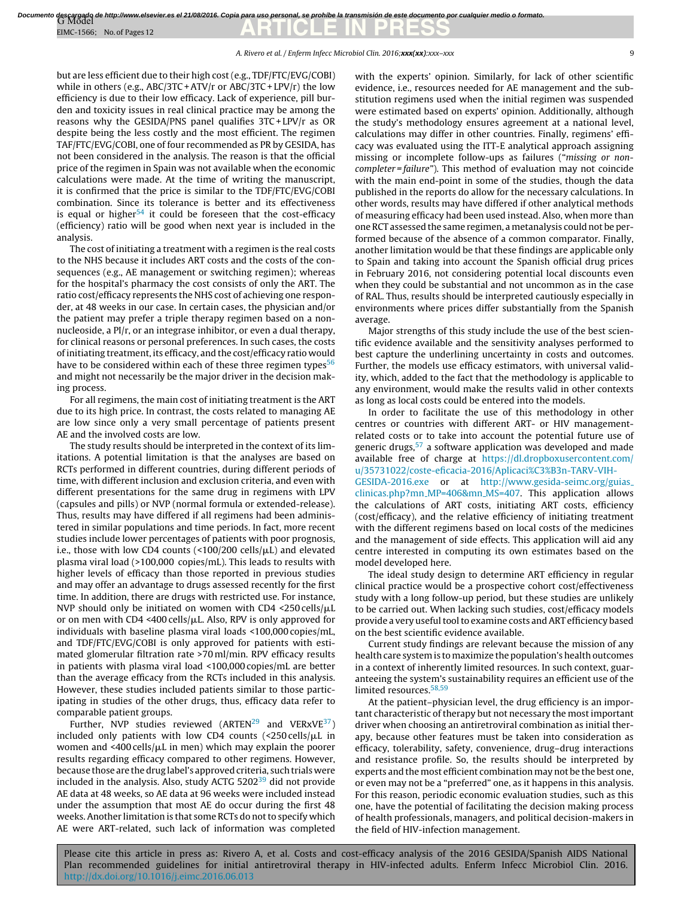but are less efficient due to their high cost (e.g., TDF/FTC/EVG/COBI) while in others (e.g., ABC/3TC + ATV/r or ABC/3TC + LPV/r) the low efficiency is due to their low efficacy. Lack of experience, pill burden and toxicity issues in real clinical practice may be among the reasons why the GESIDA/PNS panel qualifies 3TC + LPV/r as OR despite being the less costly and the most efficient. The regimen TAF/FTC/EVG/COBI, one of four recommended as PR by GESIDA, has not been considered in the analysis. The reason is that the official price of the regimen in Spain was not available when the economic calculations were made. At the time of writing the manuscript, it is confirmed that the price is similar to the TDF/FTC/EVG/COBI combination. Since its tolerance is better and its effectiveness is equal or higher $54$  it could be foreseen that the cost-efficacy (efficiency) ratio will be good when next year is included in the analysis.

The cost of initiating a treatment with a regimen is the real costs to the NHS because it includes ART costs and the costs of the consequences (e.g., AE management or switching regimen); whereas for the hospital's pharmacy the cost consists of only the ART. The ratio cost/efficacy represents the NHS cost of achieving one responder, at 48 weeks in our case. In certain cases, the physician and/or the patient may prefer a triple therapy regimen based on a nonnucleoside, a PI/r, or an integrase inhibitor, or even a dual therapy, for clinical reasons or personal preferences. In such cases, the costs ofinitiating treatment, its efficacy, and the cost/efficacy ratio would have to be considered within each of these three regimen types $56$ and might not necessarily be the major driver in the decision making process.

For all regimens, the main cost of initiating treatment is the ART due to its high price. In contrast, the costs related to managing AE are low since only a very small percentage of patients present AE and the involved costs are low.

The study results should be interpreted in the context of its limitations. A potential limitation is that the analyses are based on RCTs performed in different countries, during different periods of time, with different inclusion and exclusion criteria, and even with different presentations for the same drug in regimens with LPV (capsules and pills) or NVP (normal formula or extended-release). Thus, results may have differed if all regimens had been administered in similar populations and time periods. In fact, more recent studies include lower percentages of patients with poor prognosis, i.e., those with low CD4 counts (<100/200 cells/ $\mu$ L) and elevated plasma viral load (>100,000 copies/mL). This leads to results with higher levels of efficacy than those reported in previous studies and may offer an advantage to drugs assessed recently for the first time. In addition, there are drugs with restricted use. For instance, NVP should only be initiated on women with CD4 <250 cells/ $\mu$ L or on men with CD4 <400 cells/ $\mu$ L. Also, RPV is only approved for individuals with baseline plasma viral loads <100,000 copies/mL, and TDF/FTC/EVG/COBI is only approved for patients with estimated glomerular filtration rate >70 ml/min. RPV efficacy results in patients with plasma viral load <100,000 copies/mL are better than the average efficacy from the RCTs included in this analysis. However, these studies included patients similar to those participating in studies of the other drugs, thus, efficacy data refer to comparable patient groups.

Further, NVP studies reviewed ( $ARTEN^{29}$  $ARTEN^{29}$  $ARTEN^{29}$  and  $VERxVE^{37}$  $VERxVE^{37}$  $VERxVE^{37}$ ) included only patients with low CD4 counts (<250 cells/ $\mu$ L in women and <400 cells/ $\mu$ L in men) which may explain the poorer results regarding efficacy compared to other regimens. However, because those are the drug label's approved criteria, such trials were included in the analysis. Also, study ACTG 5202[39](#page-10-0) did not provide AE data at 48 weeks, so AE data at 96 weeks were included instead under the assumption that most AE do occur during the first 48 weeks. Another limitation is that some RCTs do not to specify which AE were ART-related, such lack of information was completed

with the experts' opinion. Similarly, for lack of other scientific evidence, i.e., resources needed for AE management and the substitution regimens used when the initial regimen was suspended were estimated based on experts' opinion. Additionally, although the study's methodology ensures agreement at a national level, calculations may differ in other countries. Finally, regimens' efficacy was evaluated using the ITT-E analytical approach assigning missing or incomplete follow-ups as failures ("missing or noncompleter = failure"). This method of evaluation may not coincide with the main end-point in some of the studies, though the data published in the reports do allow for the necessary calculations. In other words, results may have differed if other analytical methods of measuring efficacy had been used instead. Also, when more than one RCT assessed the same regimen, a metanalysis could not be performed because of the absence of a common comparator. Finally, another limitation would be that these findings are applicable only to Spain and taking into account the Spanish official drug prices in February 2016, not considering potential local discounts even when they could be substantial and not uncommon as in the case of RAL. Thus, results should be interpreted cautiously especially in environments where prices differ substantially from the Spanish average.

Major strengths of this study include the use of the best scientific evidence available and the sensitivity analyses performed to best capture the underlining uncertainty in costs and outcomes. Further, the models use efficacy estimators, with universal validity, which, added to the fact that the methodology is applicable to any environment, would make the results valid in other contexts as long as local costs could be entered into the models.

In order to facilitate the use of this methodology in other centres or countries with different ART- or HIV managementrelated costs or to take into account the potential future use of generic drugs, $57$  a software application was developed and made available free of charge at [https://dl.dropboxusercontent.com/](https://dl.dropboxusercontent.com/u/35731022/coste-eficacia-2016/Aplicaci%C3%B3n-TARV-VIH-GESIDA-2016.exe) [u/35731022/coste-eficacia-2016/Aplicaci%C3%B3n-TARV-VIH-](https://dl.dropboxusercontent.com/u/35731022/coste-eficacia-2016/Aplicaci%C3%B3n-TARV-VIH-GESIDA-2016.exe)[GESIDA-2016.exe](https://dl.dropboxusercontent.com/u/35731022/coste-eficacia-2016/Aplicaci%C3%B3n-TARV-VIH-GESIDA-2016.exe) or at [http://www.gesida-seimc.org/guias](http://www.gesida-seimc.org/guias_clinicas.php?mn_MP=406&mn_MS=407) [clinicas.php?mn](http://www.gesida-seimc.org/guias_clinicas.php?mn_MP=406&mn_MS=407) MP=406&mn MS=407. This application allows the calculations of ART costs, initiating ART costs, efficiency (cost/efficacy), and the relative efficiency of initiating treatment with the different regimens based on local costs of the medicines and the management of side effects. This application will aid any centre interested in computing its own estimates based on the model developed here.

The ideal study design to determine ART efficiency in regular clinical practice would be a prospective cohort cost/effectiveness study with a long follow-up period, but these studies are unlikely to be carried out. When lacking such studies, cost/efficacy models provide a very useful tool to examine costs and ART efficiency based on the best scientific evidence available.

Current study findings are relevant because the mission of any health care system is to maximize the population's health outcomes in a context of inherently limited resources. In such context, guaranteeing the system's sustainability requires an efficient use of the limited resources.<sup>[58,59](#page-11-0)</sup>

At the patient–physician level, the drug efficiency is an important characteristic of therapy but not necessary the most important driver when choosing an antiretroviral combination as initial therapy, because other features must be taken into consideration as efficacy, tolerability, safety, convenience, drug–drug interactions and resistance profile. So, the results should be interpreted by experts and the most efficient combination may not be the best one, or even may not be a "preferred" one, as it happens in this analysis. For this reason, periodic economic evaluation studies, such as this one, have the potential of facilitating the decision making process of health professionals, managers, and political decision-makers in the field of HIV-infection management.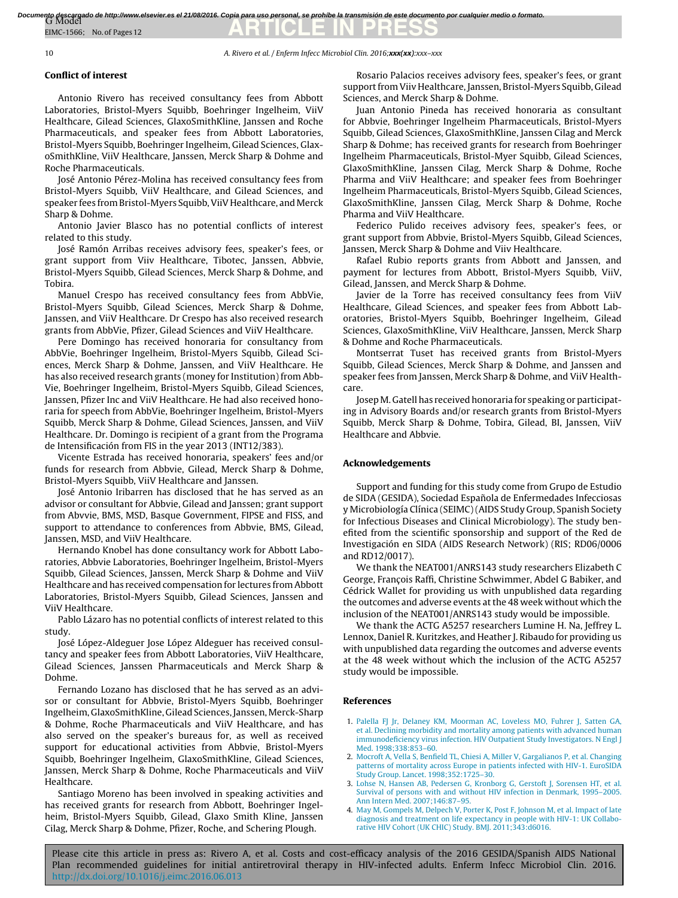#### Conflict of interest

Antonio Rivero has received consultancy fees from Abbott Laboratories, Bristol-Myers Squibb, Boehringer Ingelheim, ViiV Healthcare, Gilead Sciences, GlaxoSmithKline, Janssen and Roche Pharmaceuticals, and speaker fees from Abbott Laboratories, Bristol-Myers Squibb, Boehringer Ingelheim, Gilead Sciences, GlaxoSmithKline, ViiV Healthcare, Janssen, Merck Sharp & Dohme and Roche Pharmaceuticals.

José Antonio Pérez-Molina has received consultancy fees from Bristol-Myers Squibb, ViiV Healthcare, and Gilead Sciences, and speaker fees from Bristol-Myers Squibb, ViiV Healthcare, and Merck Sharp & Dohme.

Antonio Javier Blasco has no potential conflicts of interest related to this study.

José Ramón Arribas receives advisory fees, speaker's fees, or grant support from Viiv Healthcare, Tibotec, Janssen, Abbvie, Bristol-Myers Squibb, Gilead Sciences, Merck Sharp & Dohme, and Tobira.

Manuel Crespo has received consultancy fees from AbbVie, Bristol-Myers Squibb, Gilead Sciences, Merck Sharp & Dohme, Janssen, and ViiV Healthcare. Dr Crespo has also received research grants from AbbVie, Pfizer, Gilead Sciences and ViiV Healthcare.

Pere Domingo has received honoraria for consultancy from AbbVie, Boehringer Ingelheim, Bristol-Myers Squibb, Gilead Sciences, Merck Sharp & Dohme, Janssen, and ViiV Healthcare. He has also received research grants (money for Institution) from Abb-Vie, Boehringer Ingelheim, Bristol-Myers Squibb, Gilead Sciences, Janssen, Pfizer Inc and ViiV Healthcare. He had also received honoraria for speech from AbbVie, Boehringer Ingelheim, Bristol-Myers Squibb, Merck Sharp & Dohme, Gilead Sciences, Janssen, and ViiV Healthcare. Dr. Domingo is recipient of a grant from the Programa de Intensificación from FIS in the year 2013 (INT12/383).

Vicente Estrada has received honoraria, speakers' fees and/or funds for research from Abbvie, Gilead, Merck Sharp & Dohme, Bristol-Myers Squibb, ViiV Healthcare and Janssen.

José Antonio Iribarren has disclosed that he has served as an advisor or consultant for Abbvie, Gilead and Janssen; grant support from Abvvie, BMS, MSD, Basque Government, FIPSE and FISS, and support to attendance to conferences from Abbvie, BMS, Gilead, Janssen, MSD, and ViiV Healthcare.

Hernando Knobel has done consultancy work for Abbott Laboratories, Abbvie Laboratories, Boehringer Ingelheim, Bristol-Myers Squibb, Gilead Sciences, Janssen, Merck Sharp & Dohme and ViiV Healthcare and has received compensation for lectures from Abbott Laboratories, Bristol-Myers Squibb, Gilead Sciences, Janssen and ViiV Healthcare.

Pablo Lázaro has no potential conflicts of interest related to this study.

José López-Aldeguer Jose López Aldeguer has received consultancy and speaker fees from Abbott Laboratories, ViiV Healthcare, Gilead Sciences, Janssen Pharmaceuticals and Merck Sharp & Dohme.

Fernando Lozano has disclosed that he has served as an advisor or consultant for Abbvie, Bristol-Myers Squibb, Boehringer Ingelheim, GlaxoSmithKline, Gilead Sciences, Janssen, Merck-Sharp & Dohme, Roche Pharmaceuticals and ViiV Healthcare, and has also served on the speaker's bureaus for, as well as received support for educational activities from Abbvie, Bristol-Myers Squibb, Boehringer Ingelheim, GlaxoSmithKline, Gilead Sciences, Janssen, Merck Sharp & Dohme, Roche Pharmaceuticals and ViiV Healthcare.

Santiago Moreno has been involved in speaking activities and has received grants for research from Abbott, Boehringer Ingelheim, Bristol-Myers Squibb, Gilead, Glaxo Smith Kline, Janssen Cilag, Merck Sharp & Dohme, Pfizer, Roche, and Schering Plough.

Rosario Palacios receives advisory fees, speaker's fees, or grant support from Viiv Healthcare, Janssen, Bristol-Myers Squibb, Gilead Sciences, and Merck Sharp & Dohme.

Juan Antonio Pineda has received honoraria as consultant for Abbvie, Boehringer Ingelheim Pharmaceuticals, Bristol-Myers Squibb, Gilead Sciences, GlaxoSmithKline, Janssen Cilag and Merck Sharp & Dohme; has received grants for research from Boehringer Ingelheim Pharmaceuticals, Bristol-Myer Squibb, Gilead Sciences, GlaxoSmithKline, Janssen Cilag, Merck Sharp & Dohme, Roche Pharma and ViiV Healthcare; and speaker fees from Boehringer Ingelheim Pharmaceuticals, Bristol-Myers Squibb, Gilead Sciences, GlaxoSmithKline, Janssen Cilag, Merck Sharp & Dohme, Roche Pharma and ViiV Healthcare.

Federico Pulido receives advisory fees, speaker's fees, or grant support from Abbvie, Bristol-Myers Squibb, Gilead Sciences, Janssen, Merck Sharp & Dohme and Viiv Healthcare.

Rafael Rubio reports grants from Abbott and Janssen, and payment for lectures from Abbott, Bristol-Myers Squibb, ViiV, Gilead, Janssen, and Merck Sharp & Dohme.

Javier de la Torre has received consultancy fees from ViiV Healthcare, Gilead Sciences, and speaker fees from Abbott Laboratories, Bristol-Myers Squibb, Boehringer Ingelheim, Gilead Sciences, GlaxoSmithKline, ViiV Healthcare, Janssen, Merck Sharp & Dohme and Roche Pharmaceuticals.

Montserrat Tuset has received grants from Bristol-Myers Squibb, Gilead Sciences, Merck Sharp & Dohme, and Janssen and speaker fees from Janssen, Merck Sharp & Dohme, and ViiV Healthcare.

Josep M. Gatell has received honoraria for speaking or participating in Advisory Boards and/or research grants from Bristol-Myers Squibb, Merck Sharp & Dohme, Tobira, Gilead, BI, Janssen, ViiV Healthcare and Abbvie.

#### Acknowledgements

Support and funding for this study come from Grupo de Estudio de SIDA (GESIDA), Sociedad Española de Enfermedades Infecciosas y Microbiología Clínica (SEIMC)(AIDS Study Group, Spanish Society for Infectious Diseases and Clinical Microbiology). The study benefited from the scientific sponsorship and support of the Red de Investigación en SIDA (AIDS Research Network) (RIS; RD06/0006 and RD12/0017).

We thank the NEAT001/ANRS143 study researchers Elizabeth C George, François Raffi, Christine Schwimmer, Abdel G Babiker, and Cédrick Wallet for providing us with unpublished data regarding the outcomes and adverse events at the 48 week without which the inclusion of the NEAT001/ANRS143 study would be impossible.

We thank the ACTG A5257 researchers Lumine H. Na, Jeffrey L. Lennox, Daniel R. Kuritzkes, and Heather J. Ribaudo for providing us with unpublished data regarding the outcomes and adverse events at the 48 week without which the inclusion of the ACTG A5257 study would be impossible.

#### References

- 1. [Palella](http://refhub.elsevier.com/S0213-005X(16)30159-8/sbref0300) [FJ](http://refhub.elsevier.com/S0213-005X(16)30159-8/sbref0300) [Jr,](http://refhub.elsevier.com/S0213-005X(16)30159-8/sbref0300) [Delaney](http://refhub.elsevier.com/S0213-005X(16)30159-8/sbref0300) [KM,](http://refhub.elsevier.com/S0213-005X(16)30159-8/sbref0300) [Moorman](http://refhub.elsevier.com/S0213-005X(16)30159-8/sbref0300) [AC,](http://refhub.elsevier.com/S0213-005X(16)30159-8/sbref0300) [Loveless](http://refhub.elsevier.com/S0213-005X(16)30159-8/sbref0300) [MO,](http://refhub.elsevier.com/S0213-005X(16)30159-8/sbref0300) [Fuhrer](http://refhub.elsevier.com/S0213-005X(16)30159-8/sbref0300) [J,](http://refhub.elsevier.com/S0213-005X(16)30159-8/sbref0300) [Satten](http://refhub.elsevier.com/S0213-005X(16)30159-8/sbref0300) [GA,](http://refhub.elsevier.com/S0213-005X(16)30159-8/sbref0300) [et](http://refhub.elsevier.com/S0213-005X(16)30159-8/sbref0300) [al.](http://refhub.elsevier.com/S0213-005X(16)30159-8/sbref0300) [Declining](http://refhub.elsevier.com/S0213-005X(16)30159-8/sbref0300) [morbidity](http://refhub.elsevier.com/S0213-005X(16)30159-8/sbref0300) [and](http://refhub.elsevier.com/S0213-005X(16)30159-8/sbref0300) [mortality](http://refhub.elsevier.com/S0213-005X(16)30159-8/sbref0300) [among](http://refhub.elsevier.com/S0213-005X(16)30159-8/sbref0300) [patients](http://refhub.elsevier.com/S0213-005X(16)30159-8/sbref0300) [with](http://refhub.elsevier.com/S0213-005X(16)30159-8/sbref0300) [advanced](http://refhub.elsevier.com/S0213-005X(16)30159-8/sbref0300) [human](http://refhub.elsevier.com/S0213-005X(16)30159-8/sbref0300) [immunodeficiency](http://refhub.elsevier.com/S0213-005X(16)30159-8/sbref0300) [virus](http://refhub.elsevier.com/S0213-005X(16)30159-8/sbref0300) [infection.](http://refhub.elsevier.com/S0213-005X(16)30159-8/sbref0300) [HIV](http://refhub.elsevier.com/S0213-005X(16)30159-8/sbref0300) [Outpatient](http://refhub.elsevier.com/S0213-005X(16)30159-8/sbref0300) [Study](http://refhub.elsevier.com/S0213-005X(16)30159-8/sbref0300) [Investigators.](http://refhub.elsevier.com/S0213-005X(16)30159-8/sbref0300) [N](http://refhub.elsevier.com/S0213-005X(16)30159-8/sbref0300) [Engl](http://refhub.elsevier.com/S0213-005X(16)30159-8/sbref0300) [J](http://refhub.elsevier.com/S0213-005X(16)30159-8/sbref0300) [Med.](http://refhub.elsevier.com/S0213-005X(16)30159-8/sbref0300) [1998;338:853–60.](http://refhub.elsevier.com/S0213-005X(16)30159-8/sbref0300)
- 2. [Mocroft](http://refhub.elsevier.com/S0213-005X(16)30159-8/sbref0305) [A,](http://refhub.elsevier.com/S0213-005X(16)30159-8/sbref0305) [Vella](http://refhub.elsevier.com/S0213-005X(16)30159-8/sbref0305) [S,](http://refhub.elsevier.com/S0213-005X(16)30159-8/sbref0305) [Benfield](http://refhub.elsevier.com/S0213-005X(16)30159-8/sbref0305) [TL,](http://refhub.elsevier.com/S0213-005X(16)30159-8/sbref0305) [Chiesi](http://refhub.elsevier.com/S0213-005X(16)30159-8/sbref0305) [A,](http://refhub.elsevier.com/S0213-005X(16)30159-8/sbref0305) [Miller](http://refhub.elsevier.com/S0213-005X(16)30159-8/sbref0305) [V,](http://refhub.elsevier.com/S0213-005X(16)30159-8/sbref0305) [Gargalianos](http://refhub.elsevier.com/S0213-005X(16)30159-8/sbref0305) [P,](http://refhub.elsevier.com/S0213-005X(16)30159-8/sbref0305) [et](http://refhub.elsevier.com/S0213-005X(16)30159-8/sbref0305) [al.](http://refhub.elsevier.com/S0213-005X(16)30159-8/sbref0305) [Changing](http://refhub.elsevier.com/S0213-005X(16)30159-8/sbref0305) [patterns](http://refhub.elsevier.com/S0213-005X(16)30159-8/sbref0305) [of](http://refhub.elsevier.com/S0213-005X(16)30159-8/sbref0305) [mortality](http://refhub.elsevier.com/S0213-005X(16)30159-8/sbref0305) [across](http://refhub.elsevier.com/S0213-005X(16)30159-8/sbref0305) [Europe](http://refhub.elsevier.com/S0213-005X(16)30159-8/sbref0305) [in](http://refhub.elsevier.com/S0213-005X(16)30159-8/sbref0305) [patients](http://refhub.elsevier.com/S0213-005X(16)30159-8/sbref0305) [infected](http://refhub.elsevier.com/S0213-005X(16)30159-8/sbref0305) [with](http://refhub.elsevier.com/S0213-005X(16)30159-8/sbref0305) [HIV-1.](http://refhub.elsevier.com/S0213-005X(16)30159-8/sbref0305) [EuroSIDA](http://refhub.elsevier.com/S0213-005X(16)30159-8/sbref0305) [Study](http://refhub.elsevier.com/S0213-005X(16)30159-8/sbref0305) [Group.](http://refhub.elsevier.com/S0213-005X(16)30159-8/sbref0305) [Lancet.](http://refhub.elsevier.com/S0213-005X(16)30159-8/sbref0305) [1998;352:1725](http://refhub.elsevier.com/S0213-005X(16)30159-8/sbref0305)–[30.](http://refhub.elsevier.com/S0213-005X(16)30159-8/sbref0305)
- 3. [Lohse](http://refhub.elsevier.com/S0213-005X(16)30159-8/sbref0310) [N,](http://refhub.elsevier.com/S0213-005X(16)30159-8/sbref0310) [Hansen](http://refhub.elsevier.com/S0213-005X(16)30159-8/sbref0310) [AB,](http://refhub.elsevier.com/S0213-005X(16)30159-8/sbref0310) [Pedersen](http://refhub.elsevier.com/S0213-005X(16)30159-8/sbref0310) [G,](http://refhub.elsevier.com/S0213-005X(16)30159-8/sbref0310) [Kronborg](http://refhub.elsevier.com/S0213-005X(16)30159-8/sbref0310) [G,](http://refhub.elsevier.com/S0213-005X(16)30159-8/sbref0310) [Gerstoft](http://refhub.elsevier.com/S0213-005X(16)30159-8/sbref0310) [J,](http://refhub.elsevier.com/S0213-005X(16)30159-8/sbref0310) [Sorensen](http://refhub.elsevier.com/S0213-005X(16)30159-8/sbref0310) [HT,](http://refhub.elsevier.com/S0213-005X(16)30159-8/sbref0310) [et](http://refhub.elsevier.com/S0213-005X(16)30159-8/sbref0310) [al.](http://refhub.elsevier.com/S0213-005X(16)30159-8/sbref0310) [Survival](http://refhub.elsevier.com/S0213-005X(16)30159-8/sbref0310) [of](http://refhub.elsevier.com/S0213-005X(16)30159-8/sbref0310) [persons](http://refhub.elsevier.com/S0213-005X(16)30159-8/sbref0310) [with](http://refhub.elsevier.com/S0213-005X(16)30159-8/sbref0310) [and](http://refhub.elsevier.com/S0213-005X(16)30159-8/sbref0310) [without](http://refhub.elsevier.com/S0213-005X(16)30159-8/sbref0310) [HIV](http://refhub.elsevier.com/S0213-005X(16)30159-8/sbref0310) [infection](http://refhub.elsevier.com/S0213-005X(16)30159-8/sbref0310) [in](http://refhub.elsevier.com/S0213-005X(16)30159-8/sbref0310) [Denmark,](http://refhub.elsevier.com/S0213-005X(16)30159-8/sbref0310) [1995–2005.](http://refhub.elsevier.com/S0213-005X(16)30159-8/sbref0310) [Ann](http://refhub.elsevier.com/S0213-005X(16)30159-8/sbref0310) [Intern](http://refhub.elsevier.com/S0213-005X(16)30159-8/sbref0310) [Med.](http://refhub.elsevier.com/S0213-005X(16)30159-8/sbref0310) [2007;146:87–95.](http://refhub.elsevier.com/S0213-005X(16)30159-8/sbref0310)
- 4. [May](http://refhub.elsevier.com/S0213-005X(16)30159-8/sbref0315) [M,](http://refhub.elsevier.com/S0213-005X(16)30159-8/sbref0315) [Gompels](http://refhub.elsevier.com/S0213-005X(16)30159-8/sbref0315) [M,](http://refhub.elsevier.com/S0213-005X(16)30159-8/sbref0315) [Delpech](http://refhub.elsevier.com/S0213-005X(16)30159-8/sbref0315) [V,](http://refhub.elsevier.com/S0213-005X(16)30159-8/sbref0315) [Porter](http://refhub.elsevier.com/S0213-005X(16)30159-8/sbref0315) [K,](http://refhub.elsevier.com/S0213-005X(16)30159-8/sbref0315) [Post](http://refhub.elsevier.com/S0213-005X(16)30159-8/sbref0315) [F,](http://refhub.elsevier.com/S0213-005X(16)30159-8/sbref0315) [Johnson](http://refhub.elsevier.com/S0213-005X(16)30159-8/sbref0315) [M,](http://refhub.elsevier.com/S0213-005X(16)30159-8/sbref0315) [et](http://refhub.elsevier.com/S0213-005X(16)30159-8/sbref0315) [al.](http://refhub.elsevier.com/S0213-005X(16)30159-8/sbref0315) [Impact](http://refhub.elsevier.com/S0213-005X(16)30159-8/sbref0315) [of](http://refhub.elsevier.com/S0213-005X(16)30159-8/sbref0315) [late](http://refhub.elsevier.com/S0213-005X(16)30159-8/sbref0315) [diagnosis](http://refhub.elsevier.com/S0213-005X(16)30159-8/sbref0315) [and](http://refhub.elsevier.com/S0213-005X(16)30159-8/sbref0315) [treatment](http://refhub.elsevier.com/S0213-005X(16)30159-8/sbref0315) [on](http://refhub.elsevier.com/S0213-005X(16)30159-8/sbref0315) [life](http://refhub.elsevier.com/S0213-005X(16)30159-8/sbref0315) [expectancy](http://refhub.elsevier.com/S0213-005X(16)30159-8/sbref0315) [in](http://refhub.elsevier.com/S0213-005X(16)30159-8/sbref0315) [people](http://refhub.elsevier.com/S0213-005X(16)30159-8/sbref0315) [with](http://refhub.elsevier.com/S0213-005X(16)30159-8/sbref0315) [HIV-1:](http://refhub.elsevier.com/S0213-005X(16)30159-8/sbref0315) [UK](http://refhub.elsevier.com/S0213-005X(16)30159-8/sbref0315) [Collabo](http://refhub.elsevier.com/S0213-005X(16)30159-8/sbref0315)[rative](http://refhub.elsevier.com/S0213-005X(16)30159-8/sbref0315) [HIV](http://refhub.elsevier.com/S0213-005X(16)30159-8/sbref0315) [Cohort](http://refhub.elsevier.com/S0213-005X(16)30159-8/sbref0315) [\(UK](http://refhub.elsevier.com/S0213-005X(16)30159-8/sbref0315) [CHIC\)](http://refhub.elsevier.com/S0213-005X(16)30159-8/sbref0315) [Study.](http://refhub.elsevier.com/S0213-005X(16)30159-8/sbref0315) [BMJ.](http://refhub.elsevier.com/S0213-005X(16)30159-8/sbref0315) [2011;343:d6016.](http://refhub.elsevier.com/S0213-005X(16)30159-8/sbref0315)

<span id="page-9-0"></span>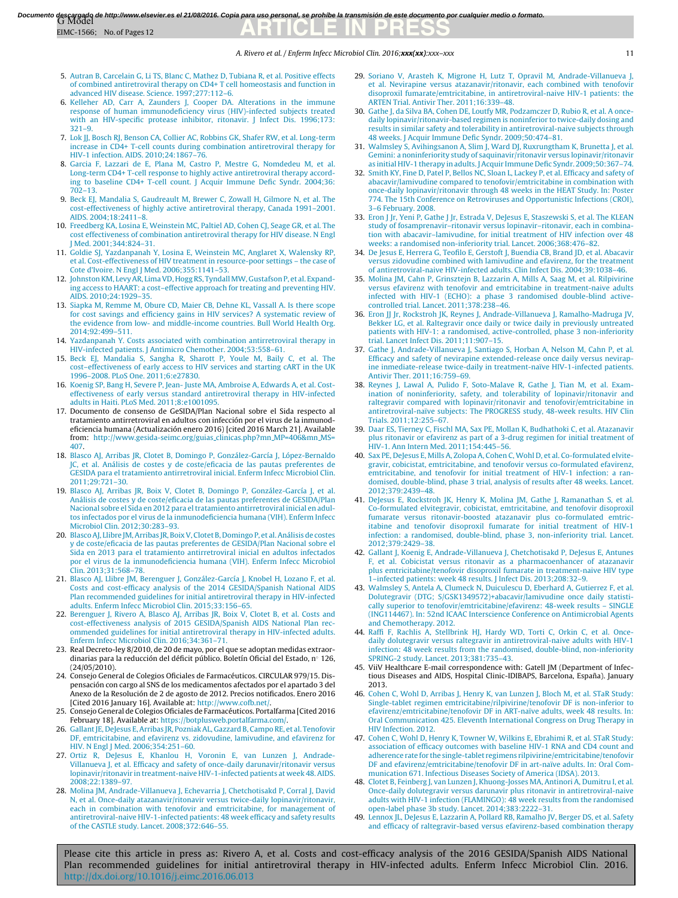<span id="page-10-0"></span>**Documento descargado de http://www.elsevier.es el 21/08/2016. Copia para uso personal, se prohíbe la transmisión de este documento por cualquier medio o formato.<br>EIMC-1566; No. of Pages 12** 

- 5. [Autran](http://refhub.elsevier.com/S0213-005X(16)30159-8/sbref0320) [B,](http://refhub.elsevier.com/S0213-005X(16)30159-8/sbref0320) [Carcelain](http://refhub.elsevier.com/S0213-005X(16)30159-8/sbref0320) [G,](http://refhub.elsevier.com/S0213-005X(16)30159-8/sbref0320) [Li](http://refhub.elsevier.com/S0213-005X(16)30159-8/sbref0320) [TS,](http://refhub.elsevier.com/S0213-005X(16)30159-8/sbref0320) [Blanc](http://refhub.elsevier.com/S0213-005X(16)30159-8/sbref0320) [C,](http://refhub.elsevier.com/S0213-005X(16)30159-8/sbref0320) [Mathez](http://refhub.elsevier.com/S0213-005X(16)30159-8/sbref0320) [D,](http://refhub.elsevier.com/S0213-005X(16)30159-8/sbref0320) [Tubiana](http://refhub.elsevier.com/S0213-005X(16)30159-8/sbref0320) [R,](http://refhub.elsevier.com/S0213-005X(16)30159-8/sbref0320) [et](http://refhub.elsevier.com/S0213-005X(16)30159-8/sbref0320) [al.](http://refhub.elsevier.com/S0213-005X(16)30159-8/sbref0320) [Positive](http://refhub.elsevier.com/S0213-005X(16)30159-8/sbref0320) [effects](http://refhub.elsevier.com/S0213-005X(16)30159-8/sbref0320) [of](http://refhub.elsevier.com/S0213-005X(16)30159-8/sbref0320) [combined](http://refhub.elsevier.com/S0213-005X(16)30159-8/sbref0320) [antiretroviral](http://refhub.elsevier.com/S0213-005X(16)30159-8/sbref0320) [therapy](http://refhub.elsevier.com/S0213-005X(16)30159-8/sbref0320) [on](http://refhub.elsevier.com/S0213-005X(16)30159-8/sbref0320) [CD4+](http://refhub.elsevier.com/S0213-005X(16)30159-8/sbref0320) [T](http://refhub.elsevier.com/S0213-005X(16)30159-8/sbref0320) [cell](http://refhub.elsevier.com/S0213-005X(16)30159-8/sbref0320) [homeostasis](http://refhub.elsevier.com/S0213-005X(16)30159-8/sbref0320) [and](http://refhub.elsevier.com/S0213-005X(16)30159-8/sbref0320) [function](http://refhub.elsevier.com/S0213-005X(16)30159-8/sbref0320) [in](http://refhub.elsevier.com/S0213-005X(16)30159-8/sbref0320) [advanced](http://refhub.elsevier.com/S0213-005X(16)30159-8/sbref0320) [HIV](http://refhub.elsevier.com/S0213-005X(16)30159-8/sbref0320) [disease.](http://refhub.elsevier.com/S0213-005X(16)30159-8/sbref0320) [Science.](http://refhub.elsevier.com/S0213-005X(16)30159-8/sbref0320) [1997;277:112](http://refhub.elsevier.com/S0213-005X(16)30159-8/sbref0320)–[6.](http://refhub.elsevier.com/S0213-005X(16)30159-8/sbref0320)
- 6. [Kelleher](http://refhub.elsevier.com/S0213-005X(16)30159-8/sbref0325) [AD,](http://refhub.elsevier.com/S0213-005X(16)30159-8/sbref0325) [Carr](http://refhub.elsevier.com/S0213-005X(16)30159-8/sbref0325) [A,](http://refhub.elsevier.com/S0213-005X(16)30159-8/sbref0325) [Zaunders](http://refhub.elsevier.com/S0213-005X(16)30159-8/sbref0325) [J,](http://refhub.elsevier.com/S0213-005X(16)30159-8/sbref0325) [Cooper](http://refhub.elsevier.com/S0213-005X(16)30159-8/sbref0325) [DA.](http://refhub.elsevier.com/S0213-005X(16)30159-8/sbref0325) [Alterations](http://refhub.elsevier.com/S0213-005X(16)30159-8/sbref0325) [in](http://refhub.elsevier.com/S0213-005X(16)30159-8/sbref0325) [the](http://refhub.elsevier.com/S0213-005X(16)30159-8/sbref0325) [immune](http://refhub.elsevier.com/S0213-005X(16)30159-8/sbref0325) [response](http://refhub.elsevier.com/S0213-005X(16)30159-8/sbref0325) [of](http://refhub.elsevier.com/S0213-005X(16)30159-8/sbref0325) [human](http://refhub.elsevier.com/S0213-005X(16)30159-8/sbref0325) [immunodeficiency](http://refhub.elsevier.com/S0213-005X(16)30159-8/sbref0325) [virus](http://refhub.elsevier.com/S0213-005X(16)30159-8/sbref0325) [\(HIV\)-infected](http://refhub.elsevier.com/S0213-005X(16)30159-8/sbref0325) [subjects](http://refhub.elsevier.com/S0213-005X(16)30159-8/sbref0325) [treated](http://refhub.elsevier.com/S0213-005X(16)30159-8/sbref0325) [with](http://refhub.elsevier.com/S0213-005X(16)30159-8/sbref0325) [an](http://refhub.elsevier.com/S0213-005X(16)30159-8/sbref0325) [HIV-specific](http://refhub.elsevier.com/S0213-005X(16)30159-8/sbref0325) [protease](http://refhub.elsevier.com/S0213-005X(16)30159-8/sbref0325) [inhibitor,](http://refhub.elsevier.com/S0213-005X(16)30159-8/sbref0325) [ritonavir.](http://refhub.elsevier.com/S0213-005X(16)30159-8/sbref0325) [J](http://refhub.elsevier.com/S0213-005X(16)30159-8/sbref0325) [Infect](http://refhub.elsevier.com/S0213-005X(16)30159-8/sbref0325) [Dis.](http://refhub.elsevier.com/S0213-005X(16)30159-8/sbref0325) [1996;173:](http://refhub.elsevier.com/S0213-005X(16)30159-8/sbref0325) [321–9.](http://refhub.elsevier.com/S0213-005X(16)30159-8/sbref0325)
- 7. [Lok](http://refhub.elsevier.com/S0213-005X(16)30159-8/sbref0330) [JJ,](http://refhub.elsevier.com/S0213-005X(16)30159-8/sbref0330) [Bosch](http://refhub.elsevier.com/S0213-005X(16)30159-8/sbref0330) [RJ,](http://refhub.elsevier.com/S0213-005X(16)30159-8/sbref0330) [Benson](http://refhub.elsevier.com/S0213-005X(16)30159-8/sbref0330) [CA,](http://refhub.elsevier.com/S0213-005X(16)30159-8/sbref0330) [Collier](http://refhub.elsevier.com/S0213-005X(16)30159-8/sbref0330) [AC,](http://refhub.elsevier.com/S0213-005X(16)30159-8/sbref0330) [Robbins](http://refhub.elsevier.com/S0213-005X(16)30159-8/sbref0330) [GK,](http://refhub.elsevier.com/S0213-005X(16)30159-8/sbref0330) [Shafer](http://refhub.elsevier.com/S0213-005X(16)30159-8/sbref0330) [RW,](http://refhub.elsevier.com/S0213-005X(16)30159-8/sbref0330) [et](http://refhub.elsevier.com/S0213-005X(16)30159-8/sbref0330) [al.](http://refhub.elsevier.com/S0213-005X(16)30159-8/sbref0330) [Long-term](http://refhub.elsevier.com/S0213-005X(16)30159-8/sbref0330) [increase](http://refhub.elsevier.com/S0213-005X(16)30159-8/sbref0330) [in](http://refhub.elsevier.com/S0213-005X(16)30159-8/sbref0330) [CD4+](http://refhub.elsevier.com/S0213-005X(16)30159-8/sbref0330) [T-cell](http://refhub.elsevier.com/S0213-005X(16)30159-8/sbref0330) [counts](http://refhub.elsevier.com/S0213-005X(16)30159-8/sbref0330) [during](http://refhub.elsevier.com/S0213-005X(16)30159-8/sbref0330) [combination](http://refhub.elsevier.com/S0213-005X(16)30159-8/sbref0330) [antiretroviral](http://refhub.elsevier.com/S0213-005X(16)30159-8/sbref0330) [therapy](http://refhub.elsevier.com/S0213-005X(16)30159-8/sbref0330) [for](http://refhub.elsevier.com/S0213-005X(16)30159-8/sbref0330) [HIV-1](http://refhub.elsevier.com/S0213-005X(16)30159-8/sbref0330) [infection.](http://refhub.elsevier.com/S0213-005X(16)30159-8/sbref0330) [AIDS.](http://refhub.elsevier.com/S0213-005X(16)30159-8/sbref0330) [2010;24:1867](http://refhub.elsevier.com/S0213-005X(16)30159-8/sbref0330)–[76.](http://refhub.elsevier.com/S0213-005X(16)30159-8/sbref0330)
- 8. [Garcia](http://refhub.elsevier.com/S0213-005X(16)30159-8/sbref0335) [F,](http://refhub.elsevier.com/S0213-005X(16)30159-8/sbref0335) [Lazzari](http://refhub.elsevier.com/S0213-005X(16)30159-8/sbref0335) [de](http://refhub.elsevier.com/S0213-005X(16)30159-8/sbref0335) [E,](http://refhub.elsevier.com/S0213-005X(16)30159-8/sbref0335) [Plana](http://refhub.elsevier.com/S0213-005X(16)30159-8/sbref0335) [M,](http://refhub.elsevier.com/S0213-005X(16)30159-8/sbref0335) [Castro](http://refhub.elsevier.com/S0213-005X(16)30159-8/sbref0335) [P,](http://refhub.elsevier.com/S0213-005X(16)30159-8/sbref0335) [Mestre](http://refhub.elsevier.com/S0213-005X(16)30159-8/sbref0335) [G,](http://refhub.elsevier.com/S0213-005X(16)30159-8/sbref0335) [Nomdedeu](http://refhub.elsevier.com/S0213-005X(16)30159-8/sbref0335) [M,](http://refhub.elsevier.com/S0213-005X(16)30159-8/sbref0335) [et](http://refhub.elsevier.com/S0213-005X(16)30159-8/sbref0335) [al.](http://refhub.elsevier.com/S0213-005X(16)30159-8/sbref0335) [Long-term](http://refhub.elsevier.com/S0213-005X(16)30159-8/sbref0335) [CD4+](http://refhub.elsevier.com/S0213-005X(16)30159-8/sbref0335) [T-cell](http://refhub.elsevier.com/S0213-005X(16)30159-8/sbref0335) [response](http://refhub.elsevier.com/S0213-005X(16)30159-8/sbref0335) [to](http://refhub.elsevier.com/S0213-005X(16)30159-8/sbref0335) [highly](http://refhub.elsevier.com/S0213-005X(16)30159-8/sbref0335) [active](http://refhub.elsevier.com/S0213-005X(16)30159-8/sbref0335) [antiretroviral](http://refhub.elsevier.com/S0213-005X(16)30159-8/sbref0335) [therapy](http://refhub.elsevier.com/S0213-005X(16)30159-8/sbref0335) [accord](http://refhub.elsevier.com/S0213-005X(16)30159-8/sbref0335)[ing](http://refhub.elsevier.com/S0213-005X(16)30159-8/sbref0335) [to](http://refhub.elsevier.com/S0213-005X(16)30159-8/sbref0335) [baseline](http://refhub.elsevier.com/S0213-005X(16)30159-8/sbref0335) [CD4+](http://refhub.elsevier.com/S0213-005X(16)30159-8/sbref0335) [T-cell](http://refhub.elsevier.com/S0213-005X(16)30159-8/sbref0335) [count.](http://refhub.elsevier.com/S0213-005X(16)30159-8/sbref0335) [J](http://refhub.elsevier.com/S0213-005X(16)30159-8/sbref0335) [Acquir](http://refhub.elsevier.com/S0213-005X(16)30159-8/sbref0335) [Immune](http://refhub.elsevier.com/S0213-005X(16)30159-8/sbref0335) [Defic](http://refhub.elsevier.com/S0213-005X(16)30159-8/sbref0335) [Syndr.](http://refhub.elsevier.com/S0213-005X(16)30159-8/sbref0335) [2004;36:](http://refhub.elsevier.com/S0213-005X(16)30159-8/sbref0335) [702–13.](http://refhub.elsevier.com/S0213-005X(16)30159-8/sbref0335)
- 9. [Beck](http://refhub.elsevier.com/S0213-005X(16)30159-8/sbref0340) [EJ,](http://refhub.elsevier.com/S0213-005X(16)30159-8/sbref0340) [Mandalia](http://refhub.elsevier.com/S0213-005X(16)30159-8/sbref0340) [S,](http://refhub.elsevier.com/S0213-005X(16)30159-8/sbref0340) [Gaudreault](http://refhub.elsevier.com/S0213-005X(16)30159-8/sbref0340) [M,](http://refhub.elsevier.com/S0213-005X(16)30159-8/sbref0340) [Brewer](http://refhub.elsevier.com/S0213-005X(16)30159-8/sbref0340) [C,](http://refhub.elsevier.com/S0213-005X(16)30159-8/sbref0340) [Zowall](http://refhub.elsevier.com/S0213-005X(16)30159-8/sbref0340) [H,](http://refhub.elsevier.com/S0213-005X(16)30159-8/sbref0340) [Gilmore](http://refhub.elsevier.com/S0213-005X(16)30159-8/sbref0340) [N,](http://refhub.elsevier.com/S0213-005X(16)30159-8/sbref0340) [et](http://refhub.elsevier.com/S0213-005X(16)30159-8/sbref0340) [al.](http://refhub.elsevier.com/S0213-005X(16)30159-8/sbref0340) [The](http://refhub.elsevier.com/S0213-005X(16)30159-8/sbref0340) [cost-effectiveness](http://refhub.elsevier.com/S0213-005X(16)30159-8/sbref0340) [of](http://refhub.elsevier.com/S0213-005X(16)30159-8/sbref0340) [highly](http://refhub.elsevier.com/S0213-005X(16)30159-8/sbref0340) [active](http://refhub.elsevier.com/S0213-005X(16)30159-8/sbref0340) [antiretroviral](http://refhub.elsevier.com/S0213-005X(16)30159-8/sbref0340) [therapy,](http://refhub.elsevier.com/S0213-005X(16)30159-8/sbref0340) [Canada](http://refhub.elsevier.com/S0213-005X(16)30159-8/sbref0340) [1991–2001.](http://refhub.elsevier.com/S0213-005X(16)30159-8/sbref0340) [AIDS.](http://refhub.elsevier.com/S0213-005X(16)30159-8/sbref0340) [2004;18:2411–8.](http://refhub.elsevier.com/S0213-005X(16)30159-8/sbref0340)
- 10. [Freedberg](http://refhub.elsevier.com/S0213-005X(16)30159-8/sbref0345) [KA,](http://refhub.elsevier.com/S0213-005X(16)30159-8/sbref0345) [Losina](http://refhub.elsevier.com/S0213-005X(16)30159-8/sbref0345) [E,](http://refhub.elsevier.com/S0213-005X(16)30159-8/sbref0345) [Weinstein](http://refhub.elsevier.com/S0213-005X(16)30159-8/sbref0345) [MC,](http://refhub.elsevier.com/S0213-005X(16)30159-8/sbref0345) [Paltiel](http://refhub.elsevier.com/S0213-005X(16)30159-8/sbref0345) [AD,](http://refhub.elsevier.com/S0213-005X(16)30159-8/sbref0345) [Cohen](http://refhub.elsevier.com/S0213-005X(16)30159-8/sbref0345) [CJ,](http://refhub.elsevier.com/S0213-005X(16)30159-8/sbref0345) [Seage](http://refhub.elsevier.com/S0213-005X(16)30159-8/sbref0345) [GR,](http://refhub.elsevier.com/S0213-005X(16)30159-8/sbref0345) [et](http://refhub.elsevier.com/S0213-005X(16)30159-8/sbref0345) [al.](http://refhub.elsevier.com/S0213-005X(16)30159-8/sbref0345) [The](http://refhub.elsevier.com/S0213-005X(16)30159-8/sbref0345) [cost](http://refhub.elsevier.com/S0213-005X(16)30159-8/sbref0345) [effectiveness](http://refhub.elsevier.com/S0213-005X(16)30159-8/sbref0345) [of](http://refhub.elsevier.com/S0213-005X(16)30159-8/sbref0345) [combination](http://refhub.elsevier.com/S0213-005X(16)30159-8/sbref0345) [antiretroviral](http://refhub.elsevier.com/S0213-005X(16)30159-8/sbref0345) [therapy](http://refhub.elsevier.com/S0213-005X(16)30159-8/sbref0345) [for](http://refhub.elsevier.com/S0213-005X(16)30159-8/sbref0345) [HIV](http://refhub.elsevier.com/S0213-005X(16)30159-8/sbref0345) [disease.](http://refhub.elsevier.com/S0213-005X(16)30159-8/sbref0345) [N](http://refhub.elsevier.com/S0213-005X(16)30159-8/sbref0345) [Engl](http://refhub.elsevier.com/S0213-005X(16)30159-8/sbref0345) [J](http://refhub.elsevier.com/S0213-005X(16)30159-8/sbref0345) [Med.](http://refhub.elsevier.com/S0213-005X(16)30159-8/sbref0345) [2001;344:824–31.](http://refhub.elsevier.com/S0213-005X(16)30159-8/sbref0345)
- 11. [Goldie](http://refhub.elsevier.com/S0213-005X(16)30159-8/sbref0350) [SJ,](http://refhub.elsevier.com/S0213-005X(16)30159-8/sbref0350) [Yazdanpanah](http://refhub.elsevier.com/S0213-005X(16)30159-8/sbref0350) [Y,](http://refhub.elsevier.com/S0213-005X(16)30159-8/sbref0350) [Losina](http://refhub.elsevier.com/S0213-005X(16)30159-8/sbref0350) [E,](http://refhub.elsevier.com/S0213-005X(16)30159-8/sbref0350) [Weinstein](http://refhub.elsevier.com/S0213-005X(16)30159-8/sbref0350) [MC,](http://refhub.elsevier.com/S0213-005X(16)30159-8/sbref0350) [Anglaret](http://refhub.elsevier.com/S0213-005X(16)30159-8/sbref0350) [X,](http://refhub.elsevier.com/S0213-005X(16)30159-8/sbref0350) [Walensky](http://refhub.elsevier.com/S0213-005X(16)30159-8/sbref0350) [RP,](http://refhub.elsevier.com/S0213-005X(16)30159-8/sbref0350) [et](http://refhub.elsevier.com/S0213-005X(16)30159-8/sbref0350) [al.](http://refhub.elsevier.com/S0213-005X(16)30159-8/sbref0350) [Cost-effectiveness](http://refhub.elsevier.com/S0213-005X(16)30159-8/sbref0350) [of](http://refhub.elsevier.com/S0213-005X(16)30159-8/sbref0350) [HIV](http://refhub.elsevier.com/S0213-005X(16)30159-8/sbref0350) [treatment](http://refhub.elsevier.com/S0213-005X(16)30159-8/sbref0350) [in](http://refhub.elsevier.com/S0213-005X(16)30159-8/sbref0350) [resource-poor](http://refhub.elsevier.com/S0213-005X(16)30159-8/sbref0350) [settings](http://refhub.elsevier.com/S0213-005X(16)30159-8/sbref0350) [–](http://refhub.elsevier.com/S0213-005X(16)30159-8/sbref0350) [the](http://refhub.elsevier.com/S0213-005X(16)30159-8/sbref0350) [case](http://refhub.elsevier.com/S0213-005X(16)30159-8/sbref0350) [of](http://refhub.elsevier.com/S0213-005X(16)30159-8/sbref0350) [Cote](http://refhub.elsevier.com/S0213-005X(16)30159-8/sbref0350) [d'Ivoire.](http://refhub.elsevier.com/S0213-005X(16)30159-8/sbref0350) [N](http://refhub.elsevier.com/S0213-005X(16)30159-8/sbref0350) [Engl](http://refhub.elsevier.com/S0213-005X(16)30159-8/sbref0350) [J](http://refhub.elsevier.com/S0213-005X(16)30159-8/sbref0350) [Med.](http://refhub.elsevier.com/S0213-005X(16)30159-8/sbref0350) [2006;355:1141–53.](http://refhub.elsevier.com/S0213-005X(16)30159-8/sbref0350)
- 12. Johnston KM, Levy AR, Lima VD, Hogg RS, Tyndall MW, [Gustafson](http://refhub.elsevier.com/S0213-005X(16)30159-8/sbref0355) [P,](http://refhub.elsevier.com/S0213-005X(16)30159-8/sbref0355) [et](http://refhub.elsevier.com/S0213-005X(16)30159-8/sbref0355) [al.](http://refhub.elsevier.com/S0213-005X(16)30159-8/sbref0355) [Expand](http://refhub.elsevier.com/S0213-005X(16)30159-8/sbref0355)[ing](http://refhub.elsevier.com/S0213-005X(16)30159-8/sbref0355) [access](http://refhub.elsevier.com/S0213-005X(16)30159-8/sbref0355) [to](http://refhub.elsevier.com/S0213-005X(16)30159-8/sbref0355) [HAART:](http://refhub.elsevier.com/S0213-005X(16)30159-8/sbref0355) [a](http://refhub.elsevier.com/S0213-005X(16)30159-8/sbref0355) [cost–effective](http://refhub.elsevier.com/S0213-005X(16)30159-8/sbref0355) [approach](http://refhub.elsevier.com/S0213-005X(16)30159-8/sbref0355) [for](http://refhub.elsevier.com/S0213-005X(16)30159-8/sbref0355) [treating](http://refhub.elsevier.com/S0213-005X(16)30159-8/sbref0355) [and](http://refhub.elsevier.com/S0213-005X(16)30159-8/sbref0355) [preventing](http://refhub.elsevier.com/S0213-005X(16)30159-8/sbref0355) [HIV.](http://refhub.elsevier.com/S0213-005X(16)30159-8/sbref0355) [AIDS.](http://refhub.elsevier.com/S0213-005X(16)30159-8/sbref0355) [2010;24:1929](http://refhub.elsevier.com/S0213-005X(16)30159-8/sbref0355)–[35.](http://refhub.elsevier.com/S0213-005X(16)30159-8/sbref0355)
- 13. [Siapka](http://refhub.elsevier.com/S0213-005X(16)30159-8/sbref0360) [M,](http://refhub.elsevier.com/S0213-005X(16)30159-8/sbref0360) [Remme](http://refhub.elsevier.com/S0213-005X(16)30159-8/sbref0360) [M,](http://refhub.elsevier.com/S0213-005X(16)30159-8/sbref0360) [Obure](http://refhub.elsevier.com/S0213-005X(16)30159-8/sbref0360) [CD,](http://refhub.elsevier.com/S0213-005X(16)30159-8/sbref0360) [Maier](http://refhub.elsevier.com/S0213-005X(16)30159-8/sbref0360) [CB,](http://refhub.elsevier.com/S0213-005X(16)30159-8/sbref0360) [Dehne](http://refhub.elsevier.com/S0213-005X(16)30159-8/sbref0360) [KL,](http://refhub.elsevier.com/S0213-005X(16)30159-8/sbref0360) [Vassall](http://refhub.elsevier.com/S0213-005X(16)30159-8/sbref0360) [A.](http://refhub.elsevier.com/S0213-005X(16)30159-8/sbref0360) [Is](http://refhub.elsevier.com/S0213-005X(16)30159-8/sbref0360) [there](http://refhub.elsevier.com/S0213-005X(16)30159-8/sbref0360) [scope](http://refhub.elsevier.com/S0213-005X(16)30159-8/sbref0360) [for](http://refhub.elsevier.com/S0213-005X(16)30159-8/sbref0360) [cost](http://refhub.elsevier.com/S0213-005X(16)30159-8/sbref0360) [savings](http://refhub.elsevier.com/S0213-005X(16)30159-8/sbref0360) [and](http://refhub.elsevier.com/S0213-005X(16)30159-8/sbref0360) [efficiency](http://refhub.elsevier.com/S0213-005X(16)30159-8/sbref0360) [gains](http://refhub.elsevier.com/S0213-005X(16)30159-8/sbref0360) [in](http://refhub.elsevier.com/S0213-005X(16)30159-8/sbref0360) [HIV](http://refhub.elsevier.com/S0213-005X(16)30159-8/sbref0360) [services?](http://refhub.elsevier.com/S0213-005X(16)30159-8/sbref0360) [A](http://refhub.elsevier.com/S0213-005X(16)30159-8/sbref0360) [systematic](http://refhub.elsevier.com/S0213-005X(16)30159-8/sbref0360) [review](http://refhub.elsevier.com/S0213-005X(16)30159-8/sbref0360) [of](http://refhub.elsevier.com/S0213-005X(16)30159-8/sbref0360) [the](http://refhub.elsevier.com/S0213-005X(16)30159-8/sbref0360) [evidence](http://refhub.elsevier.com/S0213-005X(16)30159-8/sbref0360) [from](http://refhub.elsevier.com/S0213-005X(16)30159-8/sbref0360) [low-](http://refhub.elsevier.com/S0213-005X(16)30159-8/sbref0360) [and](http://refhub.elsevier.com/S0213-005X(16)30159-8/sbref0360) [middle-income](http://refhub.elsevier.com/S0213-005X(16)30159-8/sbref0360) [countries.](http://refhub.elsevier.com/S0213-005X(16)30159-8/sbref0360) [Bull](http://refhub.elsevier.com/S0213-005X(16)30159-8/sbref0360) [World](http://refhub.elsevier.com/S0213-005X(16)30159-8/sbref0360) [Health](http://refhub.elsevier.com/S0213-005X(16)30159-8/sbref0360) [Org.](http://refhub.elsevier.com/S0213-005X(16)30159-8/sbref0360) [2014;92:499–511.](http://refhub.elsevier.com/S0213-005X(16)30159-8/sbref0360)
- 14. [Yazdanpanah](http://refhub.elsevier.com/S0213-005X(16)30159-8/sbref0365) [Y.](http://refhub.elsevier.com/S0213-005X(16)30159-8/sbref0365) [Costs](http://refhub.elsevier.com/S0213-005X(16)30159-8/sbref0365) [associated](http://refhub.elsevier.com/S0213-005X(16)30159-8/sbref0365) [with](http://refhub.elsevier.com/S0213-005X(16)30159-8/sbref0365) [combination](http://refhub.elsevier.com/S0213-005X(16)30159-8/sbref0365) [antirretroviral](http://refhub.elsevier.com/S0213-005X(16)30159-8/sbref0365) [therapy](http://refhub.elsevier.com/S0213-005X(16)30159-8/sbref0365) [in](http://refhub.elsevier.com/S0213-005X(16)30159-8/sbref0365) [HIV-infected](http://refhub.elsevier.com/S0213-005X(16)30159-8/sbref0365) [patients.](http://refhub.elsevier.com/S0213-005X(16)30159-8/sbref0365) [J](http://refhub.elsevier.com/S0213-005X(16)30159-8/sbref0365) [Antimicro](http://refhub.elsevier.com/S0213-005X(16)30159-8/sbref0365) [Chemother.](http://refhub.elsevier.com/S0213-005X(16)30159-8/sbref0365) [2004;53:558](http://refhub.elsevier.com/S0213-005X(16)30159-8/sbref0365)–[61.](http://refhub.elsevier.com/S0213-005X(16)30159-8/sbref0365)
- 15. [Beck](http://refhub.elsevier.com/S0213-005X(16)30159-8/sbref0370) [EJ,](http://refhub.elsevier.com/S0213-005X(16)30159-8/sbref0370) [Mandalia](http://refhub.elsevier.com/S0213-005X(16)30159-8/sbref0370) [S,](http://refhub.elsevier.com/S0213-005X(16)30159-8/sbref0370) [Sangha](http://refhub.elsevier.com/S0213-005X(16)30159-8/sbref0370) [R,](http://refhub.elsevier.com/S0213-005X(16)30159-8/sbref0370) [Sharott](http://refhub.elsevier.com/S0213-005X(16)30159-8/sbref0370) [P,](http://refhub.elsevier.com/S0213-005X(16)30159-8/sbref0370) [Youle](http://refhub.elsevier.com/S0213-005X(16)30159-8/sbref0370) [M,](http://refhub.elsevier.com/S0213-005X(16)30159-8/sbref0370) [Baily](http://refhub.elsevier.com/S0213-005X(16)30159-8/sbref0370) [C,](http://refhub.elsevier.com/S0213-005X(16)30159-8/sbref0370) [et](http://refhub.elsevier.com/S0213-005X(16)30159-8/sbref0370) [al.](http://refhub.elsevier.com/S0213-005X(16)30159-8/sbref0370) [The](http://refhub.elsevier.com/S0213-005X(16)30159-8/sbref0370) [cost](http://refhub.elsevier.com/S0213-005X(16)30159-8/sbref0370)–[effectiveness](http://refhub.elsevier.com/S0213-005X(16)30159-8/sbref0370) [of](http://refhub.elsevier.com/S0213-005X(16)30159-8/sbref0370) [early](http://refhub.elsevier.com/S0213-005X(16)30159-8/sbref0370) [access](http://refhub.elsevier.com/S0213-005X(16)30159-8/sbref0370) [to](http://refhub.elsevier.com/S0213-005X(16)30159-8/sbref0370) [HIV](http://refhub.elsevier.com/S0213-005X(16)30159-8/sbref0370) [services](http://refhub.elsevier.com/S0213-005X(16)30159-8/sbref0370) [and](http://refhub.elsevier.com/S0213-005X(16)30159-8/sbref0370) [starting](http://refhub.elsevier.com/S0213-005X(16)30159-8/sbref0370) [cART](http://refhub.elsevier.com/S0213-005X(16)30159-8/sbref0370) [in](http://refhub.elsevier.com/S0213-005X(16)30159-8/sbref0370) [the](http://refhub.elsevier.com/S0213-005X(16)30159-8/sbref0370) [UK](http://refhub.elsevier.com/S0213-005X(16)30159-8/sbref0370) [1996](http://refhub.elsevier.com/S0213-005X(16)30159-8/sbref0370)–[2008.](http://refhub.elsevier.com/S0213-005X(16)30159-8/sbref0370) [PLoS](http://refhub.elsevier.com/S0213-005X(16)30159-8/sbref0370) [One.](http://refhub.elsevier.com/S0213-005X(16)30159-8/sbref0370) [2011;6:e27830.](http://refhub.elsevier.com/S0213-005X(16)30159-8/sbref0370)
- 16. [Koenig](http://refhub.elsevier.com/S0213-005X(16)30159-8/sbref0375) [SP,](http://refhub.elsevier.com/S0213-005X(16)30159-8/sbref0375) [Bang](http://refhub.elsevier.com/S0213-005X(16)30159-8/sbref0375) [H,](http://refhub.elsevier.com/S0213-005X(16)30159-8/sbref0375) [Severe](http://refhub.elsevier.com/S0213-005X(16)30159-8/sbref0375) [P,](http://refhub.elsevier.com/S0213-005X(16)30159-8/sbref0375) [Jean-](http://refhub.elsevier.com/S0213-005X(16)30159-8/sbref0375) [Juste](http://refhub.elsevier.com/S0213-005X(16)30159-8/sbref0375) [MA,](http://refhub.elsevier.com/S0213-005X(16)30159-8/sbref0375) [Ambroise](http://refhub.elsevier.com/S0213-005X(16)30159-8/sbref0375) [A,](http://refhub.elsevier.com/S0213-005X(16)30159-8/sbref0375) [Edwards](http://refhub.elsevier.com/S0213-005X(16)30159-8/sbref0375) [A,](http://refhub.elsevier.com/S0213-005X(16)30159-8/sbref0375) [et](http://refhub.elsevier.com/S0213-005X(16)30159-8/sbref0375) [al.](http://refhub.elsevier.com/S0213-005X(16)30159-8/sbref0375) [Cost](http://refhub.elsevier.com/S0213-005X(16)30159-8/sbref0375)[effectiveness](http://refhub.elsevier.com/S0213-005X(16)30159-8/sbref0375) [of](http://refhub.elsevier.com/S0213-005X(16)30159-8/sbref0375) [early](http://refhub.elsevier.com/S0213-005X(16)30159-8/sbref0375) [versus](http://refhub.elsevier.com/S0213-005X(16)30159-8/sbref0375) [standard](http://refhub.elsevier.com/S0213-005X(16)30159-8/sbref0375) [antiretroviral](http://refhub.elsevier.com/S0213-005X(16)30159-8/sbref0375) [therapy](http://refhub.elsevier.com/S0213-005X(16)30159-8/sbref0375) [in](http://refhub.elsevier.com/S0213-005X(16)30159-8/sbref0375) [HIV-infected](http://refhub.elsevier.com/S0213-005X(16)30159-8/sbref0375) [adults](http://refhub.elsevier.com/S0213-005X(16)30159-8/sbref0375) [in](http://refhub.elsevier.com/S0213-005X(16)30159-8/sbref0375) [Haiti.](http://refhub.elsevier.com/S0213-005X(16)30159-8/sbref0375) [PLoS](http://refhub.elsevier.com/S0213-005X(16)30159-8/sbref0375) [Med.](http://refhub.elsevier.com/S0213-005X(16)30159-8/sbref0375) [2011;8:e1001095.](http://refhub.elsevier.com/S0213-005X(16)30159-8/sbref0375)
- 17. Documento de consenso de GeSIDA/Plan Nacional sobre el Sida respecto al tratamiento antirretroviral en adultos con infección por el virus de la inmunodeficiencia humana (Actualización enero 2016) [cited 2016 March 21]. Available from: [http://www.gesida-seimc.org/guias](http://www.gesida-seimc.org/guias_clinicas.php?mn_MP=406&mn_MS=407) clinicas.php?mn MP=406&mn MS= [407](http://www.gesida-seimc.org/guias_clinicas.php?mn_MP=406&mn_MS=407).
- 18. [Blasco](http://refhub.elsevier.com/S0213-005X(16)30159-8/sbref0385) [AJ,](http://refhub.elsevier.com/S0213-005X(16)30159-8/sbref0385) [Arribas](http://refhub.elsevier.com/S0213-005X(16)30159-8/sbref0385) [JR,](http://refhub.elsevier.com/S0213-005X(16)30159-8/sbref0385) [Clotet](http://refhub.elsevier.com/S0213-005X(16)30159-8/sbref0385) [B,](http://refhub.elsevier.com/S0213-005X(16)30159-8/sbref0385) [Domingo](http://refhub.elsevier.com/S0213-005X(16)30159-8/sbref0385) [P,](http://refhub.elsevier.com/S0213-005X(16)30159-8/sbref0385) [González-García](http://refhub.elsevier.com/S0213-005X(16)30159-8/sbref0385) [J,](http://refhub.elsevier.com/S0213-005X(16)30159-8/sbref0385) [López-Bernaldo](http://refhub.elsevier.com/S0213-005X(16)30159-8/sbref0385) [JC,](http://refhub.elsevier.com/S0213-005X(16)30159-8/sbref0385) [et](http://refhub.elsevier.com/S0213-005X(16)30159-8/sbref0385) [al.](http://refhub.elsevier.com/S0213-005X(16)30159-8/sbref0385) [Análisis](http://refhub.elsevier.com/S0213-005X(16)30159-8/sbref0385) [de](http://refhub.elsevier.com/S0213-005X(16)30159-8/sbref0385) [costes](http://refhub.elsevier.com/S0213-005X(16)30159-8/sbref0385) [y](http://refhub.elsevier.com/S0213-005X(16)30159-8/sbref0385) [de](http://refhub.elsevier.com/S0213-005X(16)30159-8/sbref0385) [coste/eficacia](http://refhub.elsevier.com/S0213-005X(16)30159-8/sbref0385) [de](http://refhub.elsevier.com/S0213-005X(16)30159-8/sbref0385) [las](http://refhub.elsevier.com/S0213-005X(16)30159-8/sbref0385) [pautas](http://refhub.elsevier.com/S0213-005X(16)30159-8/sbref0385) [preferentes](http://refhub.elsevier.com/S0213-005X(16)30159-8/sbref0385) [de](http://refhub.elsevier.com/S0213-005X(16)30159-8/sbref0385) [GESIDA](http://refhub.elsevier.com/S0213-005X(16)30159-8/sbref0385) [para](http://refhub.elsevier.com/S0213-005X(16)30159-8/sbref0385) [el](http://refhub.elsevier.com/S0213-005X(16)30159-8/sbref0385) [tratamiento](http://refhub.elsevier.com/S0213-005X(16)30159-8/sbref0385) [antirretroviral](http://refhub.elsevier.com/S0213-005X(16)30159-8/sbref0385) [inicial.](http://refhub.elsevier.com/S0213-005X(16)30159-8/sbref0385) [Enferm](http://refhub.elsevier.com/S0213-005X(16)30159-8/sbref0385) [Infecc](http://refhub.elsevier.com/S0213-005X(16)30159-8/sbref0385) [Microbiol](http://refhub.elsevier.com/S0213-005X(16)30159-8/sbref0385) [Clin.](http://refhub.elsevier.com/S0213-005X(16)30159-8/sbref0385) [2011;29:721–30.](http://refhub.elsevier.com/S0213-005X(16)30159-8/sbref0385)
- 19. [Blasco](http://refhub.elsevier.com/S0213-005X(16)30159-8/sbref0390) [AJ,](http://refhub.elsevier.com/S0213-005X(16)30159-8/sbref0390) [Arribas](http://refhub.elsevier.com/S0213-005X(16)30159-8/sbref0390) [JR,](http://refhub.elsevier.com/S0213-005X(16)30159-8/sbref0390) [Boix](http://refhub.elsevier.com/S0213-005X(16)30159-8/sbref0390) [V,](http://refhub.elsevier.com/S0213-005X(16)30159-8/sbref0390) [Clotet](http://refhub.elsevier.com/S0213-005X(16)30159-8/sbref0390) [B,](http://refhub.elsevier.com/S0213-005X(16)30159-8/sbref0390) [Domingo](http://refhub.elsevier.com/S0213-005X(16)30159-8/sbref0390) [P,](http://refhub.elsevier.com/S0213-005X(16)30159-8/sbref0390) [González-García](http://refhub.elsevier.com/S0213-005X(16)30159-8/sbref0390) [J,](http://refhub.elsevier.com/S0213-005X(16)30159-8/sbref0390) [et](http://refhub.elsevier.com/S0213-005X(16)30159-8/sbref0390) [al.](http://refhub.elsevier.com/S0213-005X(16)30159-8/sbref0390) [Análisis](http://refhub.elsevier.com/S0213-005X(16)30159-8/sbref0390) [de](http://refhub.elsevier.com/S0213-005X(16)30159-8/sbref0390) [costes](http://refhub.elsevier.com/S0213-005X(16)30159-8/sbref0390) [y](http://refhub.elsevier.com/S0213-005X(16)30159-8/sbref0390) [de](http://refhub.elsevier.com/S0213-005X(16)30159-8/sbref0390) [coste/eficacia](http://refhub.elsevier.com/S0213-005X(16)30159-8/sbref0390) [de](http://refhub.elsevier.com/S0213-005X(16)30159-8/sbref0390) [las](http://refhub.elsevier.com/S0213-005X(16)30159-8/sbref0390) [pautas](http://refhub.elsevier.com/S0213-005X(16)30159-8/sbref0390) [preferentes](http://refhub.elsevier.com/S0213-005X(16)30159-8/sbref0390) [de](http://refhub.elsevier.com/S0213-005X(16)30159-8/sbref0390) [GESIDA/Plan](http://refhub.elsevier.com/S0213-005X(16)30159-8/sbref0390) [Nacional](http://refhub.elsevier.com/S0213-005X(16)30159-8/sbref0390) [sobre](http://refhub.elsevier.com/S0213-005X(16)30159-8/sbref0390) [el](http://refhub.elsevier.com/S0213-005X(16)30159-8/sbref0390) [Sida](http://refhub.elsevier.com/S0213-005X(16)30159-8/sbref0390) [en](http://refhub.elsevier.com/S0213-005X(16)30159-8/sbref0390) [2012](http://refhub.elsevier.com/S0213-005X(16)30159-8/sbref0390) [para](http://refhub.elsevier.com/S0213-005X(16)30159-8/sbref0390) [eltratamiento](http://refhub.elsevier.com/S0213-005X(16)30159-8/sbref0390) [antirretroviral](http://refhub.elsevier.com/S0213-005X(16)30159-8/sbref0390) [inicial](http://refhub.elsevier.com/S0213-005X(16)30159-8/sbref0390) [en](http://refhub.elsevier.com/S0213-005X(16)30159-8/sbref0390) [adul](http://refhub.elsevier.com/S0213-005X(16)30159-8/sbref0390)[tos](http://refhub.elsevier.com/S0213-005X(16)30159-8/sbref0390) [infectados](http://refhub.elsevier.com/S0213-005X(16)30159-8/sbref0390) [por](http://refhub.elsevier.com/S0213-005X(16)30159-8/sbref0390) [el](http://refhub.elsevier.com/S0213-005X(16)30159-8/sbref0390) [virus](http://refhub.elsevier.com/S0213-005X(16)30159-8/sbref0390) [de](http://refhub.elsevier.com/S0213-005X(16)30159-8/sbref0390) [la](http://refhub.elsevier.com/S0213-005X(16)30159-8/sbref0390) [inmunodeficiencia](http://refhub.elsevier.com/S0213-005X(16)30159-8/sbref0390) [humana](http://refhub.elsevier.com/S0213-005X(16)30159-8/sbref0390) [\(VIH\).](http://refhub.elsevier.com/S0213-005X(16)30159-8/sbref0390) [Enferm](http://refhub.elsevier.com/S0213-005X(16)30159-8/sbref0390) [Infecc](http://refhub.elsevier.com/S0213-005X(16)30159-8/sbref0390) [Microbiol](http://refhub.elsevier.com/S0213-005X(16)30159-8/sbref0390) [Clin.](http://refhub.elsevier.com/S0213-005X(16)30159-8/sbref0390) [2012;30:283–93.](http://refhub.elsevier.com/S0213-005X(16)30159-8/sbref0390)
- 20. Blasco AJ, [Llibre](http://refhub.elsevier.com/S0213-005X(16)30159-8/sbref0395) JM, Arribas JR, Boix V, Clotet B, [Domingo](http://refhub.elsevier.com/S0213-005X(16)30159-8/sbref0395) [P,](http://refhub.elsevier.com/S0213-005X(16)30159-8/sbref0395) [et](http://refhub.elsevier.com/S0213-005X(16)30159-8/sbref0395) al. Análisis [de](http://refhub.elsevier.com/S0213-005X(16)30159-8/sbref0395) [costes](http://refhub.elsevier.com/S0213-005X(16)30159-8/sbref0395) [y](http://refhub.elsevier.com/S0213-005X(16)30159-8/sbref0395) [de](http://refhub.elsevier.com/S0213-005X(16)30159-8/sbref0395) [coste/eficacia](http://refhub.elsevier.com/S0213-005X(16)30159-8/sbref0395) [de](http://refhub.elsevier.com/S0213-005X(16)30159-8/sbref0395) [las](http://refhub.elsevier.com/S0213-005X(16)30159-8/sbref0395) [pautas](http://refhub.elsevier.com/S0213-005X(16)30159-8/sbref0395) [preferentes](http://refhub.elsevier.com/S0213-005X(16)30159-8/sbref0395) [de](http://refhub.elsevier.com/S0213-005X(16)30159-8/sbref0395) [GESIDA/Plan](http://refhub.elsevier.com/S0213-005X(16)30159-8/sbref0395) [Nacional](http://refhub.elsevier.com/S0213-005X(16)30159-8/sbref0395) [sobre](http://refhub.elsevier.com/S0213-005X(16)30159-8/sbref0395) [el](http://refhub.elsevier.com/S0213-005X(16)30159-8/sbref0395) [Sida](http://refhub.elsevier.com/S0213-005X(16)30159-8/sbref0395) [en](http://refhub.elsevier.com/S0213-005X(16)30159-8/sbref0395) [2013](http://refhub.elsevier.com/S0213-005X(16)30159-8/sbref0395) [para](http://refhub.elsevier.com/S0213-005X(16)30159-8/sbref0395) [el](http://refhub.elsevier.com/S0213-005X(16)30159-8/sbref0395) [tratamiento](http://refhub.elsevier.com/S0213-005X(16)30159-8/sbref0395) [antirretroviral](http://refhub.elsevier.com/S0213-005X(16)30159-8/sbref0395) [inicial](http://refhub.elsevier.com/S0213-005X(16)30159-8/sbref0395) [en](http://refhub.elsevier.com/S0213-005X(16)30159-8/sbref0395) [adultos](http://refhub.elsevier.com/S0213-005X(16)30159-8/sbref0395) [infectados](http://refhub.elsevier.com/S0213-005X(16)30159-8/sbref0395) [por](http://refhub.elsevier.com/S0213-005X(16)30159-8/sbref0395) [el](http://refhub.elsevier.com/S0213-005X(16)30159-8/sbref0395) [virus](http://refhub.elsevier.com/S0213-005X(16)30159-8/sbref0395) [de](http://refhub.elsevier.com/S0213-005X(16)30159-8/sbref0395) [la](http://refhub.elsevier.com/S0213-005X(16)30159-8/sbref0395) [inmunodeficiencia](http://refhub.elsevier.com/S0213-005X(16)30159-8/sbref0395) [humana](http://refhub.elsevier.com/S0213-005X(16)30159-8/sbref0395) [\(VIH\).](http://refhub.elsevier.com/S0213-005X(16)30159-8/sbref0395) [Enferm](http://refhub.elsevier.com/S0213-005X(16)30159-8/sbref0395) [Infecc](http://refhub.elsevier.com/S0213-005X(16)30159-8/sbref0395) [Microbiol](http://refhub.elsevier.com/S0213-005X(16)30159-8/sbref0395) [Clin.](http://refhub.elsevier.com/S0213-005X(16)30159-8/sbref0395) [2013;31:568–78.](http://refhub.elsevier.com/S0213-005X(16)30159-8/sbref0395)
- 21. [Blasco](http://refhub.elsevier.com/S0213-005X(16)30159-8/sbref0400) [AJ,](http://refhub.elsevier.com/S0213-005X(16)30159-8/sbref0400) [Llibre](http://refhub.elsevier.com/S0213-005X(16)30159-8/sbref0400) [JM,](http://refhub.elsevier.com/S0213-005X(16)30159-8/sbref0400) [Berenguer](http://refhub.elsevier.com/S0213-005X(16)30159-8/sbref0400) [J,](http://refhub.elsevier.com/S0213-005X(16)30159-8/sbref0400) [González-García](http://refhub.elsevier.com/S0213-005X(16)30159-8/sbref0400) [J,](http://refhub.elsevier.com/S0213-005X(16)30159-8/sbref0400) [Knobel](http://refhub.elsevier.com/S0213-005X(16)30159-8/sbref0400) [H,](http://refhub.elsevier.com/S0213-005X(16)30159-8/sbref0400) [Lozano](http://refhub.elsevier.com/S0213-005X(16)30159-8/sbref0400) [F,](http://refhub.elsevier.com/S0213-005X(16)30159-8/sbref0400) [et](http://refhub.elsevier.com/S0213-005X(16)30159-8/sbref0400) [al.](http://refhub.elsevier.com/S0213-005X(16)30159-8/sbref0400) [Costs](http://refhub.elsevier.com/S0213-005X(16)30159-8/sbref0400) [and](http://refhub.elsevier.com/S0213-005X(16)30159-8/sbref0400) [cost-efficacy](http://refhub.elsevier.com/S0213-005X(16)30159-8/sbref0400) [analysis](http://refhub.elsevier.com/S0213-005X(16)30159-8/sbref0400) [of](http://refhub.elsevier.com/S0213-005X(16)30159-8/sbref0400) [the](http://refhub.elsevier.com/S0213-005X(16)30159-8/sbref0400) [2014](http://refhub.elsevier.com/S0213-005X(16)30159-8/sbref0400) [GESIDA/Spanish](http://refhub.elsevier.com/S0213-005X(16)30159-8/sbref0400) [National](http://refhub.elsevier.com/S0213-005X(16)30159-8/sbref0400) [AIDS](http://refhub.elsevier.com/S0213-005X(16)30159-8/sbref0400) [Plan](http://refhub.elsevier.com/S0213-005X(16)30159-8/sbref0400) [recommended](http://refhub.elsevier.com/S0213-005X(16)30159-8/sbref0400) [guidelines](http://refhub.elsevier.com/S0213-005X(16)30159-8/sbref0400) [for](http://refhub.elsevier.com/S0213-005X(16)30159-8/sbref0400) [initial](http://refhub.elsevier.com/S0213-005X(16)30159-8/sbref0400) [antiretroviral](http://refhub.elsevier.com/S0213-005X(16)30159-8/sbref0400) [therapy](http://refhub.elsevier.com/S0213-005X(16)30159-8/sbref0400) [in](http://refhub.elsevier.com/S0213-005X(16)30159-8/sbref0400) [HIV-infected](http://refhub.elsevier.com/S0213-005X(16)30159-8/sbref0400) [adults.](http://refhub.elsevier.com/S0213-005X(16)30159-8/sbref0400) [Enferm](http://refhub.elsevier.com/S0213-005X(16)30159-8/sbref0400) [Infecc](http://refhub.elsevier.com/S0213-005X(16)30159-8/sbref0400) [Microbiol](http://refhub.elsevier.com/S0213-005X(16)30159-8/sbref0400) [Clin.](http://refhub.elsevier.com/S0213-005X(16)30159-8/sbref0400) [2015;33:156–65.](http://refhub.elsevier.com/S0213-005X(16)30159-8/sbref0400)
- 22. [Berenguer](http://refhub.elsevier.com/S0213-005X(16)30159-8/sbref0405) [J,](http://refhub.elsevier.com/S0213-005X(16)30159-8/sbref0405) [Rivero](http://refhub.elsevier.com/S0213-005X(16)30159-8/sbref0405) [A,](http://refhub.elsevier.com/S0213-005X(16)30159-8/sbref0405) [Blasco](http://refhub.elsevier.com/S0213-005X(16)30159-8/sbref0405) [AJ,](http://refhub.elsevier.com/S0213-005X(16)30159-8/sbref0405) [Arribas](http://refhub.elsevier.com/S0213-005X(16)30159-8/sbref0405) [JR,](http://refhub.elsevier.com/S0213-005X(16)30159-8/sbref0405) [Boix](http://refhub.elsevier.com/S0213-005X(16)30159-8/sbref0405) [V,](http://refhub.elsevier.com/S0213-005X(16)30159-8/sbref0405) [Clotet](http://refhub.elsevier.com/S0213-005X(16)30159-8/sbref0405) [B,](http://refhub.elsevier.com/S0213-005X(16)30159-8/sbref0405) [et](http://refhub.elsevier.com/S0213-005X(16)30159-8/sbref0405) [al.](http://refhub.elsevier.com/S0213-005X(16)30159-8/sbref0405) [Costs](http://refhub.elsevier.com/S0213-005X(16)30159-8/sbref0405) [and](http://refhub.elsevier.com/S0213-005X(16)30159-8/sbref0405) [cost-effectiveness](http://refhub.elsevier.com/S0213-005X(16)30159-8/sbref0405) [analysis](http://refhub.elsevier.com/S0213-005X(16)30159-8/sbref0405) [of](http://refhub.elsevier.com/S0213-005X(16)30159-8/sbref0405) [2015](http://refhub.elsevier.com/S0213-005X(16)30159-8/sbref0405) [GESIDA/Spanish](http://refhub.elsevier.com/S0213-005X(16)30159-8/sbref0405) [AIDS](http://refhub.elsevier.com/S0213-005X(16)30159-8/sbref0405) [National](http://refhub.elsevier.com/S0213-005X(16)30159-8/sbref0405) [Plan](http://refhub.elsevier.com/S0213-005X(16)30159-8/sbref0405) [rec](http://refhub.elsevier.com/S0213-005X(16)30159-8/sbref0405)[ommended](http://refhub.elsevier.com/S0213-005X(16)30159-8/sbref0405) [guidelines](http://refhub.elsevier.com/S0213-005X(16)30159-8/sbref0405) [for](http://refhub.elsevier.com/S0213-005X(16)30159-8/sbref0405) [initial](http://refhub.elsevier.com/S0213-005X(16)30159-8/sbref0405) [antiretroviral](http://refhub.elsevier.com/S0213-005X(16)30159-8/sbref0405) [therapy](http://refhub.elsevier.com/S0213-005X(16)30159-8/sbref0405) [in](http://refhub.elsevier.com/S0213-005X(16)30159-8/sbref0405) [HIV-infected](http://refhub.elsevier.com/S0213-005X(16)30159-8/sbref0405) [adults.](http://refhub.elsevier.com/S0213-005X(16)30159-8/sbref0405) [Enferm](http://refhub.elsevier.com/S0213-005X(16)30159-8/sbref0405) [Infecc](http://refhub.elsevier.com/S0213-005X(16)30159-8/sbref0405) [Microbiol](http://refhub.elsevier.com/S0213-005X(16)30159-8/sbref0405) [Clin.](http://refhub.elsevier.com/S0213-005X(16)30159-8/sbref0405) [2016;34:361](http://refhub.elsevier.com/S0213-005X(16)30159-8/sbref0405)–[71.](http://refhub.elsevier.com/S0213-005X(16)30159-8/sbref0405)
- 23. Real Decreto-ley 8/2010, de 20 de mayo, por el que se adoptan medidas extraordinarias para la reducción del déficit público. Boletín Oficial del Estado, n ◦ 126, (24/05/2010).
- 24. Consejo General de Colegios Oficiales de Farmacéuticos. CIRCULAR 979/15. Dispensación con cargo al SNS de los medicamentos afectados por el apartado 3 del Anexo de la Resolución de 2 de agosto de 2012. Precios notificados. Enero 2016 [Cited 2016 January 16]. Available at: <http://www.cofb.net/>.
- 25. Consejo General de Colegios Oficiales de Farmacéuticos. Portalfarma [Cited 2016 February 18]. Available at: <https://botplusweb.portalfarma.com/>.
- 26. Gallant JE, [DeJesus](http://refhub.elsevier.com/S0213-005X(16)30159-8/sbref0425) E, Arribas [JR,](http://refhub.elsevier.com/S0213-005X(16)30159-8/sbref0425) Pozniak AL, [Gazzard](http://refhub.elsevier.com/S0213-005X(16)30159-8/sbref0425) [B,](http://refhub.elsevier.com/S0213-005X(16)30159-8/sbref0425) [Campo](http://refhub.elsevier.com/S0213-005X(16)30159-8/sbref0425) [RE,](http://refhub.elsevier.com/S0213-005X(16)30159-8/sbref0425) [et](http://refhub.elsevier.com/S0213-005X(16)30159-8/sbref0425) [al.](http://refhub.elsevier.com/S0213-005X(16)30159-8/sbref0425) [Tenofovir](http://refhub.elsevier.com/S0213-005X(16)30159-8/sbref0425) [DF,](http://refhub.elsevier.com/S0213-005X(16)30159-8/sbref0425) [emtricitabine,](http://refhub.elsevier.com/S0213-005X(16)30159-8/sbref0425) [and](http://refhub.elsevier.com/S0213-005X(16)30159-8/sbref0425) [efavirenz](http://refhub.elsevier.com/S0213-005X(16)30159-8/sbref0425) [vs.](http://refhub.elsevier.com/S0213-005X(16)30159-8/sbref0425) [zidovudine,](http://refhub.elsevier.com/S0213-005X(16)30159-8/sbref0425) [lamivudine,](http://refhub.elsevier.com/S0213-005X(16)30159-8/sbref0425) [and](http://refhub.elsevier.com/S0213-005X(16)30159-8/sbref0425) [efavirenz](http://refhub.elsevier.com/S0213-005X(16)30159-8/sbref0425) [for](http://refhub.elsevier.com/S0213-005X(16)30159-8/sbref0425) [HIV.](http://refhub.elsevier.com/S0213-005X(16)30159-8/sbref0425) [N](http://refhub.elsevier.com/S0213-005X(16)30159-8/sbref0425) [Engl](http://refhub.elsevier.com/S0213-005X(16)30159-8/sbref0425) [J](http://refhub.elsevier.com/S0213-005X(16)30159-8/sbref0425) [Med.](http://refhub.elsevier.com/S0213-005X(16)30159-8/sbref0425) [2006;354:251](http://refhub.elsevier.com/S0213-005X(16)30159-8/sbref0425)–[60.](http://refhub.elsevier.com/S0213-005X(16)30159-8/sbref0425)
- 27. [Ortiz](http://refhub.elsevier.com/S0213-005X(16)30159-8/sbref0430) [R,](http://refhub.elsevier.com/S0213-005X(16)30159-8/sbref0430) [DeJesus](http://refhub.elsevier.com/S0213-005X(16)30159-8/sbref0430) [E,](http://refhub.elsevier.com/S0213-005X(16)30159-8/sbref0430) [Khanlou](http://refhub.elsevier.com/S0213-005X(16)30159-8/sbref0430) [H,](http://refhub.elsevier.com/S0213-005X(16)30159-8/sbref0430) [Voronin](http://refhub.elsevier.com/S0213-005X(16)30159-8/sbref0430) [E,](http://refhub.elsevier.com/S0213-005X(16)30159-8/sbref0430) [van](http://refhub.elsevier.com/S0213-005X(16)30159-8/sbref0430) [Lunzen](http://refhub.elsevier.com/S0213-005X(16)30159-8/sbref0430) [J,](http://refhub.elsevier.com/S0213-005X(16)30159-8/sbref0430) [Andrade-](http://refhub.elsevier.com/S0213-005X(16)30159-8/sbref0430)[Villanueva](http://refhub.elsevier.com/S0213-005X(16)30159-8/sbref0430) [J,](http://refhub.elsevier.com/S0213-005X(16)30159-8/sbref0430) [et](http://refhub.elsevier.com/S0213-005X(16)30159-8/sbref0430) [al.](http://refhub.elsevier.com/S0213-005X(16)30159-8/sbref0430) [Efficacy](http://refhub.elsevier.com/S0213-005X(16)30159-8/sbref0430) [and](http://refhub.elsevier.com/S0213-005X(16)30159-8/sbref0430) [safety](http://refhub.elsevier.com/S0213-005X(16)30159-8/sbref0430) [of](http://refhub.elsevier.com/S0213-005X(16)30159-8/sbref0430) [once-daily](http://refhub.elsevier.com/S0213-005X(16)30159-8/sbref0430) [darunavir/ritonavir](http://refhub.elsevier.com/S0213-005X(16)30159-8/sbref0430) [versus](http://refhub.elsevier.com/S0213-005X(16)30159-8/sbref0430) [lopinavir/ritonavir](http://refhub.elsevier.com/S0213-005X(16)30159-8/sbref0430) [in](http://refhub.elsevier.com/S0213-005X(16)30159-8/sbref0430) [treatment-naive](http://refhub.elsevier.com/S0213-005X(16)30159-8/sbref0430) [HIV-1-infected](http://refhub.elsevier.com/S0213-005X(16)30159-8/sbref0430) [patients](http://refhub.elsevier.com/S0213-005X(16)30159-8/sbref0430) [at](http://refhub.elsevier.com/S0213-005X(16)30159-8/sbref0430) [week](http://refhub.elsevier.com/S0213-005X(16)30159-8/sbref0430) [48.](http://refhub.elsevier.com/S0213-005X(16)30159-8/sbref0430) [AIDS.](http://refhub.elsevier.com/S0213-005X(16)30159-8/sbref0430) [2008;22:1389–97.](http://refhub.elsevier.com/S0213-005X(16)30159-8/sbref0430)
- 28. [Molina](http://refhub.elsevier.com/S0213-005X(16)30159-8/sbref0435) [JM,](http://refhub.elsevier.com/S0213-005X(16)30159-8/sbref0435) [Andrade-Villanueva](http://refhub.elsevier.com/S0213-005X(16)30159-8/sbref0435) [J,](http://refhub.elsevier.com/S0213-005X(16)30159-8/sbref0435) [Echevarria](http://refhub.elsevier.com/S0213-005X(16)30159-8/sbref0435) [J,](http://refhub.elsevier.com/S0213-005X(16)30159-8/sbref0435) [Chetchotisakd](http://refhub.elsevier.com/S0213-005X(16)30159-8/sbref0435) [P,](http://refhub.elsevier.com/S0213-005X(16)30159-8/sbref0435) [Corral](http://refhub.elsevier.com/S0213-005X(16)30159-8/sbref0435) [J,](http://refhub.elsevier.com/S0213-005X(16)30159-8/sbref0435) [David](http://refhub.elsevier.com/S0213-005X(16)30159-8/sbref0435) [N,](http://refhub.elsevier.com/S0213-005X(16)30159-8/sbref0435) [et](http://refhub.elsevier.com/S0213-005X(16)30159-8/sbref0435) [al.](http://refhub.elsevier.com/S0213-005X(16)30159-8/sbref0435) [Once-daily](http://refhub.elsevier.com/S0213-005X(16)30159-8/sbref0435) [atazanavir/ritonavir](http://refhub.elsevier.com/S0213-005X(16)30159-8/sbref0435) [versus](http://refhub.elsevier.com/S0213-005X(16)30159-8/sbref0435) [twice-daily](http://refhub.elsevier.com/S0213-005X(16)30159-8/sbref0435) [lopinavir/ritonavir,](http://refhub.elsevier.com/S0213-005X(16)30159-8/sbref0435) [each](http://refhub.elsevier.com/S0213-005X(16)30159-8/sbref0435) [in](http://refhub.elsevier.com/S0213-005X(16)30159-8/sbref0435) [combination](http://refhub.elsevier.com/S0213-005X(16)30159-8/sbref0435) [with](http://refhub.elsevier.com/S0213-005X(16)30159-8/sbref0435) [tenofovir](http://refhub.elsevier.com/S0213-005X(16)30159-8/sbref0435) [and](http://refhub.elsevier.com/S0213-005X(16)30159-8/sbref0435) [emtricitabine,](http://refhub.elsevier.com/S0213-005X(16)30159-8/sbref0435) [for](http://refhub.elsevier.com/S0213-005X(16)30159-8/sbref0435) [management](http://refhub.elsevier.com/S0213-005X(16)30159-8/sbref0435) [of](http://refhub.elsevier.com/S0213-005X(16)30159-8/sbref0435) [antiretroviral-naive](http://refhub.elsevier.com/S0213-005X(16)30159-8/sbref0435) [HIV-1-infected](http://refhub.elsevier.com/S0213-005X(16)30159-8/sbref0435) [patients:](http://refhub.elsevier.com/S0213-005X(16)30159-8/sbref0435) [48](http://refhub.elsevier.com/S0213-005X(16)30159-8/sbref0435) [week](http://refhub.elsevier.com/S0213-005X(16)30159-8/sbref0435) [efficacy](http://refhub.elsevier.com/S0213-005X(16)30159-8/sbref0435) [and](http://refhub.elsevier.com/S0213-005X(16)30159-8/sbref0435) [safety](http://refhub.elsevier.com/S0213-005X(16)30159-8/sbref0435) [results](http://refhub.elsevier.com/S0213-005X(16)30159-8/sbref0435) [of](http://refhub.elsevier.com/S0213-005X(16)30159-8/sbref0435) [the](http://refhub.elsevier.com/S0213-005X(16)30159-8/sbref0435) [CASTLE](http://refhub.elsevier.com/S0213-005X(16)30159-8/sbref0435) [study.](http://refhub.elsevier.com/S0213-005X(16)30159-8/sbref0435) [Lancet.](http://refhub.elsevier.com/S0213-005X(16)30159-8/sbref0435) [2008;372:646–55.](http://refhub.elsevier.com/S0213-005X(16)30159-8/sbref0435)
- 29. [Soriano](http://refhub.elsevier.com/S0213-005X(16)30159-8/sbref0440) [V,](http://refhub.elsevier.com/S0213-005X(16)30159-8/sbref0440) [Arasteh](http://refhub.elsevier.com/S0213-005X(16)30159-8/sbref0440) [K,](http://refhub.elsevier.com/S0213-005X(16)30159-8/sbref0440) [Migrone](http://refhub.elsevier.com/S0213-005X(16)30159-8/sbref0440) [H,](http://refhub.elsevier.com/S0213-005X(16)30159-8/sbref0440) [Lutz](http://refhub.elsevier.com/S0213-005X(16)30159-8/sbref0440) [T,](http://refhub.elsevier.com/S0213-005X(16)30159-8/sbref0440) [Opravil](http://refhub.elsevier.com/S0213-005X(16)30159-8/sbref0440) [M,](http://refhub.elsevier.com/S0213-005X(16)30159-8/sbref0440) [Andrade-Villanueva](http://refhub.elsevier.com/S0213-005X(16)30159-8/sbref0440) [J,](http://refhub.elsevier.com/S0213-005X(16)30159-8/sbref0440) [et](http://refhub.elsevier.com/S0213-005X(16)30159-8/sbref0440) [al.](http://refhub.elsevier.com/S0213-005X(16)30159-8/sbref0440) [Nevirapine](http://refhub.elsevier.com/S0213-005X(16)30159-8/sbref0440) [versus](http://refhub.elsevier.com/S0213-005X(16)30159-8/sbref0440) [atazanavir/ritonavir,](http://refhub.elsevier.com/S0213-005X(16)30159-8/sbref0440) [each](http://refhub.elsevier.com/S0213-005X(16)30159-8/sbref0440) [combined](http://refhub.elsevier.com/S0213-005X(16)30159-8/sbref0440) [with](http://refhub.elsevier.com/S0213-005X(16)30159-8/sbref0440) [tenofovir](http://refhub.elsevier.com/S0213-005X(16)30159-8/sbref0440) [disoproxil](http://refhub.elsevier.com/S0213-005X(16)30159-8/sbref0440) [fumarate/emtricitabine,](http://refhub.elsevier.com/S0213-005X(16)30159-8/sbref0440) [in](http://refhub.elsevier.com/S0213-005X(16)30159-8/sbref0440) [antiretroviral-naive](http://refhub.elsevier.com/S0213-005X(16)30159-8/sbref0440) [HIV-1](http://refhub.elsevier.com/S0213-005X(16)30159-8/sbref0440) [patients:](http://refhub.elsevier.com/S0213-005X(16)30159-8/sbref0440) [the](http://refhub.elsevier.com/S0213-005X(16)30159-8/sbref0440) [ARTEN](http://refhub.elsevier.com/S0213-005X(16)30159-8/sbref0440) [Trial.](http://refhub.elsevier.com/S0213-005X(16)30159-8/sbref0440) [Antivir](http://refhub.elsevier.com/S0213-005X(16)30159-8/sbref0440) [Ther.](http://refhub.elsevier.com/S0213-005X(16)30159-8/sbref0440) [2011;16:339–48.](http://refhub.elsevier.com/S0213-005X(16)30159-8/sbref0440)
- 30. [Gathe](http://refhub.elsevier.com/S0213-005X(16)30159-8/sbref0445) [J,](http://refhub.elsevier.com/S0213-005X(16)30159-8/sbref0445) [da](http://refhub.elsevier.com/S0213-005X(16)30159-8/sbref0445) [Silva](http://refhub.elsevier.com/S0213-005X(16)30159-8/sbref0445) [BA,](http://refhub.elsevier.com/S0213-005X(16)30159-8/sbref0445) [Cohen](http://refhub.elsevier.com/S0213-005X(16)30159-8/sbref0445) [DE,](http://refhub.elsevier.com/S0213-005X(16)30159-8/sbref0445) [Loutfy](http://refhub.elsevier.com/S0213-005X(16)30159-8/sbref0445) [MR,](http://refhub.elsevier.com/S0213-005X(16)30159-8/sbref0445) [Podzamczer](http://refhub.elsevier.com/S0213-005X(16)30159-8/sbref0445) [D,](http://refhub.elsevier.com/S0213-005X(16)30159-8/sbref0445) [Rubio](http://refhub.elsevier.com/S0213-005X(16)30159-8/sbref0445) [R,](http://refhub.elsevier.com/S0213-005X(16)30159-8/sbref0445) [et](http://refhub.elsevier.com/S0213-005X(16)30159-8/sbref0445) [al.](http://refhub.elsevier.com/S0213-005X(16)30159-8/sbref0445) [A](http://refhub.elsevier.com/S0213-005X(16)30159-8/sbref0445) [once](http://refhub.elsevier.com/S0213-005X(16)30159-8/sbref0445)[daily](http://refhub.elsevier.com/S0213-005X(16)30159-8/sbref0445) [lopinavir/ritonavir-based](http://refhub.elsevier.com/S0213-005X(16)30159-8/sbref0445) [regimen](http://refhub.elsevier.com/S0213-005X(16)30159-8/sbref0445) [is](http://refhub.elsevier.com/S0213-005X(16)30159-8/sbref0445) [noninferior](http://refhub.elsevier.com/S0213-005X(16)30159-8/sbref0445) [to](http://refhub.elsevier.com/S0213-005X(16)30159-8/sbref0445) [twice-daily](http://refhub.elsevier.com/S0213-005X(16)30159-8/sbref0445) [dosing](http://refhub.elsevier.com/S0213-005X(16)30159-8/sbref0445) [and](http://refhub.elsevier.com/S0213-005X(16)30159-8/sbref0445) [results](http://refhub.elsevier.com/S0213-005X(16)30159-8/sbref0445) [in](http://refhub.elsevier.com/S0213-005X(16)30159-8/sbref0445) [similar](http://refhub.elsevier.com/S0213-005X(16)30159-8/sbref0445) [safety](http://refhub.elsevier.com/S0213-005X(16)30159-8/sbref0445) [and](http://refhub.elsevier.com/S0213-005X(16)30159-8/sbref0445) [tolerability](http://refhub.elsevier.com/S0213-005X(16)30159-8/sbref0445) [in](http://refhub.elsevier.com/S0213-005X(16)30159-8/sbref0445) [antiretroviral-naive](http://refhub.elsevier.com/S0213-005X(16)30159-8/sbref0445) [subjects](http://refhub.elsevier.com/S0213-005X(16)30159-8/sbref0445) [through](http://refhub.elsevier.com/S0213-005X(16)30159-8/sbref0445) [48](http://refhub.elsevier.com/S0213-005X(16)30159-8/sbref0445) [weeks.](http://refhub.elsevier.com/S0213-005X(16)30159-8/sbref0445) [J](http://refhub.elsevier.com/S0213-005X(16)30159-8/sbref0445) [Acquir](http://refhub.elsevier.com/S0213-005X(16)30159-8/sbref0445) [Immune](http://refhub.elsevier.com/S0213-005X(16)30159-8/sbref0445) [Defic](http://refhub.elsevier.com/S0213-005X(16)30159-8/sbref0445) [Syndr.](http://refhub.elsevier.com/S0213-005X(16)30159-8/sbref0445) [2009;50:474](http://refhub.elsevier.com/S0213-005X(16)30159-8/sbref0445)–[81.](http://refhub.elsevier.com/S0213-005X(16)30159-8/sbref0445)
- 31. [Walmsley](http://refhub.elsevier.com/S0213-005X(16)30159-8/sbref0450) [S,](http://refhub.elsevier.com/S0213-005X(16)30159-8/sbref0450) [Avihingsanon](http://refhub.elsevier.com/S0213-005X(16)30159-8/sbref0450) [A,](http://refhub.elsevier.com/S0213-005X(16)30159-8/sbref0450) [Slim](http://refhub.elsevier.com/S0213-005X(16)30159-8/sbref0450) [J,](http://refhub.elsevier.com/S0213-005X(16)30159-8/sbref0450) [Ward](http://refhub.elsevier.com/S0213-005X(16)30159-8/sbref0450) [DJ,](http://refhub.elsevier.com/S0213-005X(16)30159-8/sbref0450) [Ruxrungtham](http://refhub.elsevier.com/S0213-005X(16)30159-8/sbref0450) [K,](http://refhub.elsevier.com/S0213-005X(16)30159-8/sbref0450) [Brunetta](http://refhub.elsevier.com/S0213-005X(16)30159-8/sbref0450) [J,](http://refhub.elsevier.com/S0213-005X(16)30159-8/sbref0450) [et](http://refhub.elsevier.com/S0213-005X(16)30159-8/sbref0450) [al.](http://refhub.elsevier.com/S0213-005X(16)30159-8/sbref0450) [Gemini:](http://refhub.elsevier.com/S0213-005X(16)30159-8/sbref0450) [a](http://refhub.elsevier.com/S0213-005X(16)30159-8/sbref0450) [noninferiority](http://refhub.elsevier.com/S0213-005X(16)30159-8/sbref0450) [study](http://refhub.elsevier.com/S0213-005X(16)30159-8/sbref0450) [of](http://refhub.elsevier.com/S0213-005X(16)30159-8/sbref0450) [saquinavir/ritonavir](http://refhub.elsevier.com/S0213-005X(16)30159-8/sbref0450) [versus](http://refhub.elsevier.com/S0213-005X(16)30159-8/sbref0450) [lopinavir/ritonavir](http://refhub.elsevier.com/S0213-005X(16)30159-8/sbref0450) [as](http://refhub.elsevier.com/S0213-005X(16)30159-8/sbref0450) [initial](http://refhub.elsevier.com/S0213-005X(16)30159-8/sbref0450) [HIV-1](http://refhub.elsevier.com/S0213-005X(16)30159-8/sbref0450) [therapy](http://refhub.elsevier.com/S0213-005X(16)30159-8/sbref0450) [in](http://refhub.elsevier.com/S0213-005X(16)30159-8/sbref0450) [adults.](http://refhub.elsevier.com/S0213-005X(16)30159-8/sbref0450) J Acquir [Immune](http://refhub.elsevier.com/S0213-005X(16)30159-8/sbref0450) [Defic](http://refhub.elsevier.com/S0213-005X(16)30159-8/sbref0450) [Syndr.](http://refhub.elsevier.com/S0213-005X(16)30159-8/sbref0450) 2009;50:367-74.
- 32. [Smith](http://refhub.elsevier.com/S0213-005X(16)30159-8/sbref0455) [KY,](http://refhub.elsevier.com/S0213-005X(16)30159-8/sbref0455) [Fine](http://refhub.elsevier.com/S0213-005X(16)30159-8/sbref0455) [D,](http://refhub.elsevier.com/S0213-005X(16)30159-8/sbref0455) [Patel](http://refhub.elsevier.com/S0213-005X(16)30159-8/sbref0455) [P,](http://refhub.elsevier.com/S0213-005X(16)30159-8/sbref0455) [Bellos](http://refhub.elsevier.com/S0213-005X(16)30159-8/sbref0455) [NC,](http://refhub.elsevier.com/S0213-005X(16)30159-8/sbref0455) [Sloan](http://refhub.elsevier.com/S0213-005X(16)30159-8/sbref0455) [L,](http://refhub.elsevier.com/S0213-005X(16)30159-8/sbref0455) [Lackey](http://refhub.elsevier.com/S0213-005X(16)30159-8/sbref0455) [P,](http://refhub.elsevier.com/S0213-005X(16)30159-8/sbref0455) [et](http://refhub.elsevier.com/S0213-005X(16)30159-8/sbref0455) [al.](http://refhub.elsevier.com/S0213-005X(16)30159-8/sbref0455) [Efficacy](http://refhub.elsevier.com/S0213-005X(16)30159-8/sbref0455) [and](http://refhub.elsevier.com/S0213-005X(16)30159-8/sbref0455) [safety](http://refhub.elsevier.com/S0213-005X(16)30159-8/sbref0455) [of](http://refhub.elsevier.com/S0213-005X(16)30159-8/sbref0455) [abacavir/lamivudine](http://refhub.elsevier.com/S0213-005X(16)30159-8/sbref0455) [compared](http://refhub.elsevier.com/S0213-005X(16)30159-8/sbref0455) [to](http://refhub.elsevier.com/S0213-005X(16)30159-8/sbref0455) [tenofovir/emtricitabine](http://refhub.elsevier.com/S0213-005X(16)30159-8/sbref0455) [in](http://refhub.elsevier.com/S0213-005X(16)30159-8/sbref0455) [combination](http://refhub.elsevier.com/S0213-005X(16)30159-8/sbref0455) [with](http://refhub.elsevier.com/S0213-005X(16)30159-8/sbref0455) [once-daily](http://refhub.elsevier.com/S0213-005X(16)30159-8/sbref0455) [lopinavir/ritonavir](http://refhub.elsevier.com/S0213-005X(16)30159-8/sbref0455) [through](http://refhub.elsevier.com/S0213-005X(16)30159-8/sbref0455) [48](http://refhub.elsevier.com/S0213-005X(16)30159-8/sbref0455) [weeks](http://refhub.elsevier.com/S0213-005X(16)30159-8/sbref0455) [in](http://refhub.elsevier.com/S0213-005X(16)30159-8/sbref0455) [the](http://refhub.elsevier.com/S0213-005X(16)30159-8/sbref0455) [HEAT](http://refhub.elsevier.com/S0213-005X(16)30159-8/sbref0455) [Study.](http://refhub.elsevier.com/S0213-005X(16)30159-8/sbref0455) [In:](http://refhub.elsevier.com/S0213-005X(16)30159-8/sbref0455) [Poster](http://refhub.elsevier.com/S0213-005X(16)30159-8/sbref0455) [774.](http://refhub.elsevier.com/S0213-005X(16)30159-8/sbref0455) [The](http://refhub.elsevier.com/S0213-005X(16)30159-8/sbref0455) [15th](http://refhub.elsevier.com/S0213-005X(16)30159-8/sbref0455) [Conference](http://refhub.elsevier.com/S0213-005X(16)30159-8/sbref0455) [on](http://refhub.elsevier.com/S0213-005X(16)30159-8/sbref0455) [Retroviruses](http://refhub.elsevier.com/S0213-005X(16)30159-8/sbref0455) [and](http://refhub.elsevier.com/S0213-005X(16)30159-8/sbref0455) [Opportunistic](http://refhub.elsevier.com/S0213-005X(16)30159-8/sbref0455) [Infections](http://refhub.elsevier.com/S0213-005X(16)30159-8/sbref0455) [\(CROI\),](http://refhub.elsevier.com/S0213-005X(16)30159-8/sbref0455) [3–6](http://refhub.elsevier.com/S0213-005X(16)30159-8/sbref0455) [February.](http://refhub.elsevier.com/S0213-005X(16)30159-8/sbref0455) [2008.](http://refhub.elsevier.com/S0213-005X(16)30159-8/sbref0455)
- 33. [Eron](http://refhub.elsevier.com/S0213-005X(16)30159-8/sbref0460) [J](http://refhub.elsevier.com/S0213-005X(16)30159-8/sbref0460) [Jr,](http://refhub.elsevier.com/S0213-005X(16)30159-8/sbref0460) [Yeni](http://refhub.elsevier.com/S0213-005X(16)30159-8/sbref0460) [P,](http://refhub.elsevier.com/S0213-005X(16)30159-8/sbref0460) [Gathe](http://refhub.elsevier.com/S0213-005X(16)30159-8/sbref0460) J Jr, [Estrada](http://refhub.elsevier.com/S0213-005X(16)30159-8/sbref0460) [V,](http://refhub.elsevier.com/S0213-005X(16)30159-8/sbref0460) [DeJesus](http://refhub.elsevier.com/S0213-005X(16)30159-8/sbref0460) [E,](http://refhub.elsevier.com/S0213-005X(16)30159-8/sbref0460) [Staszewski](http://refhub.elsevier.com/S0213-005X(16)30159-8/sbref0460) [S,](http://refhub.elsevier.com/S0213-005X(16)30159-8/sbref0460) [et](http://refhub.elsevier.com/S0213-005X(16)30159-8/sbref0460) [al.](http://refhub.elsevier.com/S0213-005X(16)30159-8/sbref0460) [The](http://refhub.elsevier.com/S0213-005X(16)30159-8/sbref0460) [KLEAN](http://refhub.elsevier.com/S0213-005X(16)30159-8/sbref0460) [study](http://refhub.elsevier.com/S0213-005X(16)30159-8/sbref0460) [of](http://refhub.elsevier.com/S0213-005X(16)30159-8/sbref0460) [fosamprenavir–ritonavir](http://refhub.elsevier.com/S0213-005X(16)30159-8/sbref0460) [versus](http://refhub.elsevier.com/S0213-005X(16)30159-8/sbref0460) [lopinavir–ritonavir,](http://refhub.elsevier.com/S0213-005X(16)30159-8/sbref0460) [each](http://refhub.elsevier.com/S0213-005X(16)30159-8/sbref0460) [in](http://refhub.elsevier.com/S0213-005X(16)30159-8/sbref0460) [combina](http://refhub.elsevier.com/S0213-005X(16)30159-8/sbref0460)[tion](http://refhub.elsevier.com/S0213-005X(16)30159-8/sbref0460) [with](http://refhub.elsevier.com/S0213-005X(16)30159-8/sbref0460) [abacavir–lamivudine,](http://refhub.elsevier.com/S0213-005X(16)30159-8/sbref0460) [for](http://refhub.elsevier.com/S0213-005X(16)30159-8/sbref0460) [initial](http://refhub.elsevier.com/S0213-005X(16)30159-8/sbref0460) [treatment](http://refhub.elsevier.com/S0213-005X(16)30159-8/sbref0460) [of](http://refhub.elsevier.com/S0213-005X(16)30159-8/sbref0460) [HIV](http://refhub.elsevier.com/S0213-005X(16)30159-8/sbref0460) [infection](http://refhub.elsevier.com/S0213-005X(16)30159-8/sbref0460) [over](http://refhub.elsevier.com/S0213-005X(16)30159-8/sbref0460) [48](http://refhub.elsevier.com/S0213-005X(16)30159-8/sbref0460) [weeks:](http://refhub.elsevier.com/S0213-005X(16)30159-8/sbref0460) [a](http://refhub.elsevier.com/S0213-005X(16)30159-8/sbref0460) [randomised](http://refhub.elsevier.com/S0213-005X(16)30159-8/sbref0460) [non-inferiority](http://refhub.elsevier.com/S0213-005X(16)30159-8/sbref0460) [trial.](http://refhub.elsevier.com/S0213-005X(16)30159-8/sbref0460) [Lancet.](http://refhub.elsevier.com/S0213-005X(16)30159-8/sbref0460) [2006;368:476–82.](http://refhub.elsevier.com/S0213-005X(16)30159-8/sbref0460)
- 34. [De](http://refhub.elsevier.com/S0213-005X(16)30159-8/sbref0465) [Jesus](http://refhub.elsevier.com/S0213-005X(16)30159-8/sbref0465) [E,](http://refhub.elsevier.com/S0213-005X(16)30159-8/sbref0465) [Herrera](http://refhub.elsevier.com/S0213-005X(16)30159-8/sbref0465) [G,](http://refhub.elsevier.com/S0213-005X(16)30159-8/sbref0465) [Teofilo](http://refhub.elsevier.com/S0213-005X(16)30159-8/sbref0465) [E,](http://refhub.elsevier.com/S0213-005X(16)30159-8/sbref0465) [Gerstoft](http://refhub.elsevier.com/S0213-005X(16)30159-8/sbref0465) [J,](http://refhub.elsevier.com/S0213-005X(16)30159-8/sbref0465) [Buendia](http://refhub.elsevier.com/S0213-005X(16)30159-8/sbref0465) [CB,](http://refhub.elsevier.com/S0213-005X(16)30159-8/sbref0465) [Brand](http://refhub.elsevier.com/S0213-005X(16)30159-8/sbref0465) [JD,](http://refhub.elsevier.com/S0213-005X(16)30159-8/sbref0465) [et](http://refhub.elsevier.com/S0213-005X(16)30159-8/sbref0465) [al.](http://refhub.elsevier.com/S0213-005X(16)30159-8/sbref0465) [Abacavir](http://refhub.elsevier.com/S0213-005X(16)30159-8/sbref0465) [versus](http://refhub.elsevier.com/S0213-005X(16)30159-8/sbref0465) [zidovudine](http://refhub.elsevier.com/S0213-005X(16)30159-8/sbref0465) [combined](http://refhub.elsevier.com/S0213-005X(16)30159-8/sbref0465) [with](http://refhub.elsevier.com/S0213-005X(16)30159-8/sbref0465) [lamivudine](http://refhub.elsevier.com/S0213-005X(16)30159-8/sbref0465) [and](http://refhub.elsevier.com/S0213-005X(16)30159-8/sbref0465) [efavirenz,](http://refhub.elsevier.com/S0213-005X(16)30159-8/sbref0465) [for](http://refhub.elsevier.com/S0213-005X(16)30159-8/sbref0465) [the](http://refhub.elsevier.com/S0213-005X(16)30159-8/sbref0465) [treatment](http://refhub.elsevier.com/S0213-005X(16)30159-8/sbref0465) [of](http://refhub.elsevier.com/S0213-005X(16)30159-8/sbref0465) [antiretroviral-naive](http://refhub.elsevier.com/S0213-005X(16)30159-8/sbref0465) [HIV-infected](http://refhub.elsevier.com/S0213-005X(16)30159-8/sbref0465) [adults.](http://refhub.elsevier.com/S0213-005X(16)30159-8/sbref0465) [Clin](http://refhub.elsevier.com/S0213-005X(16)30159-8/sbref0465) [Infect](http://refhub.elsevier.com/S0213-005X(16)30159-8/sbref0465) [Dis.](http://refhub.elsevier.com/S0213-005X(16)30159-8/sbref0465) [2004;39:1038–46.](http://refhub.elsevier.com/S0213-005X(16)30159-8/sbref0465)
- 35. [Molina](http://refhub.elsevier.com/S0213-005X(16)30159-8/sbref0470) [JM,](http://refhub.elsevier.com/S0213-005X(16)30159-8/sbref0470) [Cahn](http://refhub.elsevier.com/S0213-005X(16)30159-8/sbref0470) [P,](http://refhub.elsevier.com/S0213-005X(16)30159-8/sbref0470) [Grinsztejn](http://refhub.elsevier.com/S0213-005X(16)30159-8/sbref0470) [B,](http://refhub.elsevier.com/S0213-005X(16)30159-8/sbref0470) [Lazzarin](http://refhub.elsevier.com/S0213-005X(16)30159-8/sbref0470) [A,](http://refhub.elsevier.com/S0213-005X(16)30159-8/sbref0470) [Mills](http://refhub.elsevier.com/S0213-005X(16)30159-8/sbref0470) [A,](http://refhub.elsevier.com/S0213-005X(16)30159-8/sbref0470) [Saag](http://refhub.elsevier.com/S0213-005X(16)30159-8/sbref0470) [M,](http://refhub.elsevier.com/S0213-005X(16)30159-8/sbref0470) [et](http://refhub.elsevier.com/S0213-005X(16)30159-8/sbref0470) [al.](http://refhub.elsevier.com/S0213-005X(16)30159-8/sbref0470) [Rilpivirine](http://refhub.elsevier.com/S0213-005X(16)30159-8/sbref0470) [versus](http://refhub.elsevier.com/S0213-005X(16)30159-8/sbref0470) [efavirenz](http://refhub.elsevier.com/S0213-005X(16)30159-8/sbref0470) [with](http://refhub.elsevier.com/S0213-005X(16)30159-8/sbref0470) [tenofovir](http://refhub.elsevier.com/S0213-005X(16)30159-8/sbref0470) [and](http://refhub.elsevier.com/S0213-005X(16)30159-8/sbref0470) [emtricitabine](http://refhub.elsevier.com/S0213-005X(16)30159-8/sbref0470) [in](http://refhub.elsevier.com/S0213-005X(16)30159-8/sbref0470) [treatment-naive](http://refhub.elsevier.com/S0213-005X(16)30159-8/sbref0470) [adults](http://refhub.elsevier.com/S0213-005X(16)30159-8/sbref0470) [infected](http://refhub.elsevier.com/S0213-005X(16)30159-8/sbref0470) [with](http://refhub.elsevier.com/S0213-005X(16)30159-8/sbref0470) [HIV-1](http://refhub.elsevier.com/S0213-005X(16)30159-8/sbref0470) [\(ECHO\):](http://refhub.elsevier.com/S0213-005X(16)30159-8/sbref0470) [a](http://refhub.elsevier.com/S0213-005X(16)30159-8/sbref0470) [phase](http://refhub.elsevier.com/S0213-005X(16)30159-8/sbref0470) [3](http://refhub.elsevier.com/S0213-005X(16)30159-8/sbref0470) [randomised](http://refhub.elsevier.com/S0213-005X(16)30159-8/sbref0470) [double-blind](http://refhub.elsevier.com/S0213-005X(16)30159-8/sbref0470) [active](http://refhub.elsevier.com/S0213-005X(16)30159-8/sbref0470)[controlled](http://refhub.elsevier.com/S0213-005X(16)30159-8/sbref0470) [trial.](http://refhub.elsevier.com/S0213-005X(16)30159-8/sbref0470) [Lancet.](http://refhub.elsevier.com/S0213-005X(16)30159-8/sbref0470) [2011;378:238–46.](http://refhub.elsevier.com/S0213-005X(16)30159-8/sbref0470)
- 36. [Eron](http://refhub.elsevier.com/S0213-005X(16)30159-8/sbref0475) [JJ](http://refhub.elsevier.com/S0213-005X(16)30159-8/sbref0475) [Jr,](http://refhub.elsevier.com/S0213-005X(16)30159-8/sbref0475) [Rockstroh](http://refhub.elsevier.com/S0213-005X(16)30159-8/sbref0475) [JK,](http://refhub.elsevier.com/S0213-005X(16)30159-8/sbref0475) [Reynes](http://refhub.elsevier.com/S0213-005X(16)30159-8/sbref0475) [J,](http://refhub.elsevier.com/S0213-005X(16)30159-8/sbref0475) [Andrade-Villanueva](http://refhub.elsevier.com/S0213-005X(16)30159-8/sbref0475) [J,](http://refhub.elsevier.com/S0213-005X(16)30159-8/sbref0475) [Ramalho-Madruga](http://refhub.elsevier.com/S0213-005X(16)30159-8/sbref0475) [JV,](http://refhub.elsevier.com/S0213-005X(16)30159-8/sbref0475) [Bekker](http://refhub.elsevier.com/S0213-005X(16)30159-8/sbref0475) [LG,](http://refhub.elsevier.com/S0213-005X(16)30159-8/sbref0475) [et](http://refhub.elsevier.com/S0213-005X(16)30159-8/sbref0475) [al.](http://refhub.elsevier.com/S0213-005X(16)30159-8/sbref0475) [Raltegravir](http://refhub.elsevier.com/S0213-005X(16)30159-8/sbref0475) [once](http://refhub.elsevier.com/S0213-005X(16)30159-8/sbref0475) [daily](http://refhub.elsevier.com/S0213-005X(16)30159-8/sbref0475) [or](http://refhub.elsevier.com/S0213-005X(16)30159-8/sbref0475) [twice](http://refhub.elsevier.com/S0213-005X(16)30159-8/sbref0475) [daily](http://refhub.elsevier.com/S0213-005X(16)30159-8/sbref0475) [in](http://refhub.elsevier.com/S0213-005X(16)30159-8/sbref0475) [previously](http://refhub.elsevier.com/S0213-005X(16)30159-8/sbref0475) [untreated](http://refhub.elsevier.com/S0213-005X(16)30159-8/sbref0475) [patients](http://refhub.elsevier.com/S0213-005X(16)30159-8/sbref0475) [with](http://refhub.elsevier.com/S0213-005X(16)30159-8/sbref0475) [HIV-1:](http://refhub.elsevier.com/S0213-005X(16)30159-8/sbref0475) [a](http://refhub.elsevier.com/S0213-005X(16)30159-8/sbref0475) [randomised,](http://refhub.elsevier.com/S0213-005X(16)30159-8/sbref0475) [active-controlled,](http://refhub.elsevier.com/S0213-005X(16)30159-8/sbref0475) [phase](http://refhub.elsevier.com/S0213-005X(16)30159-8/sbref0475) [3](http://refhub.elsevier.com/S0213-005X(16)30159-8/sbref0475) [non-inferiority](http://refhub.elsevier.com/S0213-005X(16)30159-8/sbref0475) [trial.](http://refhub.elsevier.com/S0213-005X(16)30159-8/sbref0475) [Lancet](http://refhub.elsevier.com/S0213-005X(16)30159-8/sbref0475) [Infect](http://refhub.elsevier.com/S0213-005X(16)30159-8/sbref0475) [Dis.](http://refhub.elsevier.com/S0213-005X(16)30159-8/sbref0475) [2011;11:907](http://refhub.elsevier.com/S0213-005X(16)30159-8/sbref0475)–[15.](http://refhub.elsevier.com/S0213-005X(16)30159-8/sbref0475)
- 37. [Gathe](http://refhub.elsevier.com/S0213-005X(16)30159-8/sbref0480) [J,](http://refhub.elsevier.com/S0213-005X(16)30159-8/sbref0480) [Andrade-Villanueva](http://refhub.elsevier.com/S0213-005X(16)30159-8/sbref0480) [J,](http://refhub.elsevier.com/S0213-005X(16)30159-8/sbref0480) [Santiago](http://refhub.elsevier.com/S0213-005X(16)30159-8/sbref0480) [S,](http://refhub.elsevier.com/S0213-005X(16)30159-8/sbref0480) [Horban](http://refhub.elsevier.com/S0213-005X(16)30159-8/sbref0480) [A,](http://refhub.elsevier.com/S0213-005X(16)30159-8/sbref0480) [Nelson](http://refhub.elsevier.com/S0213-005X(16)30159-8/sbref0480) [M,](http://refhub.elsevier.com/S0213-005X(16)30159-8/sbref0480) [Cahn](http://refhub.elsevier.com/S0213-005X(16)30159-8/sbref0480) [P,](http://refhub.elsevier.com/S0213-005X(16)30159-8/sbref0480) [et](http://refhub.elsevier.com/S0213-005X(16)30159-8/sbref0480) [al.](http://refhub.elsevier.com/S0213-005X(16)30159-8/sbref0480) [Efficacy](http://refhub.elsevier.com/S0213-005X(16)30159-8/sbref0480) [and](http://refhub.elsevier.com/S0213-005X(16)30159-8/sbref0480) [safety](http://refhub.elsevier.com/S0213-005X(16)30159-8/sbref0480) [of](http://refhub.elsevier.com/S0213-005X(16)30159-8/sbref0480) [nevirapine](http://refhub.elsevier.com/S0213-005X(16)30159-8/sbref0480) [extended-release](http://refhub.elsevier.com/S0213-005X(16)30159-8/sbref0480) [once](http://refhub.elsevier.com/S0213-005X(16)30159-8/sbref0480) [daily](http://refhub.elsevier.com/S0213-005X(16)30159-8/sbref0480) [versus](http://refhub.elsevier.com/S0213-005X(16)30159-8/sbref0480) [nevirap](http://refhub.elsevier.com/S0213-005X(16)30159-8/sbref0480)[ine](http://refhub.elsevier.com/S0213-005X(16)30159-8/sbref0480) [inmediate-release](http://refhub.elsevier.com/S0213-005X(16)30159-8/sbref0480) [twice-daily](http://refhub.elsevier.com/S0213-005X(16)30159-8/sbref0480) [in](http://refhub.elsevier.com/S0213-005X(16)30159-8/sbref0480) [treatment-naïve](http://refhub.elsevier.com/S0213-005X(16)30159-8/sbref0480) [HIV-1-infected](http://refhub.elsevier.com/S0213-005X(16)30159-8/sbref0480) [patients.](http://refhub.elsevier.com/S0213-005X(16)30159-8/sbref0480) [Antivir](http://refhub.elsevier.com/S0213-005X(16)30159-8/sbref0480) [Ther.](http://refhub.elsevier.com/S0213-005X(16)30159-8/sbref0480) [2011;16:759](http://refhub.elsevier.com/S0213-005X(16)30159-8/sbref0480)–[69.](http://refhub.elsevier.com/S0213-005X(16)30159-8/sbref0480)
- 38. [Reynes](http://refhub.elsevier.com/S0213-005X(16)30159-8/sbref0485) [J,](http://refhub.elsevier.com/S0213-005X(16)30159-8/sbref0485) [Lawal](http://refhub.elsevier.com/S0213-005X(16)30159-8/sbref0485) [A,](http://refhub.elsevier.com/S0213-005X(16)30159-8/sbref0485) [Pulido](http://refhub.elsevier.com/S0213-005X(16)30159-8/sbref0485) [F,](http://refhub.elsevier.com/S0213-005X(16)30159-8/sbref0485) [Soto-Malave](http://refhub.elsevier.com/S0213-005X(16)30159-8/sbref0485) [R,](http://refhub.elsevier.com/S0213-005X(16)30159-8/sbref0485) [Gathe](http://refhub.elsevier.com/S0213-005X(16)30159-8/sbref0485) [J,](http://refhub.elsevier.com/S0213-005X(16)30159-8/sbref0485) [Tian](http://refhub.elsevier.com/S0213-005X(16)30159-8/sbref0485) [M,](http://refhub.elsevier.com/S0213-005X(16)30159-8/sbref0485) [et](http://refhub.elsevier.com/S0213-005X(16)30159-8/sbref0485) [al.](http://refhub.elsevier.com/S0213-005X(16)30159-8/sbref0485) [Exam](http://refhub.elsevier.com/S0213-005X(16)30159-8/sbref0485)[ination](http://refhub.elsevier.com/S0213-005X(16)30159-8/sbref0485) [of](http://refhub.elsevier.com/S0213-005X(16)30159-8/sbref0485) [noninferiority,](http://refhub.elsevier.com/S0213-005X(16)30159-8/sbref0485) [safety,](http://refhub.elsevier.com/S0213-005X(16)30159-8/sbref0485) [and](http://refhub.elsevier.com/S0213-005X(16)30159-8/sbref0485) [tolerability](http://refhub.elsevier.com/S0213-005X(16)30159-8/sbref0485) [of](http://refhub.elsevier.com/S0213-005X(16)30159-8/sbref0485) [lopinavir/ritonavir](http://refhub.elsevier.com/S0213-005X(16)30159-8/sbref0485) [and](http://refhub.elsevier.com/S0213-005X(16)30159-8/sbref0485) [raltegravir](http://refhub.elsevier.com/S0213-005X(16)30159-8/sbref0485) [compared](http://refhub.elsevier.com/S0213-005X(16)30159-8/sbref0485) [with](http://refhub.elsevier.com/S0213-005X(16)30159-8/sbref0485) [lopinavir/ritonavir](http://refhub.elsevier.com/S0213-005X(16)30159-8/sbref0485) [and](http://refhub.elsevier.com/S0213-005X(16)30159-8/sbref0485) [tenofovir/emtricitabine](http://refhub.elsevier.com/S0213-005X(16)30159-8/sbref0485) [in](http://refhub.elsevier.com/S0213-005X(16)30159-8/sbref0485) [antiretroviral-naïve](http://refhub.elsevier.com/S0213-005X(16)30159-8/sbref0485) [subjects:](http://refhub.elsevier.com/S0213-005X(16)30159-8/sbref0485) [The](http://refhub.elsevier.com/S0213-005X(16)30159-8/sbref0485) [PROGRESS](http://refhub.elsevier.com/S0213-005X(16)30159-8/sbref0485) [study,](http://refhub.elsevier.com/S0213-005X(16)30159-8/sbref0485) [48-week](http://refhub.elsevier.com/S0213-005X(16)30159-8/sbref0485) [results.](http://refhub.elsevier.com/S0213-005X(16)30159-8/sbref0485) [HIV](http://refhub.elsevier.com/S0213-005X(16)30159-8/sbref0485) [Clin](http://refhub.elsevier.com/S0213-005X(16)30159-8/sbref0485) [Trials.](http://refhub.elsevier.com/S0213-005X(16)30159-8/sbref0485) [2011;12:255](http://refhub.elsevier.com/S0213-005X(16)30159-8/sbref0485)–[67.](http://refhub.elsevier.com/S0213-005X(16)30159-8/sbref0485)
- 39. [Daar](http://refhub.elsevier.com/S0213-005X(16)30159-8/sbref0490) [ES,](http://refhub.elsevier.com/S0213-005X(16)30159-8/sbref0490) [Tierney](http://refhub.elsevier.com/S0213-005X(16)30159-8/sbref0490) [C,](http://refhub.elsevier.com/S0213-005X(16)30159-8/sbref0490) [Fischl](http://refhub.elsevier.com/S0213-005X(16)30159-8/sbref0490) [MA,](http://refhub.elsevier.com/S0213-005X(16)30159-8/sbref0490) [Sax](http://refhub.elsevier.com/S0213-005X(16)30159-8/sbref0490) [PE,](http://refhub.elsevier.com/S0213-005X(16)30159-8/sbref0490) [Mollan](http://refhub.elsevier.com/S0213-005X(16)30159-8/sbref0490) [K,](http://refhub.elsevier.com/S0213-005X(16)30159-8/sbref0490) [Budhathoki](http://refhub.elsevier.com/S0213-005X(16)30159-8/sbref0490) [C,](http://refhub.elsevier.com/S0213-005X(16)30159-8/sbref0490) [et](http://refhub.elsevier.com/S0213-005X(16)30159-8/sbref0490) [al.](http://refhub.elsevier.com/S0213-005X(16)30159-8/sbref0490) [Atazanavir](http://refhub.elsevier.com/S0213-005X(16)30159-8/sbref0490) [plus](http://refhub.elsevier.com/S0213-005X(16)30159-8/sbref0490) [ritonavir](http://refhub.elsevier.com/S0213-005X(16)30159-8/sbref0490) [or](http://refhub.elsevier.com/S0213-005X(16)30159-8/sbref0490) [efavirenz](http://refhub.elsevier.com/S0213-005X(16)30159-8/sbref0490) [as](http://refhub.elsevier.com/S0213-005X(16)30159-8/sbref0490) [part](http://refhub.elsevier.com/S0213-005X(16)30159-8/sbref0490) [of](http://refhub.elsevier.com/S0213-005X(16)30159-8/sbref0490) [a](http://refhub.elsevier.com/S0213-005X(16)30159-8/sbref0490) [3-drug](http://refhub.elsevier.com/S0213-005X(16)30159-8/sbref0490) [regimen](http://refhub.elsevier.com/S0213-005X(16)30159-8/sbref0490) [for](http://refhub.elsevier.com/S0213-005X(16)30159-8/sbref0490) [initial](http://refhub.elsevier.com/S0213-005X(16)30159-8/sbref0490) [treatment](http://refhub.elsevier.com/S0213-005X(16)30159-8/sbref0490) [of](http://refhub.elsevier.com/S0213-005X(16)30159-8/sbref0490) [HIV-1.](http://refhub.elsevier.com/S0213-005X(16)30159-8/sbref0490) [Ann](http://refhub.elsevier.com/S0213-005X(16)30159-8/sbref0490) [Intern](http://refhub.elsevier.com/S0213-005X(16)30159-8/sbref0490) [Med.](http://refhub.elsevier.com/S0213-005X(16)30159-8/sbref0490) [2011;154:445–56.](http://refhub.elsevier.com/S0213-005X(16)30159-8/sbref0490)
- 40. [Sax](http://refhub.elsevier.com/S0213-005X(16)30159-8/sbref0495) [PE,](http://refhub.elsevier.com/S0213-005X(16)30159-8/sbref0495) [DeJesus](http://refhub.elsevier.com/S0213-005X(16)30159-8/sbref0495) [E,](http://refhub.elsevier.com/S0213-005X(16)30159-8/sbref0495) [Mills](http://refhub.elsevier.com/S0213-005X(16)30159-8/sbref0495) [A,](http://refhub.elsevier.com/S0213-005X(16)30159-8/sbref0495) [Zolopa](http://refhub.elsevier.com/S0213-005X(16)30159-8/sbref0495) [A,](http://refhub.elsevier.com/S0213-005X(16)30159-8/sbref0495) [Cohen](http://refhub.elsevier.com/S0213-005X(16)30159-8/sbref0495) [C,](http://refhub.elsevier.com/S0213-005X(16)30159-8/sbref0495) [Wohl](http://refhub.elsevier.com/S0213-005X(16)30159-8/sbref0495) [D,](http://refhub.elsevier.com/S0213-005X(16)30159-8/sbref0495) [et](http://refhub.elsevier.com/S0213-005X(16)30159-8/sbref0495) [al.](http://refhub.elsevier.com/S0213-005X(16)30159-8/sbref0495) [Co-formulated](http://refhub.elsevier.com/S0213-005X(16)30159-8/sbref0495) [elvite-](http://refhub.elsevier.com/S0213-005X(16)30159-8/sbref0495)[gravir,](http://refhub.elsevier.com/S0213-005X(16)30159-8/sbref0495) [cobicistat,](http://refhub.elsevier.com/S0213-005X(16)30159-8/sbref0495) [emtricitabine,](http://refhub.elsevier.com/S0213-005X(16)30159-8/sbref0495) [and](http://refhub.elsevier.com/S0213-005X(16)30159-8/sbref0495) [tenofovir](http://refhub.elsevier.com/S0213-005X(16)30159-8/sbref0495) [versus](http://refhub.elsevier.com/S0213-005X(16)30159-8/sbref0495) [co-formulated](http://refhub.elsevier.com/S0213-005X(16)30159-8/sbref0495) [efavirenz,](http://refhub.elsevier.com/S0213-005X(16)30159-8/sbref0495) [emtricitabine,](http://refhub.elsevier.com/S0213-005X(16)30159-8/sbref0495) [and](http://refhub.elsevier.com/S0213-005X(16)30159-8/sbref0495) [tenofovir](http://refhub.elsevier.com/S0213-005X(16)30159-8/sbref0495) [for](http://refhub.elsevier.com/S0213-005X(16)30159-8/sbref0495) [initial](http://refhub.elsevier.com/S0213-005X(16)30159-8/sbref0495) [treatment](http://refhub.elsevier.com/S0213-005X(16)30159-8/sbref0495) [of](http://refhub.elsevier.com/S0213-005X(16)30159-8/sbref0495) [HIV-1](http://refhub.elsevier.com/S0213-005X(16)30159-8/sbref0495) [infection:](http://refhub.elsevier.com/S0213-005X(16)30159-8/sbref0495) [a](http://refhub.elsevier.com/S0213-005X(16)30159-8/sbref0495) [ran](http://refhub.elsevier.com/S0213-005X(16)30159-8/sbref0495)[domised,](http://refhub.elsevier.com/S0213-005X(16)30159-8/sbref0495) [double-blind,](http://refhub.elsevier.com/S0213-005X(16)30159-8/sbref0495) [phase](http://refhub.elsevier.com/S0213-005X(16)30159-8/sbref0495) [3](http://refhub.elsevier.com/S0213-005X(16)30159-8/sbref0495) [trial,](http://refhub.elsevier.com/S0213-005X(16)30159-8/sbref0495) [analysis](http://refhub.elsevier.com/S0213-005X(16)30159-8/sbref0495) [of](http://refhub.elsevier.com/S0213-005X(16)30159-8/sbref0495) [results](http://refhub.elsevier.com/S0213-005X(16)30159-8/sbref0495) [after](http://refhub.elsevier.com/S0213-005X(16)30159-8/sbref0495) [48](http://refhub.elsevier.com/S0213-005X(16)30159-8/sbref0495) [weeks.](http://refhub.elsevier.com/S0213-005X(16)30159-8/sbref0495) [Lancet.](http://refhub.elsevier.com/S0213-005X(16)30159-8/sbref0495) [2012;379:2439–48.](http://refhub.elsevier.com/S0213-005X(16)30159-8/sbref0495)
- 41. [DeJesus](http://refhub.elsevier.com/S0213-005X(16)30159-8/sbref0500) [E,](http://refhub.elsevier.com/S0213-005X(16)30159-8/sbref0500) [Rockstroh](http://refhub.elsevier.com/S0213-005X(16)30159-8/sbref0500) [JK,](http://refhub.elsevier.com/S0213-005X(16)30159-8/sbref0500) [Henry](http://refhub.elsevier.com/S0213-005X(16)30159-8/sbref0500) [K,](http://refhub.elsevier.com/S0213-005X(16)30159-8/sbref0500) [Molina](http://refhub.elsevier.com/S0213-005X(16)30159-8/sbref0500) [JM,](http://refhub.elsevier.com/S0213-005X(16)30159-8/sbref0500) [Gathe](http://refhub.elsevier.com/S0213-005X(16)30159-8/sbref0500) [J,](http://refhub.elsevier.com/S0213-005X(16)30159-8/sbref0500) [Ramanathan](http://refhub.elsevier.com/S0213-005X(16)30159-8/sbref0500) [S,](http://refhub.elsevier.com/S0213-005X(16)30159-8/sbref0500) [et](http://refhub.elsevier.com/S0213-005X(16)30159-8/sbref0500) [al.](http://refhub.elsevier.com/S0213-005X(16)30159-8/sbref0500) [Co-formulated](http://refhub.elsevier.com/S0213-005X(16)30159-8/sbref0500) [elvitegravir,](http://refhub.elsevier.com/S0213-005X(16)30159-8/sbref0500) [cobicistat,](http://refhub.elsevier.com/S0213-005X(16)30159-8/sbref0500) [emtricitabine,](http://refhub.elsevier.com/S0213-005X(16)30159-8/sbref0500) [and](http://refhub.elsevier.com/S0213-005X(16)30159-8/sbref0500) [tenofovir](http://refhub.elsevier.com/S0213-005X(16)30159-8/sbref0500) [disoproxil](http://refhub.elsevier.com/S0213-005X(16)30159-8/sbref0500) [fumarate](http://refhub.elsevier.com/S0213-005X(16)30159-8/sbref0500) [versus](http://refhub.elsevier.com/S0213-005X(16)30159-8/sbref0500) [ritonavir-boosted](http://refhub.elsevier.com/S0213-005X(16)30159-8/sbref0500) [atazanavir](http://refhub.elsevier.com/S0213-005X(16)30159-8/sbref0500) [plus](http://refhub.elsevier.com/S0213-005X(16)30159-8/sbref0500) [co-formulated](http://refhub.elsevier.com/S0213-005X(16)30159-8/sbref0500) [emtric](http://refhub.elsevier.com/S0213-005X(16)30159-8/sbref0500)[itabine](http://refhub.elsevier.com/S0213-005X(16)30159-8/sbref0500) [and](http://refhub.elsevier.com/S0213-005X(16)30159-8/sbref0500) [tenofovir](http://refhub.elsevier.com/S0213-005X(16)30159-8/sbref0500) [disoproxil](http://refhub.elsevier.com/S0213-005X(16)30159-8/sbref0500) [fumarate](http://refhub.elsevier.com/S0213-005X(16)30159-8/sbref0500) [for](http://refhub.elsevier.com/S0213-005X(16)30159-8/sbref0500) [initial](http://refhub.elsevier.com/S0213-005X(16)30159-8/sbref0500) [treatment](http://refhub.elsevier.com/S0213-005X(16)30159-8/sbref0500) [of](http://refhub.elsevier.com/S0213-005X(16)30159-8/sbref0500) [HIV-1](http://refhub.elsevier.com/S0213-005X(16)30159-8/sbref0500) [infection:](http://refhub.elsevier.com/S0213-005X(16)30159-8/sbref0500) [a](http://refhub.elsevier.com/S0213-005X(16)30159-8/sbref0500) [randomised,](http://refhub.elsevier.com/S0213-005X(16)30159-8/sbref0500) [double-blind,](http://refhub.elsevier.com/S0213-005X(16)30159-8/sbref0500) [phase](http://refhub.elsevier.com/S0213-005X(16)30159-8/sbref0500) [3,](http://refhub.elsevier.com/S0213-005X(16)30159-8/sbref0500) [non-inferiority](http://refhub.elsevier.com/S0213-005X(16)30159-8/sbref0500) [trial.](http://refhub.elsevier.com/S0213-005X(16)30159-8/sbref0500) [Lancet.](http://refhub.elsevier.com/S0213-005X(16)30159-8/sbref0500) [2012;379:2429–38.](http://refhub.elsevier.com/S0213-005X(16)30159-8/sbref0500)
- 42. [Gallant](http://refhub.elsevier.com/S0213-005X(16)30159-8/sbref0505) [J,](http://refhub.elsevier.com/S0213-005X(16)30159-8/sbref0505) [Koenig](http://refhub.elsevier.com/S0213-005X(16)30159-8/sbref0505) [E,](http://refhub.elsevier.com/S0213-005X(16)30159-8/sbref0505) [Andrade-Villanueva](http://refhub.elsevier.com/S0213-005X(16)30159-8/sbref0505) [J,](http://refhub.elsevier.com/S0213-005X(16)30159-8/sbref0505) [Chetchotisakd](http://refhub.elsevier.com/S0213-005X(16)30159-8/sbref0505) [P,](http://refhub.elsevier.com/S0213-005X(16)30159-8/sbref0505) [DeJesus](http://refhub.elsevier.com/S0213-005X(16)30159-8/sbref0505) [E,](http://refhub.elsevier.com/S0213-005X(16)30159-8/sbref0505) [Antunes](http://refhub.elsevier.com/S0213-005X(16)30159-8/sbref0505) [F,](http://refhub.elsevier.com/S0213-005X(16)30159-8/sbref0505) [et](http://refhub.elsevier.com/S0213-005X(16)30159-8/sbref0505) [al.](http://refhub.elsevier.com/S0213-005X(16)30159-8/sbref0505) [Cobicistat](http://refhub.elsevier.com/S0213-005X(16)30159-8/sbref0505) [versus](http://refhub.elsevier.com/S0213-005X(16)30159-8/sbref0505) [ritonavir](http://refhub.elsevier.com/S0213-005X(16)30159-8/sbref0505) [as](http://refhub.elsevier.com/S0213-005X(16)30159-8/sbref0505) [a](http://refhub.elsevier.com/S0213-005X(16)30159-8/sbref0505) [pharmacoenhancer](http://refhub.elsevier.com/S0213-005X(16)30159-8/sbref0505) [of](http://refhub.elsevier.com/S0213-005X(16)30159-8/sbref0505) [atazanavir](http://refhub.elsevier.com/S0213-005X(16)30159-8/sbref0505) [plus](http://refhub.elsevier.com/S0213-005X(16)30159-8/sbref0505) [emtricitabine/tenofovir](http://refhub.elsevier.com/S0213-005X(16)30159-8/sbref0505) [disoproxil](http://refhub.elsevier.com/S0213-005X(16)30159-8/sbref0505) [fumarate](http://refhub.elsevier.com/S0213-005X(16)30159-8/sbref0505) [in](http://refhub.elsevier.com/S0213-005X(16)30159-8/sbref0505) [treatment-naive](http://refhub.elsevier.com/S0213-005X(16)30159-8/sbref0505) [HIV](http://refhub.elsevier.com/S0213-005X(16)30159-8/sbref0505) [type](http://refhub.elsevier.com/S0213-005X(16)30159-8/sbref0505) [1–infected](http://refhub.elsevier.com/S0213-005X(16)30159-8/sbref0505) [patients:](http://refhub.elsevier.com/S0213-005X(16)30159-8/sbref0505) [week](http://refhub.elsevier.com/S0213-005X(16)30159-8/sbref0505) [48](http://refhub.elsevier.com/S0213-005X(16)30159-8/sbref0505) [results.](http://refhub.elsevier.com/S0213-005X(16)30159-8/sbref0505) [J](http://refhub.elsevier.com/S0213-005X(16)30159-8/sbref0505) [Infect](http://refhub.elsevier.com/S0213-005X(16)30159-8/sbref0505) [Dis.](http://refhub.elsevier.com/S0213-005X(16)30159-8/sbref0505) [2013;208:32–9.](http://refhub.elsevier.com/S0213-005X(16)30159-8/sbref0505)
- 43. [Walmsley](http://refhub.elsevier.com/S0213-005X(16)30159-8/sbref0510) [S,](http://refhub.elsevier.com/S0213-005X(16)30159-8/sbref0510) [Antela](http://refhub.elsevier.com/S0213-005X(16)30159-8/sbref0510) [A,](http://refhub.elsevier.com/S0213-005X(16)30159-8/sbref0510) [Clumeck](http://refhub.elsevier.com/S0213-005X(16)30159-8/sbref0510) [N,](http://refhub.elsevier.com/S0213-005X(16)30159-8/sbref0510) [Duiculescu](http://refhub.elsevier.com/S0213-005X(16)30159-8/sbref0510) [D,](http://refhub.elsevier.com/S0213-005X(16)30159-8/sbref0510) [Eberhard](http://refhub.elsevier.com/S0213-005X(16)30159-8/sbref0510) [A,](http://refhub.elsevier.com/S0213-005X(16)30159-8/sbref0510) [Gutierrez](http://refhub.elsevier.com/S0213-005X(16)30159-8/sbref0510) [F,](http://refhub.elsevier.com/S0213-005X(16)30159-8/sbref0510) [et](http://refhub.elsevier.com/S0213-005X(16)30159-8/sbref0510) [al.](http://refhub.elsevier.com/S0213-005X(16)30159-8/sbref0510) [Dolutegravir](http://refhub.elsevier.com/S0213-005X(16)30159-8/sbref0510) [\(DTG;](http://refhub.elsevier.com/S0213-005X(16)30159-8/sbref0510) [S/GSK1349572\)+abacavir/lamivudine](http://refhub.elsevier.com/S0213-005X(16)30159-8/sbref0510) [once](http://refhub.elsevier.com/S0213-005X(16)30159-8/sbref0510) [daily](http://refhub.elsevier.com/S0213-005X(16)30159-8/sbref0510) [statisti-](http://refhub.elsevier.com/S0213-005X(16)30159-8/sbref0510)[cally](http://refhub.elsevier.com/S0213-005X(16)30159-8/sbref0510) [superior](http://refhub.elsevier.com/S0213-005X(16)30159-8/sbref0510) [to](http://refhub.elsevier.com/S0213-005X(16)30159-8/sbref0510) [tenofovir/emtricitabine/efavirenz:](http://refhub.elsevier.com/S0213-005X(16)30159-8/sbref0510) [48-week](http://refhub.elsevier.com/S0213-005X(16)30159-8/sbref0510) [results](http://refhub.elsevier.com/S0213-005X(16)30159-8/sbref0510) – [SINGLE](http://refhub.elsevier.com/S0213-005X(16)30159-8/sbref0510) [\(ING114467\).](http://refhub.elsevier.com/S0213-005X(16)30159-8/sbref0510) [In:](http://refhub.elsevier.com/S0213-005X(16)30159-8/sbref0510) [52nd](http://refhub.elsevier.com/S0213-005X(16)30159-8/sbref0510) [ICAAC](http://refhub.elsevier.com/S0213-005X(16)30159-8/sbref0510) [Interscience](http://refhub.elsevier.com/S0213-005X(16)30159-8/sbref0510) [Conference](http://refhub.elsevier.com/S0213-005X(16)30159-8/sbref0510) [on](http://refhub.elsevier.com/S0213-005X(16)30159-8/sbref0510) [Antimicrobial](http://refhub.elsevier.com/S0213-005X(16)30159-8/sbref0510) [Agents](http://refhub.elsevier.com/S0213-005X(16)30159-8/sbref0510) [and](http://refhub.elsevier.com/S0213-005X(16)30159-8/sbref0510) [Chemotherapy.](http://refhub.elsevier.com/S0213-005X(16)30159-8/sbref0510) [2012.](http://refhub.elsevier.com/S0213-005X(16)30159-8/sbref0510)
- 44. [Raffi](http://refhub.elsevier.com/S0213-005X(16)30159-8/sbref0515) [F,](http://refhub.elsevier.com/S0213-005X(16)30159-8/sbref0515) [Rachlis](http://refhub.elsevier.com/S0213-005X(16)30159-8/sbref0515) [A,](http://refhub.elsevier.com/S0213-005X(16)30159-8/sbref0515) [Stellbrink](http://refhub.elsevier.com/S0213-005X(16)30159-8/sbref0515) [HJ,](http://refhub.elsevier.com/S0213-005X(16)30159-8/sbref0515) [Hardy](http://refhub.elsevier.com/S0213-005X(16)30159-8/sbref0515) [WD,](http://refhub.elsevier.com/S0213-005X(16)30159-8/sbref0515) [Torti](http://refhub.elsevier.com/S0213-005X(16)30159-8/sbref0515) [C,](http://refhub.elsevier.com/S0213-005X(16)30159-8/sbref0515) [Orkin](http://refhub.elsevier.com/S0213-005X(16)30159-8/sbref0515) [C,](http://refhub.elsevier.com/S0213-005X(16)30159-8/sbref0515) [et](http://refhub.elsevier.com/S0213-005X(16)30159-8/sbref0515) [al.](http://refhub.elsevier.com/S0213-005X(16)30159-8/sbref0515) [Once](http://refhub.elsevier.com/S0213-005X(16)30159-8/sbref0515)[daily](http://refhub.elsevier.com/S0213-005X(16)30159-8/sbref0515) [dolutegravir](http://refhub.elsevier.com/S0213-005X(16)30159-8/sbref0515) [versus](http://refhub.elsevier.com/S0213-005X(16)30159-8/sbref0515) [raltegravir](http://refhub.elsevier.com/S0213-005X(16)30159-8/sbref0515) [in](http://refhub.elsevier.com/S0213-005X(16)30159-8/sbref0515) [antiretroviral-naive](http://refhub.elsevier.com/S0213-005X(16)30159-8/sbref0515) [adults](http://refhub.elsevier.com/S0213-005X(16)30159-8/sbref0515) [with](http://refhub.elsevier.com/S0213-005X(16)30159-8/sbref0515) [HIV-1](http://refhub.elsevier.com/S0213-005X(16)30159-8/sbref0515) [infection:](http://refhub.elsevier.com/S0213-005X(16)30159-8/sbref0515) [48](http://refhub.elsevier.com/S0213-005X(16)30159-8/sbref0515) [week](http://refhub.elsevier.com/S0213-005X(16)30159-8/sbref0515) [results](http://refhub.elsevier.com/S0213-005X(16)30159-8/sbref0515) [from](http://refhub.elsevier.com/S0213-005X(16)30159-8/sbref0515) [the](http://refhub.elsevier.com/S0213-005X(16)30159-8/sbref0515) [randomised,](http://refhub.elsevier.com/S0213-005X(16)30159-8/sbref0515) [double-blind,](http://refhub.elsevier.com/S0213-005X(16)30159-8/sbref0515) [non-inferiority](http://refhub.elsevier.com/S0213-005X(16)30159-8/sbref0515) [SPRING-2](http://refhub.elsevier.com/S0213-005X(16)30159-8/sbref0515) [study.](http://refhub.elsevier.com/S0213-005X(16)30159-8/sbref0515) [Lancet.](http://refhub.elsevier.com/S0213-005X(16)30159-8/sbref0515) [2013;381:735](http://refhub.elsevier.com/S0213-005X(16)30159-8/sbref0515)–[43.](http://refhub.elsevier.com/S0213-005X(16)30159-8/sbref0515)
- 45. ViiV Healthcare E-mail correspondence with: Gatell JM (Department of Infectious Diseases and AIDS, Hospital Clinic-IDIBAPS, Barcelona, España). January 2013.
- 46. [Cohen](http://refhub.elsevier.com/S0213-005X(16)30159-8/sbref0525) [C,](http://refhub.elsevier.com/S0213-005X(16)30159-8/sbref0525) [Wohl](http://refhub.elsevier.com/S0213-005X(16)30159-8/sbref0525) [D,](http://refhub.elsevier.com/S0213-005X(16)30159-8/sbref0525) [Arribas](http://refhub.elsevier.com/S0213-005X(16)30159-8/sbref0525) [J,](http://refhub.elsevier.com/S0213-005X(16)30159-8/sbref0525) [Henry](http://refhub.elsevier.com/S0213-005X(16)30159-8/sbref0525) [K,](http://refhub.elsevier.com/S0213-005X(16)30159-8/sbref0525) [van](http://refhub.elsevier.com/S0213-005X(16)30159-8/sbref0525) [Lunzen](http://refhub.elsevier.com/S0213-005X(16)30159-8/sbref0525) [J,](http://refhub.elsevier.com/S0213-005X(16)30159-8/sbref0525) [Bloch](http://refhub.elsevier.com/S0213-005X(16)30159-8/sbref0525) [M,](http://refhub.elsevier.com/S0213-005X(16)30159-8/sbref0525) [et](http://refhub.elsevier.com/S0213-005X(16)30159-8/sbref0525) [al.](http://refhub.elsevier.com/S0213-005X(16)30159-8/sbref0525) [STaR](http://refhub.elsevier.com/S0213-005X(16)30159-8/sbref0525) [Study:](http://refhub.elsevier.com/S0213-005X(16)30159-8/sbref0525) [Single-tablet](http://refhub.elsevier.com/S0213-005X(16)30159-8/sbref0525) [regimen](http://refhub.elsevier.com/S0213-005X(16)30159-8/sbref0525) [emtricitabine/rilpivirine/tenofovir](http://refhub.elsevier.com/S0213-005X(16)30159-8/sbref0525) [DF](http://refhub.elsevier.com/S0213-005X(16)30159-8/sbref0525) [is](http://refhub.elsevier.com/S0213-005X(16)30159-8/sbref0525) [non-inferior](http://refhub.elsevier.com/S0213-005X(16)30159-8/sbref0525) [to](http://refhub.elsevier.com/S0213-005X(16)30159-8/sbref0525) [efavirenz/emtricitabine/tenofovir](http://refhub.elsevier.com/S0213-005X(16)30159-8/sbref0525) [DF](http://refhub.elsevier.com/S0213-005X(16)30159-8/sbref0525) [in](http://refhub.elsevier.com/S0213-005X(16)30159-8/sbref0525) [ART-naïve](http://refhub.elsevier.com/S0213-005X(16)30159-8/sbref0525) [adults,](http://refhub.elsevier.com/S0213-005X(16)30159-8/sbref0525) [week](http://refhub.elsevier.com/S0213-005X(16)30159-8/sbref0525) [48](http://refhub.elsevier.com/S0213-005X(16)30159-8/sbref0525) [results.](http://refhub.elsevier.com/S0213-005X(16)30159-8/sbref0525) [In:](http://refhub.elsevier.com/S0213-005X(16)30159-8/sbref0525) [Oral](http://refhub.elsevier.com/S0213-005X(16)30159-8/sbref0525) [Communication](http://refhub.elsevier.com/S0213-005X(16)30159-8/sbref0525) [425.](http://refhub.elsevier.com/S0213-005X(16)30159-8/sbref0525) [Eleventh](http://refhub.elsevier.com/S0213-005X(16)30159-8/sbref0525) [International](http://refhub.elsevier.com/S0213-005X(16)30159-8/sbref0525) [Congress](http://refhub.elsevier.com/S0213-005X(16)30159-8/sbref0525) [on](http://refhub.elsevier.com/S0213-005X(16)30159-8/sbref0525) [Drug](http://refhub.elsevier.com/S0213-005X(16)30159-8/sbref0525) [Therapy](http://refhub.elsevier.com/S0213-005X(16)30159-8/sbref0525) [in](http://refhub.elsevier.com/S0213-005X(16)30159-8/sbref0525) [HIV](http://refhub.elsevier.com/S0213-005X(16)30159-8/sbref0525) [Infection.](http://refhub.elsevier.com/S0213-005X(16)30159-8/sbref0525) [2012.](http://refhub.elsevier.com/S0213-005X(16)30159-8/sbref0525)
- 47. [Cohen](http://refhub.elsevier.com/S0213-005X(16)30159-8/sbref0530) [C,](http://refhub.elsevier.com/S0213-005X(16)30159-8/sbref0530) [Wohl](http://refhub.elsevier.com/S0213-005X(16)30159-8/sbref0530) [D,](http://refhub.elsevier.com/S0213-005X(16)30159-8/sbref0530) [Henry](http://refhub.elsevier.com/S0213-005X(16)30159-8/sbref0530) [K,](http://refhub.elsevier.com/S0213-005X(16)30159-8/sbref0530) [Towner](http://refhub.elsevier.com/S0213-005X(16)30159-8/sbref0530) [W,](http://refhub.elsevier.com/S0213-005X(16)30159-8/sbref0530) [Wilkins](http://refhub.elsevier.com/S0213-005X(16)30159-8/sbref0530) [E,](http://refhub.elsevier.com/S0213-005X(16)30159-8/sbref0530) [Ebrahimi](http://refhub.elsevier.com/S0213-005X(16)30159-8/sbref0530) [R,](http://refhub.elsevier.com/S0213-005X(16)30159-8/sbref0530) [et](http://refhub.elsevier.com/S0213-005X(16)30159-8/sbref0530) [al.](http://refhub.elsevier.com/S0213-005X(16)30159-8/sbref0530) [STaR](http://refhub.elsevier.com/S0213-005X(16)30159-8/sbref0530) [Study:](http://refhub.elsevier.com/S0213-005X(16)30159-8/sbref0530) [association](http://refhub.elsevier.com/S0213-005X(16)30159-8/sbref0530) [of](http://refhub.elsevier.com/S0213-005X(16)30159-8/sbref0530) [efficacy](http://refhub.elsevier.com/S0213-005X(16)30159-8/sbref0530) [outcomes](http://refhub.elsevier.com/S0213-005X(16)30159-8/sbref0530) [with](http://refhub.elsevier.com/S0213-005X(16)30159-8/sbref0530) [baseline](http://refhub.elsevier.com/S0213-005X(16)30159-8/sbref0530) [HIV-1](http://refhub.elsevier.com/S0213-005X(16)30159-8/sbref0530) [RNA](http://refhub.elsevier.com/S0213-005X(16)30159-8/sbref0530) [and](http://refhub.elsevier.com/S0213-005X(16)30159-8/sbref0530) [CD4](http://refhub.elsevier.com/S0213-005X(16)30159-8/sbref0530) [count](http://refhub.elsevier.com/S0213-005X(16)30159-8/sbref0530) [and](http://refhub.elsevier.com/S0213-005X(16)30159-8/sbref0530) [adherence](http://refhub.elsevier.com/S0213-005X(16)30159-8/sbref0530) [rate](http://refhub.elsevier.com/S0213-005X(16)30159-8/sbref0530) [for](http://refhub.elsevier.com/S0213-005X(16)30159-8/sbref0530) [the](http://refhub.elsevier.com/S0213-005X(16)30159-8/sbref0530) [single-tablet](http://refhub.elsevier.com/S0213-005X(16)30159-8/sbref0530) [regimens](http://refhub.elsevier.com/S0213-005X(16)30159-8/sbref0530) [rilpivirine/emtricitabine/tenofovir](http://refhub.elsevier.com/S0213-005X(16)30159-8/sbref0530) [DF](http://refhub.elsevier.com/S0213-005X(16)30159-8/sbref0530) [and](http://refhub.elsevier.com/S0213-005X(16)30159-8/sbref0530) [efavirenz/emtricitabine/tenofovir](http://refhub.elsevier.com/S0213-005X(16)30159-8/sbref0530) [DF](http://refhub.elsevier.com/S0213-005X(16)30159-8/sbref0530) [in](http://refhub.elsevier.com/S0213-005X(16)30159-8/sbref0530) [art-naïve](http://refhub.elsevier.com/S0213-005X(16)30159-8/sbref0530) [adults.](http://refhub.elsevier.com/S0213-005X(16)30159-8/sbref0530) [In:](http://refhub.elsevier.com/S0213-005X(16)30159-8/sbref0530) [Oral](http://refhub.elsevier.com/S0213-005X(16)30159-8/sbref0530) [Com](http://refhub.elsevier.com/S0213-005X(16)30159-8/sbref0530)[munication](http://refhub.elsevier.com/S0213-005X(16)30159-8/sbref0530) [671.](http://refhub.elsevier.com/S0213-005X(16)30159-8/sbref0530) [Infectious](http://refhub.elsevier.com/S0213-005X(16)30159-8/sbref0530) [Diseases](http://refhub.elsevier.com/S0213-005X(16)30159-8/sbref0530) [Society](http://refhub.elsevier.com/S0213-005X(16)30159-8/sbref0530) [of](http://refhub.elsevier.com/S0213-005X(16)30159-8/sbref0530) [America](http://refhub.elsevier.com/S0213-005X(16)30159-8/sbref0530) [\(IDSA\).](http://refhub.elsevier.com/S0213-005X(16)30159-8/sbref0530) [2013.](http://refhub.elsevier.com/S0213-005X(16)30159-8/sbref0530)
- 48. [Clotet](http://refhub.elsevier.com/S0213-005X(16)30159-8/sbref0535) [B,](http://refhub.elsevier.com/S0213-005X(16)30159-8/sbref0535) [Feinberg](http://refhub.elsevier.com/S0213-005X(16)30159-8/sbref0535) [J,](http://refhub.elsevier.com/S0213-005X(16)30159-8/sbref0535) [van](http://refhub.elsevier.com/S0213-005X(16)30159-8/sbref0535) [Lunzen](http://refhub.elsevier.com/S0213-005X(16)30159-8/sbref0535) [J,](http://refhub.elsevier.com/S0213-005X(16)30159-8/sbref0535) [Khuong-Josses](http://refhub.elsevier.com/S0213-005X(16)30159-8/sbref0535) [MA,](http://refhub.elsevier.com/S0213-005X(16)30159-8/sbref0535) [Antinori](http://refhub.elsevier.com/S0213-005X(16)30159-8/sbref0535) [A,](http://refhub.elsevier.com/S0213-005X(16)30159-8/sbref0535) [Dumitru](http://refhub.elsevier.com/S0213-005X(16)30159-8/sbref0535) [I,](http://refhub.elsevier.com/S0213-005X(16)30159-8/sbref0535) [et](http://refhub.elsevier.com/S0213-005X(16)30159-8/sbref0535) [al.](http://refhub.elsevier.com/S0213-005X(16)30159-8/sbref0535) [Once-daily](http://refhub.elsevier.com/S0213-005X(16)30159-8/sbref0535) [dolutegravir](http://refhub.elsevier.com/S0213-005X(16)30159-8/sbref0535) [versus](http://refhub.elsevier.com/S0213-005X(16)30159-8/sbref0535) [darunavir](http://refhub.elsevier.com/S0213-005X(16)30159-8/sbref0535) [plus](http://refhub.elsevier.com/S0213-005X(16)30159-8/sbref0535) [ritonavir](http://refhub.elsevier.com/S0213-005X(16)30159-8/sbref0535) [in](http://refhub.elsevier.com/S0213-005X(16)30159-8/sbref0535) [antiretroviral-naive](http://refhub.elsevier.com/S0213-005X(16)30159-8/sbref0535) [adults](http://refhub.elsevier.com/S0213-005X(16)30159-8/sbref0535) [with](http://refhub.elsevier.com/S0213-005X(16)30159-8/sbref0535) [HIV-1](http://refhub.elsevier.com/S0213-005X(16)30159-8/sbref0535) [infection](http://refhub.elsevier.com/S0213-005X(16)30159-8/sbref0535) [\(FLAMINGO\):](http://refhub.elsevier.com/S0213-005X(16)30159-8/sbref0535) [48](http://refhub.elsevier.com/S0213-005X(16)30159-8/sbref0535) [week](http://refhub.elsevier.com/S0213-005X(16)30159-8/sbref0535) [results](http://refhub.elsevier.com/S0213-005X(16)30159-8/sbref0535) [from](http://refhub.elsevier.com/S0213-005X(16)30159-8/sbref0535) [the](http://refhub.elsevier.com/S0213-005X(16)30159-8/sbref0535) [randomised](http://refhub.elsevier.com/S0213-005X(16)30159-8/sbref0535) [open-label](http://refhub.elsevier.com/S0213-005X(16)30159-8/sbref0535) [phase](http://refhub.elsevier.com/S0213-005X(16)30159-8/sbref0535) [3b](http://refhub.elsevier.com/S0213-005X(16)30159-8/sbref0535) [study.](http://refhub.elsevier.com/S0213-005X(16)30159-8/sbref0535) [Lancet.](http://refhub.elsevier.com/S0213-005X(16)30159-8/sbref0535) [2014;383:2222–31.](http://refhub.elsevier.com/S0213-005X(16)30159-8/sbref0535)
- 49. [Lennox](http://refhub.elsevier.com/S0213-005X(16)30159-8/sbref0540) [JL,](http://refhub.elsevier.com/S0213-005X(16)30159-8/sbref0540) [DeJesus](http://refhub.elsevier.com/S0213-005X(16)30159-8/sbref0540) [E,](http://refhub.elsevier.com/S0213-005X(16)30159-8/sbref0540) [Lazzarin](http://refhub.elsevier.com/S0213-005X(16)30159-8/sbref0540) [A,](http://refhub.elsevier.com/S0213-005X(16)30159-8/sbref0540) [Pollard](http://refhub.elsevier.com/S0213-005X(16)30159-8/sbref0540) [RB,](http://refhub.elsevier.com/S0213-005X(16)30159-8/sbref0540) [Ramalho](http://refhub.elsevier.com/S0213-005X(16)30159-8/sbref0540) [JV,](http://refhub.elsevier.com/S0213-005X(16)30159-8/sbref0540) [Berger](http://refhub.elsevier.com/S0213-005X(16)30159-8/sbref0540) [DS,](http://refhub.elsevier.com/S0213-005X(16)30159-8/sbref0540) [et](http://refhub.elsevier.com/S0213-005X(16)30159-8/sbref0540) [al.](http://refhub.elsevier.com/S0213-005X(16)30159-8/sbref0540) [Safety](http://refhub.elsevier.com/S0213-005X(16)30159-8/sbref0540) [and](http://refhub.elsevier.com/S0213-005X(16)30159-8/sbref0540) [efficacy](http://refhub.elsevier.com/S0213-005X(16)30159-8/sbref0540) [of](http://refhub.elsevier.com/S0213-005X(16)30159-8/sbref0540) [raltegravir-based](http://refhub.elsevier.com/S0213-005X(16)30159-8/sbref0540) [versus](http://refhub.elsevier.com/S0213-005X(16)30159-8/sbref0540) [efavirenz-based](http://refhub.elsevier.com/S0213-005X(16)30159-8/sbref0540) [combination](http://refhub.elsevier.com/S0213-005X(16)30159-8/sbref0540) [therapy](http://refhub.elsevier.com/S0213-005X(16)30159-8/sbref0540)